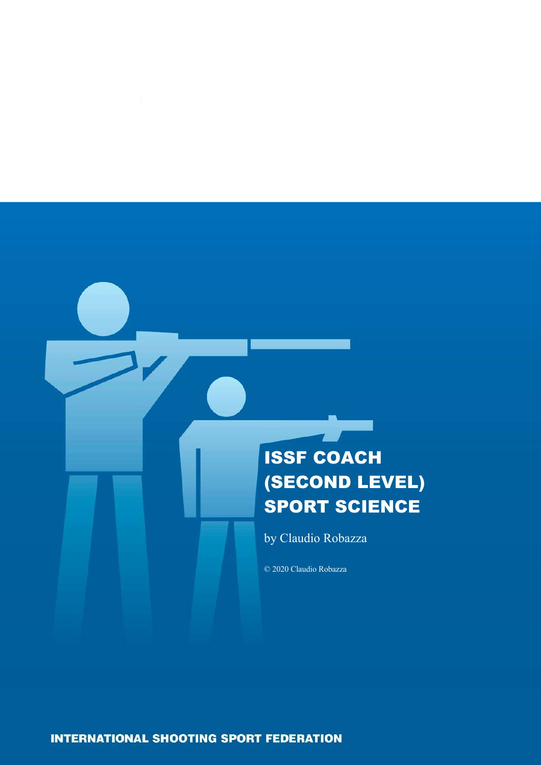# ISSF COACH (SECOND LEVEL) SPORT SCIENCE

by Claudio Robazza

© 2020 Claudio Robazza

**INTERNATIONAL SHOOTING SPORT FEDERATION**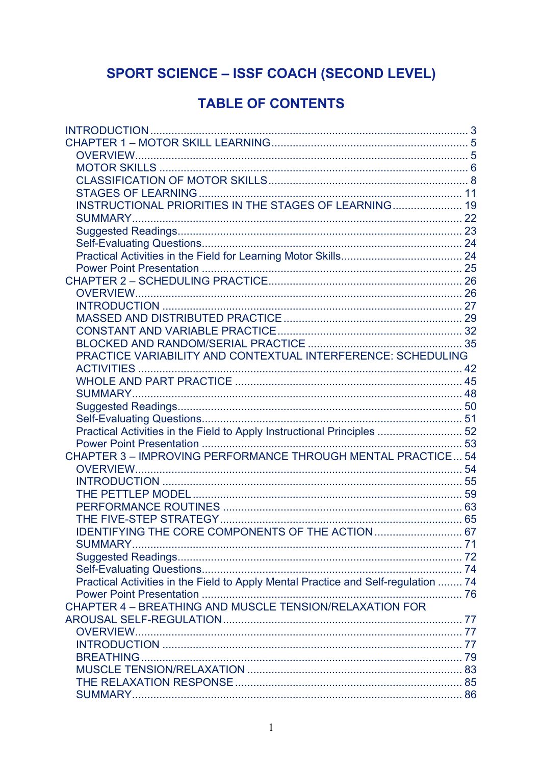# **SPORT SCIENCE - ISSF COACH (SECOND LEVEL)**

# **TABLE OF CONTENTS**

| INSTRUCTIONAL PRIORITIES IN THE STAGES OF LEARNING 19                              |  |
|------------------------------------------------------------------------------------|--|
|                                                                                    |  |
|                                                                                    |  |
|                                                                                    |  |
|                                                                                    |  |
|                                                                                    |  |
|                                                                                    |  |
|                                                                                    |  |
|                                                                                    |  |
|                                                                                    |  |
|                                                                                    |  |
|                                                                                    |  |
| PRACTICE VARIABILITY AND CONTEXTUAL INTERFERENCE: SCHEDULING                       |  |
|                                                                                    |  |
|                                                                                    |  |
|                                                                                    |  |
|                                                                                    |  |
|                                                                                    |  |
| Practical Activities in the Field to Apply Instructional Principles  52            |  |
|                                                                                    |  |
| CHAPTER 3 - IMPROVING PERFORMANCE THROUGH MENTAL PRACTICE 54                       |  |
|                                                                                    |  |
|                                                                                    |  |
|                                                                                    |  |
|                                                                                    |  |
|                                                                                    |  |
| IDENTIFYING THE CORE COMPONENTS OF THE ACTION  67                                  |  |
|                                                                                    |  |
|                                                                                    |  |
|                                                                                    |  |
| Practical Activities in the Field to Apply Mental Practice and Self-regulation  74 |  |
|                                                                                    |  |
| CHAPTER 4 - BREATHING AND MUSCLE TENSION/RELAXATION FOR                            |  |
|                                                                                    |  |
|                                                                                    |  |
|                                                                                    |  |
|                                                                                    |  |
|                                                                                    |  |
|                                                                                    |  |
|                                                                                    |  |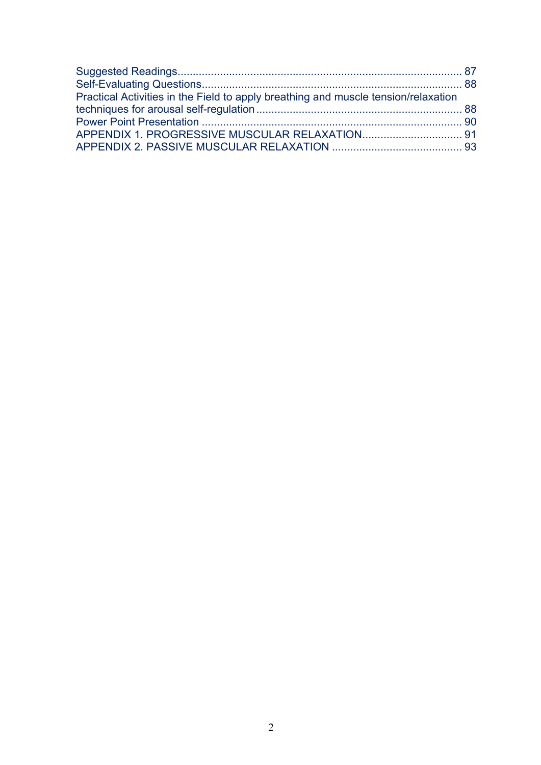| Practical Activities in the Field to apply breathing and muscle tension/relaxation |  |
|------------------------------------------------------------------------------------|--|
|                                                                                    |  |
|                                                                                    |  |
|                                                                                    |  |
|                                                                                    |  |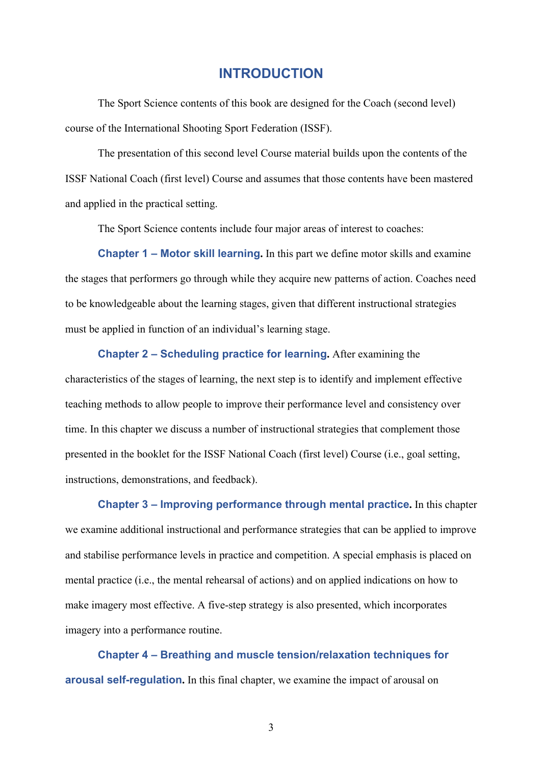# **INTRODUCTION**

The Sport Science contents of this book are designed for the Coach (second level) course of the International Shooting Sport Federation (ISSF).

The presentation of this second level Course material builds upon the contents of the ISSF National Coach (first level) Course and assumes that those contents have been mastered and applied in the practical setting.

The Sport Science contents include four major areas of interest to coaches:

**Chapter 1 – Motor skill learning.** In this part we define motor skills and examine the stages that performers go through while they acquire new patterns of action. Coaches need to be knowledgeable about the learning stages, given that different instructional strategies must be applied in function of an individual's learning stage.

**Chapter 2 – Scheduling practice for learning.** After examining the

characteristics of the stages of learning, the next step is to identify and implement effective teaching methods to allow people to improve their performance level and consistency over time. In this chapter we discuss a number of instructional strategies that complement those presented in the booklet for the ISSF National Coach (first level) Course (i.e., goal setting, instructions, demonstrations, and feedback).

**Chapter 3 – Improving performance through mental practice.** In this chapter we examine additional instructional and performance strategies that can be applied to improve and stabilise performance levels in practice and competition. A special emphasis is placed on mental practice (i.e., the mental rehearsal of actions) and on applied indications on how to make imagery most effective. A five-step strategy is also presented, which incorporates imagery into a performance routine.

**Chapter 4 – Breathing and muscle tension/relaxation techniques for arousal self-regulation.** In this final chapter, we examine the impact of arousal on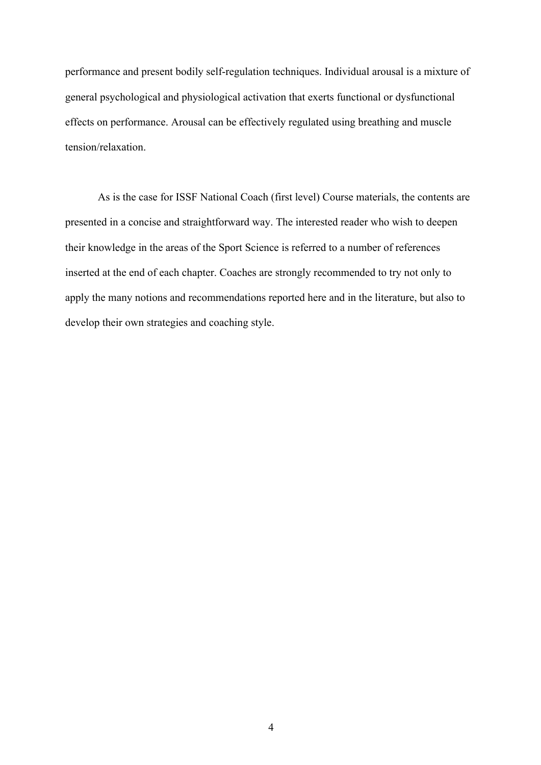performance and present bodily self-regulation techniques. Individual arousal is a mixture of general psychological and physiological activation that exerts functional or dysfunctional effects on performance. Arousal can be effectively regulated using breathing and muscle tension/relaxation.

As is the case for ISSF National Coach (first level) Course materials, the contents are presented in a concise and straightforward way. The interested reader who wish to deepen their knowledge in the areas of the Sport Science is referred to a number of references inserted at the end of each chapter. Coaches are strongly recommended to try not only to apply the many notions and recommendations reported here and in the literature, but also to develop their own strategies and coaching style.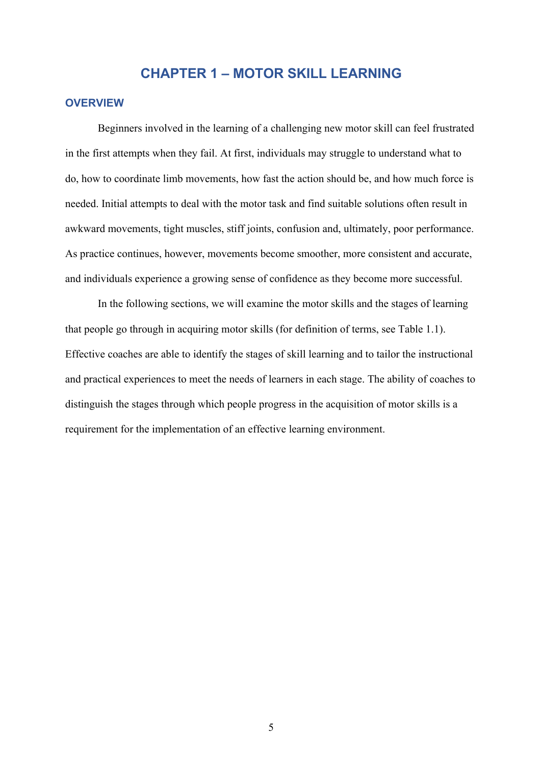# **CHAPTER 1 – MOTOR SKILL LEARNING**

#### **OVERVIEW**

Beginners involved in the learning of a challenging new motor skill can feel frustrated in the first attempts when they fail. At first, individuals may struggle to understand what to do, how to coordinate limb movements, how fast the action should be, and how much force is needed. Initial attempts to deal with the motor task and find suitable solutions often result in awkward movements, tight muscles, stiff joints, confusion and, ultimately, poor performance. As practice continues, however, movements become smoother, more consistent and accurate, and individuals experience a growing sense of confidence as they become more successful.

In the following sections, we will examine the motor skills and the stages of learning that people go through in acquiring motor skills (for definition of terms, see Table 1.1). Effective coaches are able to identify the stages of skill learning and to tailor the instructional and practical experiences to meet the needs of learners in each stage. The ability of coaches to distinguish the stages through which people progress in the acquisition of motor skills is a requirement for the implementation of an effective learning environment.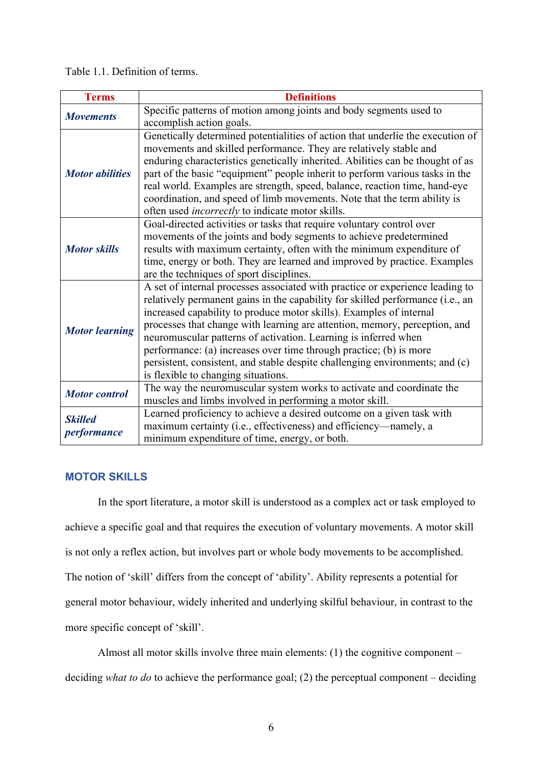Table 1.1. Definition of terms.

| <b>Terms</b>                  | <b>Definitions</b>                                                                                                                                                                                                                                                                                                                                                                                                                                                                                                                                                                   |  |
|-------------------------------|--------------------------------------------------------------------------------------------------------------------------------------------------------------------------------------------------------------------------------------------------------------------------------------------------------------------------------------------------------------------------------------------------------------------------------------------------------------------------------------------------------------------------------------------------------------------------------------|--|
| <b>Movements</b>              | Specific patterns of motion among joints and body segments used to<br>accomplish action goals.                                                                                                                                                                                                                                                                                                                                                                                                                                                                                       |  |
| <b>Motor</b> abilities        | Genetically determined potentialities of action that underlie the execution of<br>movements and skilled performance. They are relatively stable and<br>enduring characteristics genetically inherited. Abilities can be thought of as<br>part of the basic "equipment" people inherit to perform various tasks in the<br>real world. Examples are strength, speed, balance, reaction time, hand-eye<br>coordination, and speed of limb movements. Note that the term ability is<br>often used incorrectly to indicate motor skills.                                                  |  |
| <b>Motor skills</b>           | Goal-directed activities or tasks that require voluntary control over<br>movements of the joints and body segments to achieve predetermined<br>results with maximum certainty, often with the minimum expenditure of<br>time, energy or both. They are learned and improved by practice. Examples<br>are the techniques of sport disciplines.                                                                                                                                                                                                                                        |  |
| <b>Motor learning</b>         | A set of internal processes associated with practice or experience leading to<br>relatively permanent gains in the capability for skilled performance (i.e., an<br>increased capability to produce motor skills). Examples of internal<br>processes that change with learning are attention, memory, perception, and<br>neuromuscular patterns of activation. Learning is inferred when<br>performance: (a) increases over time through practice; (b) is more<br>persistent, consistent, and stable despite challenging environments; and (c)<br>is flexible to changing situations. |  |
| <b>Motor</b> control          | The way the neuromuscular system works to activate and coordinate the<br>muscles and limbs involved in performing a motor skill.                                                                                                                                                                                                                                                                                                                                                                                                                                                     |  |
| <b>Skilled</b><br>performance | Learned proficiency to achieve a desired outcome on a given task with<br>maximum certainty (i.e., effectiveness) and efficiency—namely, a<br>minimum expenditure of time, energy, or both.                                                                                                                                                                                                                                                                                                                                                                                           |  |

#### **MOTOR SKILLS**

In the sport literature, a motor skill is understood as a complex act or task employed to achieve a specific goal and that requires the execution of voluntary movements. A motor skill is not only a reflex action, but involves part or whole body movements to be accomplished. The notion of 'skill' differs from the concept of 'ability'. Ability represents a potential for general motor behaviour, widely inherited and underlying skilful behaviour, in contrast to the more specific concept of 'skill'.

Almost all motor skills involve three main elements: (1) the cognitive component – deciding *what to do* to achieve the performance goal; (2) the perceptual component – deciding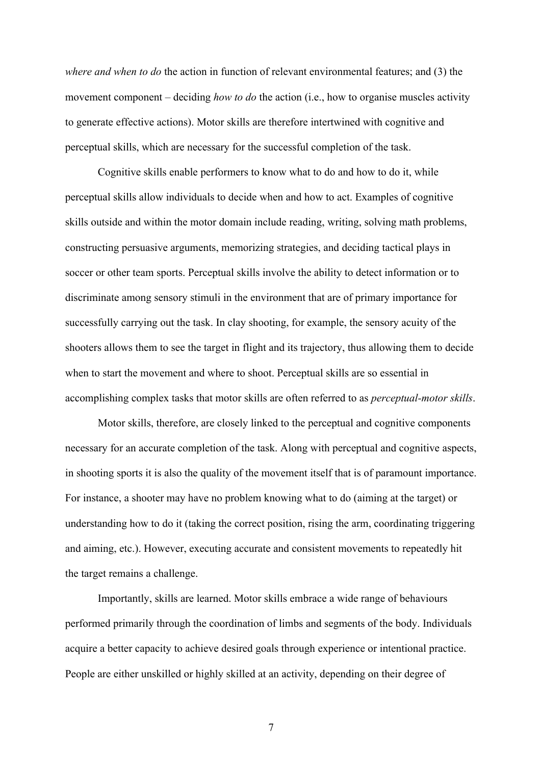*where and when to do* the action in function of relevant environmental features; and (3) the movement component – deciding *how to do* the action (i.e., how to organise muscles activity to generate effective actions). Motor skills are therefore intertwined with cognitive and perceptual skills, which are necessary for the successful completion of the task.

Cognitive skills enable performers to know what to do and how to do it, while perceptual skills allow individuals to decide when and how to act. Examples of cognitive skills outside and within the motor domain include reading, writing, solving math problems, constructing persuasive arguments, memorizing strategies, and deciding tactical plays in soccer or other team sports. Perceptual skills involve the ability to detect information or to discriminate among sensory stimuli in the environment that are of primary importance for successfully carrying out the task. In clay shooting, for example, the sensory acuity of the shooters allows them to see the target in flight and its trajectory, thus allowing them to decide when to start the movement and where to shoot. Perceptual skills are so essential in accomplishing complex tasks that motor skills are often referred to as *perceptual-motor skills*.

Motor skills, therefore, are closely linked to the perceptual and cognitive components necessary for an accurate completion of the task. Along with perceptual and cognitive aspects, in shooting sports it is also the quality of the movement itself that is of paramount importance. For instance, a shooter may have no problem knowing what to do (aiming at the target) or understanding how to do it (taking the correct position, rising the arm, coordinating triggering and aiming, etc.). However, executing accurate and consistent movements to repeatedly hit the target remains a challenge.

Importantly, skills are learned. Motor skills embrace a wide range of behaviours performed primarily through the coordination of limbs and segments of the body. Individuals acquire a better capacity to achieve desired goals through experience or intentional practice. People are either unskilled or highly skilled at an activity, depending on their degree of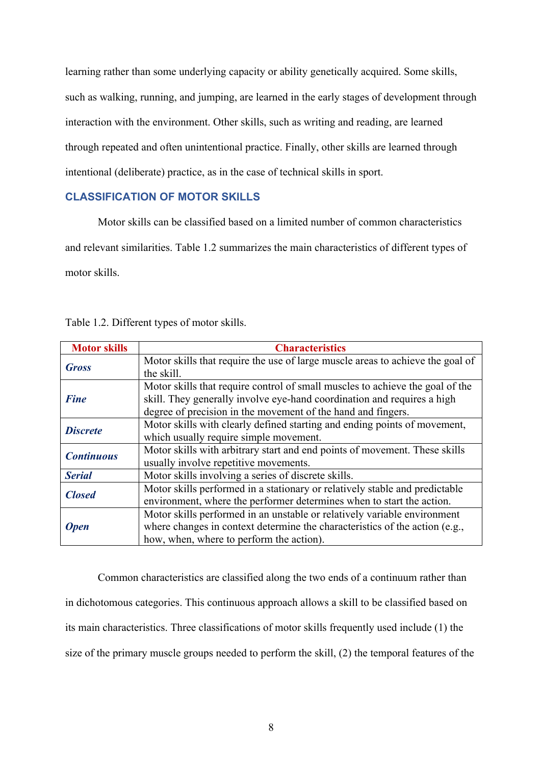learning rather than some underlying capacity or ability genetically acquired. Some skills, such as walking, running, and jumping, are learned in the early stages of development through interaction with the environment. Other skills, such as writing and reading, are learned through repeated and often unintentional practice. Finally, other skills are learned through intentional (deliberate) practice, as in the case of technical skills in sport.

#### **CLASSIFICATION OF MOTOR SKILLS**

Motor skills can be classified based on a limited number of common characteristics and relevant similarities. Table 1.2 summarizes the main characteristics of different types of motor skills.

| <b>Motor skills</b> | <b>Characteristics</b>                                                         |  |  |
|---------------------|--------------------------------------------------------------------------------|--|--|
| <b>Gross</b>        | Motor skills that require the use of large muscle areas to achieve the goal of |  |  |
|                     | the skill.                                                                     |  |  |
|                     | Motor skills that require control of small muscles to achieve the goal of the  |  |  |
| <b>Fine</b>         | skill. They generally involve eye-hand coordination and requires a high        |  |  |
|                     | degree of precision in the movement of the hand and fingers.                   |  |  |
| <b>Discrete</b>     | Motor skills with clearly defined starting and ending points of movement,      |  |  |
|                     | which usually require simple movement.                                         |  |  |
| <b>Continuous</b>   | Motor skills with arbitrary start and end points of movement. These skills     |  |  |
|                     | usually involve repetitive movements.                                          |  |  |
| <b>Serial</b>       | Motor skills involving a series of discrete skills.                            |  |  |
|                     | Motor skills performed in a stationary or relatively stable and predictable    |  |  |
| <b>Closed</b>       | environment, where the performer determines when to start the action.          |  |  |
|                     | Motor skills performed in an unstable or relatively variable environment       |  |  |
| <b>Open</b>         | where changes in context determine the characteristics of the action (e.g.,    |  |  |
|                     | how, when, where to perform the action).                                       |  |  |

Table 1.2. Different types of motor skills.

Common characteristics are classified along the two ends of a continuum rather than in dichotomous categories. This continuous approach allows a skill to be classified based on its main characteristics. Three classifications of motor skills frequently used include (1) the size of the primary muscle groups needed to perform the skill, (2) the temporal features of the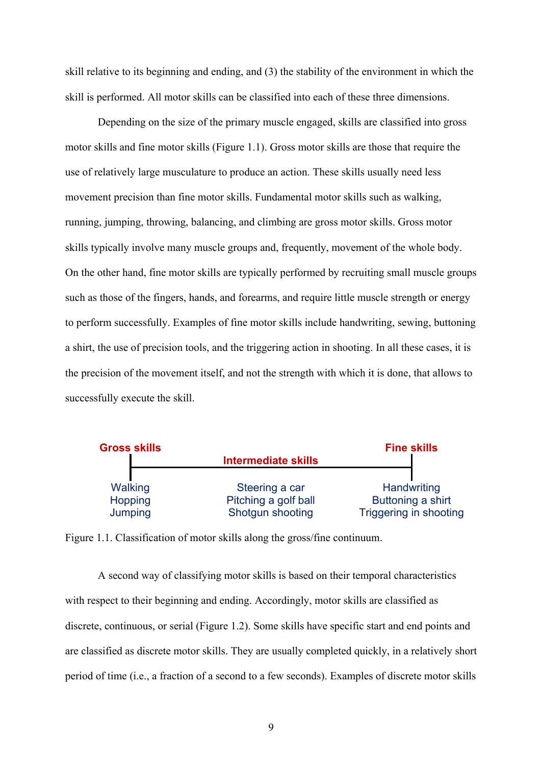skill relative to its beginning and ending, and (3) the stability of the environment in which the skill is performed. All motor skills can be classified into each of these three dimensions.

Depending on the size of the primary muscle engaged, skills are classified into gross motor skills and fine motor skills (Figure 1.1). Gross motor skills are those that require the use of relatively large musculature to produce an action. These skills usually need less movement precision than fine motor skills. Fundamental motor skills such as walking, running, jumping, throwing, balancing, and climbing are gross motor skills. Gross motor skills typically involve many muscle groups and, frequently, movement of the whole body. On the other hand, fine motor skills are typically performed by recruiting small muscle groups such as those of the fingers, hands, and forearms, and require little muscle strength or energy to perform successfully. Examples of fine motor skills include handwriting, sewing, buttoning a shirt, the use of precision tools, and the triggering action in shooting. In all these cases, it is the precision of the movement itself, and not the strength with which it is done, that allows to successfully execute the skill.



Figure 1.1. Classification of motor skills along the gross/fine continuum.

A second way of classifying motor skills is based on their temporal characteristics with respect to their beginning and ending. Accordingly, motor skills are classified as discrete, continuous, or serial (Figure 1.2). Some skills have specific start and end points and are classified as discrete motor skills. They are usually completed quickly, in a relatively short period of time (i.e., a fraction of a second to a few seconds). Examples of discrete motor skills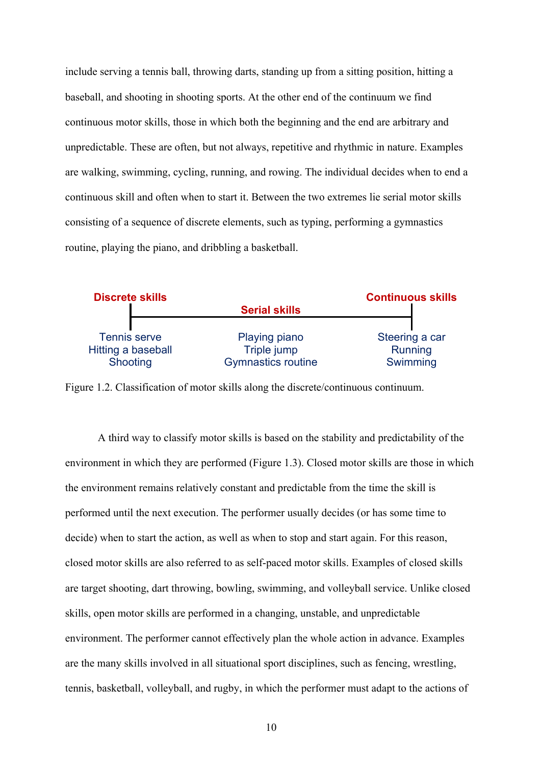include serving a tennis ball, throwing darts, standing up from a sitting position, hitting a baseball, and shooting in shooting sports. At the other end of the continuum we find continuous motor skills, those in which both the beginning and the end are arbitrary and unpredictable. These are often, but not always, repetitive and rhythmic in nature. Examples are walking, swimming, cycling, running, and rowing. The individual decides when to end a continuous skill and often when to start it. Between the two extremes lie serial motor skills consisting of a sequence of discrete elements, such as typing, performing a gymnastics routine, playing the piano, and dribbling a basketball.



Figure 1.2. Classification of motor skills along the discrete/continuous continuum.

A third way to classify motor skills is based on the stability and predictability of the environment in which they are performed (Figure 1.3). Closed motor skills are those in which the environment remains relatively constant and predictable from the time the skill is performed until the next execution. The performer usually decides (or has some time to decide) when to start the action, as well as when to stop and start again. For this reason, closed motor skills are also referred to as self-paced motor skills. Examples of closed skills are target shooting, dart throwing, bowling, swimming, and volleyball service. Unlike closed skills, open motor skills are performed in a changing, unstable, and unpredictable environment. The performer cannot effectively plan the whole action in advance. Examples are the many skills involved in all situational sport disciplines, such as fencing, wrestling, tennis, basketball, volleyball, and rugby, in which the performer must adapt to the actions of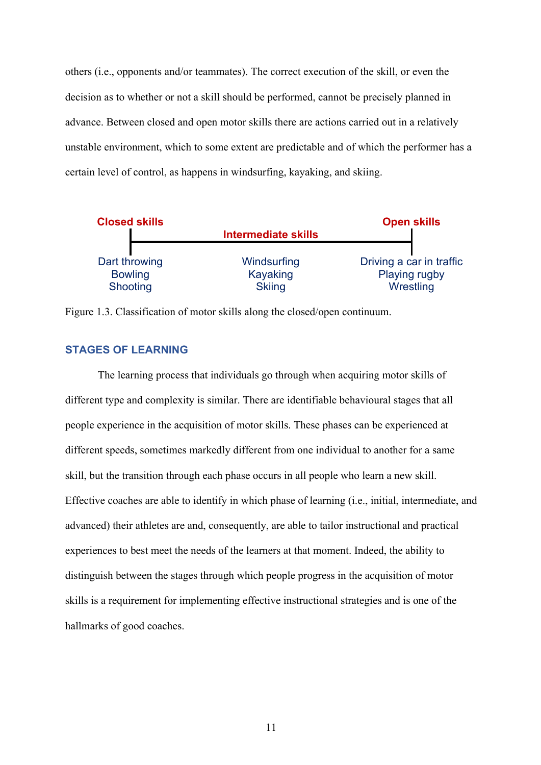others (i.e., opponents and/or teammates). The correct execution of the skill, or even the decision as to whether or not a skill should be performed, cannot be precisely planned in advance. Between closed and open motor skills there are actions carried out in a relatively unstable environment, which to some extent are predictable and of which the performer has a certain level of control, as happens in windsurfing, kayaking, and skiing.



Figure 1.3. Classification of motor skills along the closed/open continuum.

#### **STAGES OF LEARNING**

The learning process that individuals go through when acquiring motor skills of different type and complexity is similar. There are identifiable behavioural stages that all people experience in the acquisition of motor skills. These phases can be experienced at different speeds, sometimes markedly different from one individual to another for a same skill, but the transition through each phase occurs in all people who learn a new skill. Effective coaches are able to identify in which phase of learning (i.e., initial, intermediate, and advanced) their athletes are and, consequently, are able to tailor instructional and practical experiences to best meet the needs of the learners at that moment. Indeed, the ability to distinguish between the stages through which people progress in the acquisition of motor skills is a requirement for implementing effective instructional strategies and is one of the hallmarks of good coaches.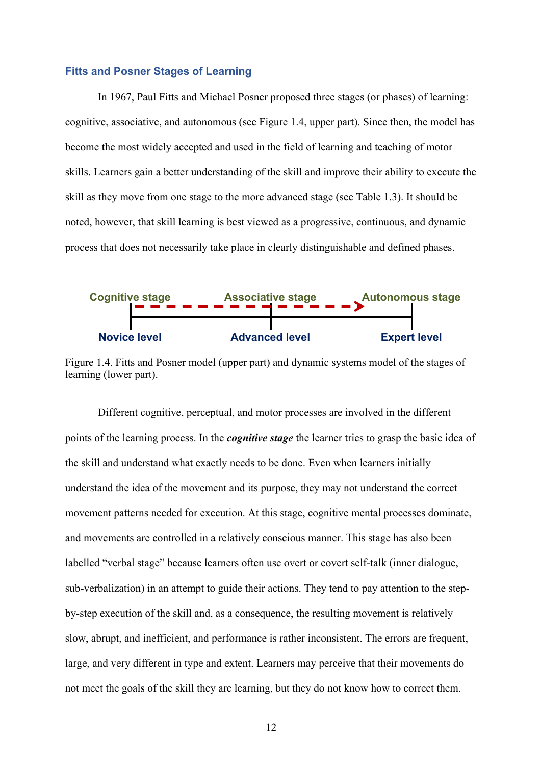#### **Fitts and Posner Stages of Learning**

In 1967, Paul Fitts and Michael Posner proposed three stages (or phases) of learning: cognitive, associative, and autonomous (see Figure 1.4, upper part). Since then, the model has become the most widely accepted and used in the field of learning and teaching of motor skills. Learners gain a better understanding of the skill and improve their ability to execute the skill as they move from one stage to the more advanced stage (see Table 1.3). It should be noted, however, that skill learning is best viewed as a progressive, continuous, and dynamic process that does not necessarily take place in clearly distinguishable and defined phases.



Figure 1.4. Fitts and Posner model (upper part) and dynamic systems model of the stages of learning (lower part).

Different cognitive, perceptual, and motor processes are involved in the different points of the learning process. In the *cognitive stage* the learner tries to grasp the basic idea of the skill and understand what exactly needs to be done. Even when learners initially understand the idea of the movement and its purpose, they may not understand the correct movement patterns needed for execution. At this stage, cognitive mental processes dominate, and movements are controlled in a relatively conscious manner. This stage has also been labelled "verbal stage" because learners often use overt or covert self-talk (inner dialogue, sub-verbalization) in an attempt to guide their actions. They tend to pay attention to the stepby-step execution of the skill and, as a consequence, the resulting movement is relatively slow, abrupt, and inefficient, and performance is rather inconsistent. The errors are frequent, large, and very different in type and extent. Learners may perceive that their movements do not meet the goals of the skill they are learning, but they do not know how to correct them.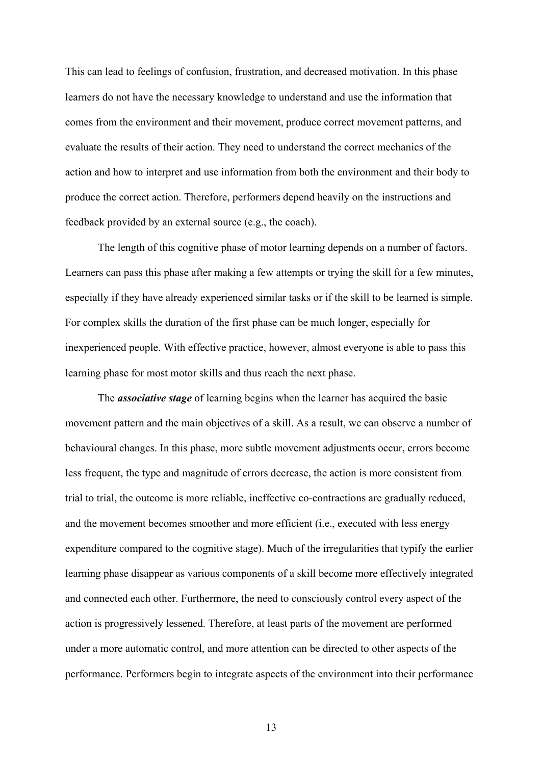This can lead to feelings of confusion, frustration, and decreased motivation. In this phase learners do not have the necessary knowledge to understand and use the information that comes from the environment and their movement, produce correct movement patterns, and evaluate the results of their action. They need to understand the correct mechanics of the action and how to interpret and use information from both the environment and their body to produce the correct action. Therefore, performers depend heavily on the instructions and feedback provided by an external source (e.g., the coach).

The length of this cognitive phase of motor learning depends on a number of factors. Learners can pass this phase after making a few attempts or trying the skill for a few minutes, especially if they have already experienced similar tasks or if the skill to be learned is simple. For complex skills the duration of the first phase can be much longer, especially for inexperienced people. With effective practice, however, almost everyone is able to pass this learning phase for most motor skills and thus reach the next phase.

The *associative stage* of learning begins when the learner has acquired the basic movement pattern and the main objectives of a skill. As a result, we can observe a number of behavioural changes. In this phase, more subtle movement adjustments occur, errors become less frequent, the type and magnitude of errors decrease, the action is more consistent from trial to trial, the outcome is more reliable, ineffective co-contractions are gradually reduced, and the movement becomes smoother and more efficient (i.e., executed with less energy expenditure compared to the cognitive stage). Much of the irregularities that typify the earlier learning phase disappear as various components of a skill become more effectively integrated and connected each other. Furthermore, the need to consciously control every aspect of the action is progressively lessened. Therefore, at least parts of the movement are performed under a more automatic control, and more attention can be directed to other aspects of the performance. Performers begin to integrate aspects of the environment into their performance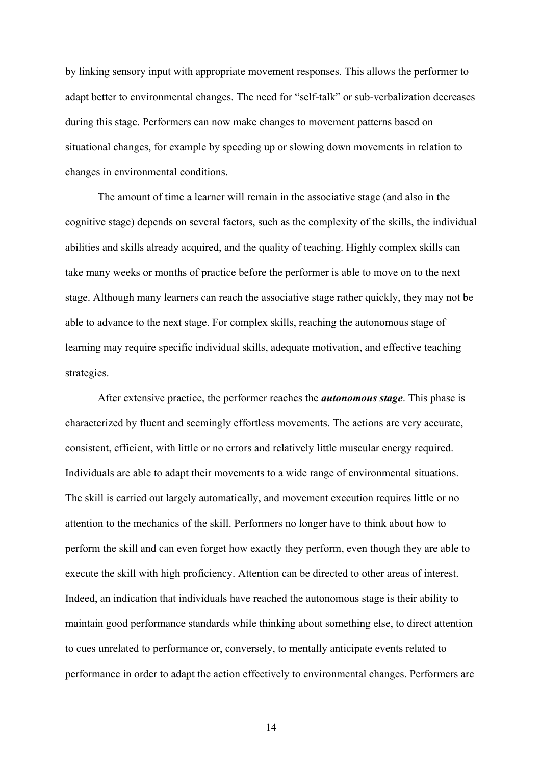by linking sensory input with appropriate movement responses. This allows the performer to adapt better to environmental changes. The need for "self-talk" or sub-verbalization decreases during this stage. Performers can now make changes to movement patterns based on situational changes, for example by speeding up or slowing down movements in relation to changes in environmental conditions.

The amount of time a learner will remain in the associative stage (and also in the cognitive stage) depends on several factors, such as the complexity of the skills, the individual abilities and skills already acquired, and the quality of teaching. Highly complex skills can take many weeks or months of practice before the performer is able to move on to the next stage. Although many learners can reach the associative stage rather quickly, they may not be able to advance to the next stage. For complex skills, reaching the autonomous stage of learning may require specific individual skills, adequate motivation, and effective teaching strategies.

After extensive practice, the performer reaches the *autonomous stage*. This phase is characterized by fluent and seemingly effortless movements. The actions are very accurate, consistent, efficient, with little or no errors and relatively little muscular energy required. Individuals are able to adapt their movements to a wide range of environmental situations. The skill is carried out largely automatically, and movement execution requires little or no attention to the mechanics of the skill. Performers no longer have to think about how to perform the skill and can even forget how exactly they perform, even though they are able to execute the skill with high proficiency. Attention can be directed to other areas of interest. Indeed, an indication that individuals have reached the autonomous stage is their ability to maintain good performance standards while thinking about something else, to direct attention to cues unrelated to performance or, conversely, to mentally anticipate events related to performance in order to adapt the action effectively to environmental changes. Performers are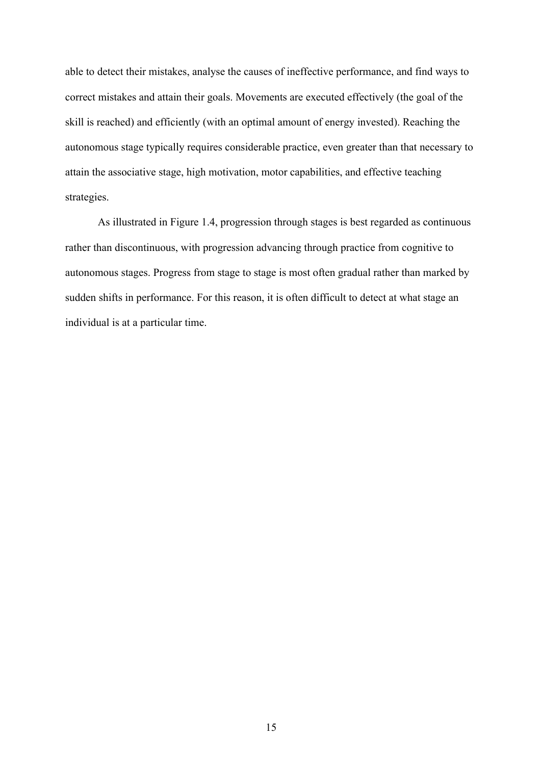able to detect their mistakes, analyse the causes of ineffective performance, and find ways to correct mistakes and attain their goals. Movements are executed effectively (the goal of the skill is reached) and efficiently (with an optimal amount of energy invested). Reaching the autonomous stage typically requires considerable practice, even greater than that necessary to attain the associative stage, high motivation, motor capabilities, and effective teaching strategies.

As illustrated in Figure 1.4, progression through stages is best regarded as continuous rather than discontinuous, with progression advancing through practice from cognitive to autonomous stages. Progress from stage to stage is most often gradual rather than marked by sudden shifts in performance. For this reason, it is often difficult to detect at what stage an individual is at a particular time.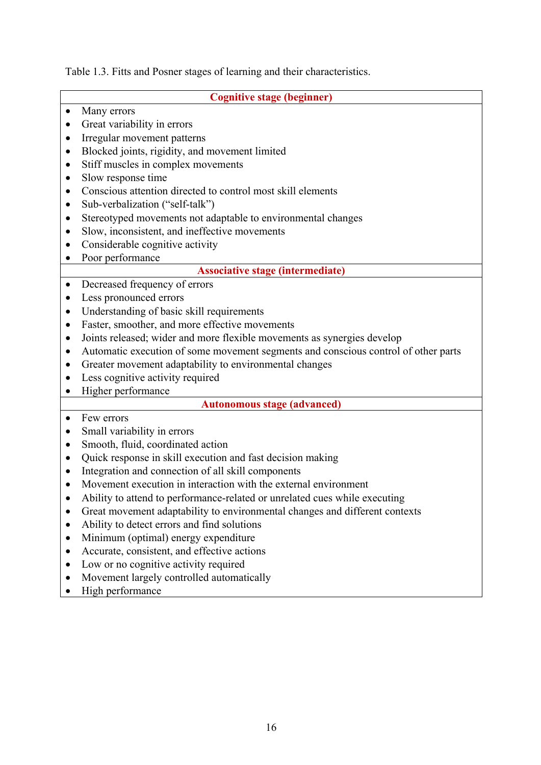Table 1.3. Fitts and Posner stages of learning and their characteristics.

| <b>Cognitive stage (beginner)</b> |                                                                                                                                                           |  |  |
|-----------------------------------|-----------------------------------------------------------------------------------------------------------------------------------------------------------|--|--|
| $\bullet$                         | Many errors                                                                                                                                               |  |  |
|                                   | Great variability in errors                                                                                                                               |  |  |
| $\bullet$                         | Irregular movement patterns                                                                                                                               |  |  |
| $\bullet$                         | Blocked joints, rigidity, and movement limited                                                                                                            |  |  |
| $\bullet$                         | Stiff muscles in complex movements                                                                                                                        |  |  |
| ٠                                 | Slow response time                                                                                                                                        |  |  |
| ٠                                 | Conscious attention directed to control most skill elements                                                                                               |  |  |
| ٠                                 | Sub-verbalization ("self-talk")                                                                                                                           |  |  |
| $\bullet$                         | Stereotyped movements not adaptable to environmental changes                                                                                              |  |  |
| ٠                                 | Slow, inconsistent, and ineffective movements                                                                                                             |  |  |
|                                   | Considerable cognitive activity                                                                                                                           |  |  |
| $\bullet$                         | Poor performance                                                                                                                                          |  |  |
|                                   | <b>Associative stage (intermediate)</b>                                                                                                                   |  |  |
| $\bullet$                         | Decreased frequency of errors                                                                                                                             |  |  |
| $\bullet$                         | Less pronounced errors                                                                                                                                    |  |  |
| ٠                                 | Understanding of basic skill requirements                                                                                                                 |  |  |
| $\bullet$                         | Faster, smoother, and more effective movements                                                                                                            |  |  |
| $\bullet$                         | Joints released; wider and more flexible movements as synergies develop                                                                                   |  |  |
| ٠                                 | Automatic execution of some movement segments and conscious control of other parts                                                                        |  |  |
|                                   | Greater movement adaptability to environmental changes                                                                                                    |  |  |
|                                   | Less cognitive activity required                                                                                                                          |  |  |
|                                   | Higher performance                                                                                                                                        |  |  |
|                                   | <b>Autonomous stage (advanced)</b>                                                                                                                        |  |  |
| $\bullet$                         | Few errors                                                                                                                                                |  |  |
| $\bullet$                         | Small variability in errors<br>Smooth, fluid, coordinated action                                                                                          |  |  |
| $\bullet$                         |                                                                                                                                                           |  |  |
| ٠                                 | Quick response in skill execution and fast decision making<br>Integration and connection of all skill components                                          |  |  |
| $\bullet$                         | Movement execution in interaction with the external environment                                                                                           |  |  |
|                                   |                                                                                                                                                           |  |  |
|                                   | Ability to attend to performance-related or unrelated cues while executing<br>Great movement adaptability to environmental changes and different contexts |  |  |
|                                   | Ability to detect errors and find solutions                                                                                                               |  |  |
| $\bullet$                         | Minimum (optimal) energy expenditure                                                                                                                      |  |  |
|                                   | Accurate, consistent, and effective actions                                                                                                               |  |  |
| $\bullet$                         | Low or no cognitive activity required                                                                                                                     |  |  |
|                                   | Movement largely controlled automatically                                                                                                                 |  |  |
|                                   | High performance                                                                                                                                          |  |  |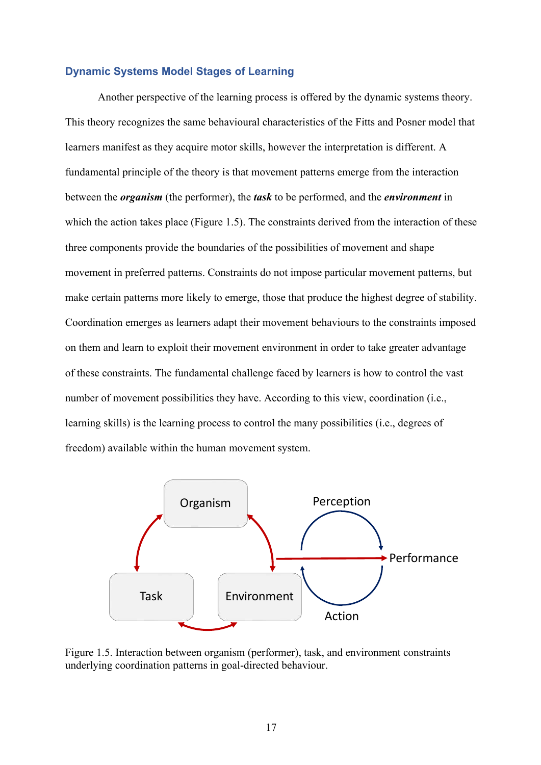#### **Dynamic Systems Model Stages of Learning**

Another perspective of the learning process is offered by the dynamic systems theory. This theory recognizes the same behavioural characteristics of the Fitts and Posner model that learners manifest as they acquire motor skills, however the interpretation is different. A fundamental principle of the theory is that movement patterns emerge from the interaction between the *organism* (the performer), the *task* to be performed, and the *environment* in which the action takes place (Figure 1.5). The constraints derived from the interaction of these three components provide the boundaries of the possibilities of movement and shape movement in preferred patterns. Constraints do not impose particular movement patterns, but make certain patterns more likely to emerge, those that produce the highest degree of stability. Coordination emerges as learners adapt their movement behaviours to the constraints imposed on them and learn to exploit their movement environment in order to take greater advantage of these constraints. The fundamental challenge faced by learners is how to control the vast number of movement possibilities they have. According to this view, coordination (i.e., learning skills) is the learning process to control the many possibilities (i.e., degrees of freedom) available within the human movement system.



Figure 1.5. Interaction between organism (performer), task, and environment constraints underlying coordination patterns in goal-directed behaviour.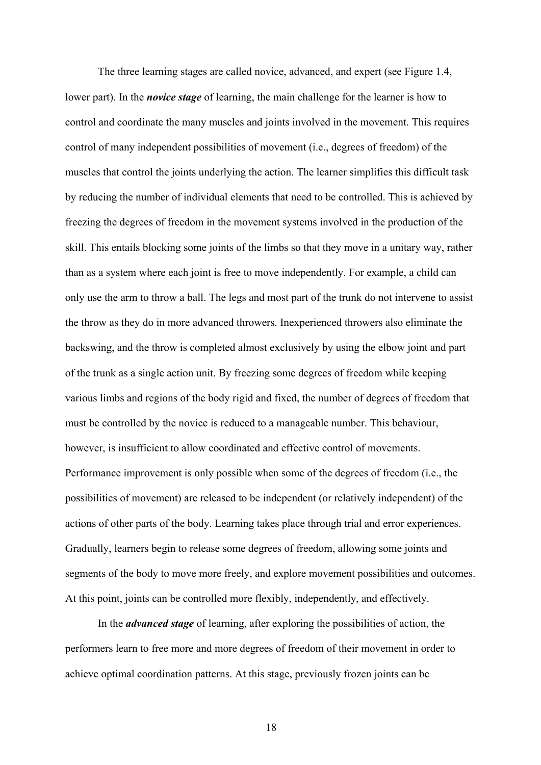The three learning stages are called novice, advanced, and expert (see Figure 1.4, lower part). In the *novice stage* of learning, the main challenge for the learner is how to control and coordinate the many muscles and joints involved in the movement. This requires control of many independent possibilities of movement (i.e., degrees of freedom) of the muscles that control the joints underlying the action. The learner simplifies this difficult task by reducing the number of individual elements that need to be controlled. This is achieved by freezing the degrees of freedom in the movement systems involved in the production of the skill. This entails blocking some joints of the limbs so that they move in a unitary way, rather than as a system where each joint is free to move independently. For example, a child can only use the arm to throw a ball. The legs and most part of the trunk do not intervene to assist the throw as they do in more advanced throwers. Inexperienced throwers also eliminate the backswing, and the throw is completed almost exclusively by using the elbow joint and part of the trunk as a single action unit. By freezing some degrees of freedom while keeping various limbs and regions of the body rigid and fixed, the number of degrees of freedom that must be controlled by the novice is reduced to a manageable number. This behaviour, however, is insufficient to allow coordinated and effective control of movements. Performance improvement is only possible when some of the degrees of freedom (i.e., the possibilities of movement) are released to be independent (or relatively independent) of the actions of other parts of the body. Learning takes place through trial and error experiences. Gradually, learners begin to release some degrees of freedom, allowing some joints and segments of the body to move more freely, and explore movement possibilities and outcomes. At this point, joints can be controlled more flexibly, independently, and effectively.

In the *advanced stage* of learning, after exploring the possibilities of action, the performers learn to free more and more degrees of freedom of their movement in order to achieve optimal coordination patterns. At this stage, previously frozen joints can be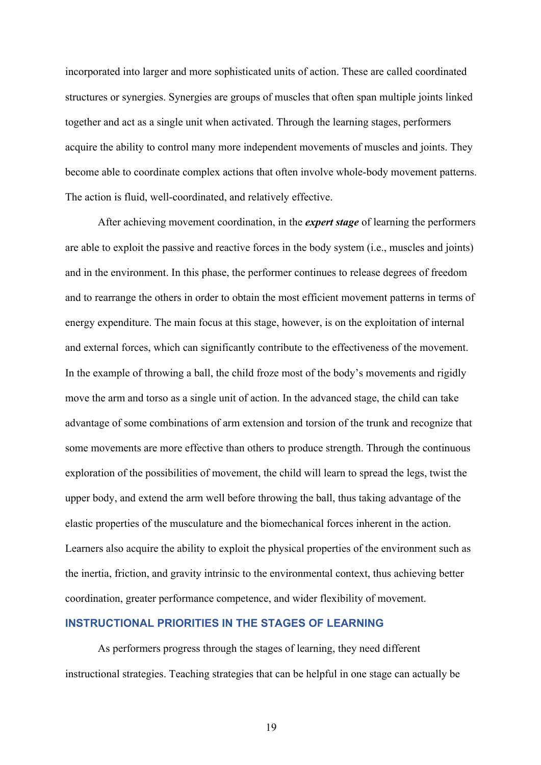incorporated into larger and more sophisticated units of action. These are called coordinated structures or synergies. Synergies are groups of muscles that often span multiple joints linked together and act as a single unit when activated. Through the learning stages, performers acquire the ability to control many more independent movements of muscles and joints. They become able to coordinate complex actions that often involve whole-body movement patterns. The action is fluid, well-coordinated, and relatively effective.

After achieving movement coordination, in the *expert stage* of learning the performers are able to exploit the passive and reactive forces in the body system (i.e., muscles and joints) and in the environment. In this phase, the performer continues to release degrees of freedom and to rearrange the others in order to obtain the most efficient movement patterns in terms of energy expenditure. The main focus at this stage, however, is on the exploitation of internal and external forces, which can significantly contribute to the effectiveness of the movement. In the example of throwing a ball, the child froze most of the body's movements and rigidly move the arm and torso as a single unit of action. In the advanced stage, the child can take advantage of some combinations of arm extension and torsion of the trunk and recognize that some movements are more effective than others to produce strength. Through the continuous exploration of the possibilities of movement, the child will learn to spread the legs, twist the upper body, and extend the arm well before throwing the ball, thus taking advantage of the elastic properties of the musculature and the biomechanical forces inherent in the action. Learners also acquire the ability to exploit the physical properties of the environment such as the inertia, friction, and gravity intrinsic to the environmental context, thus achieving better coordination, greater performance competence, and wider flexibility of movement.

# **INSTRUCTIONAL PRIORITIES IN THE STAGES OF LEARNING**

As performers progress through the stages of learning, they need different instructional strategies. Teaching strategies that can be helpful in one stage can actually be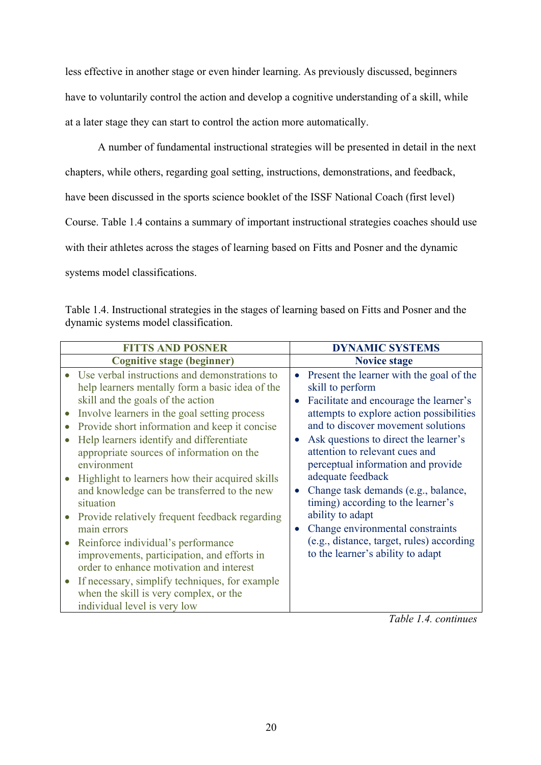less effective in another stage or even hinder learning. As previously discussed, beginners have to voluntarily control the action and develop a cognitive understanding of a skill, while at a later stage they can start to control the action more automatically.

A number of fundamental instructional strategies will be presented in detail in the next chapters, while others, regarding goal setting, instructions, demonstrations, and feedback, have been discussed in the sports science booklet of the ISSF National Coach (first level) Course. Table 1.4 contains a summary of important instructional strategies coaches should use with their athletes across the stages of learning based on Fitts and Posner and the dynamic systems model classifications.

| Table 1.4. Instructional strategies in the stages of learning based on Fitts and Posner and the |  |  |
|-------------------------------------------------------------------------------------------------|--|--|
| dynamic systems model classification.                                                           |  |  |

*Table 1.4. continues*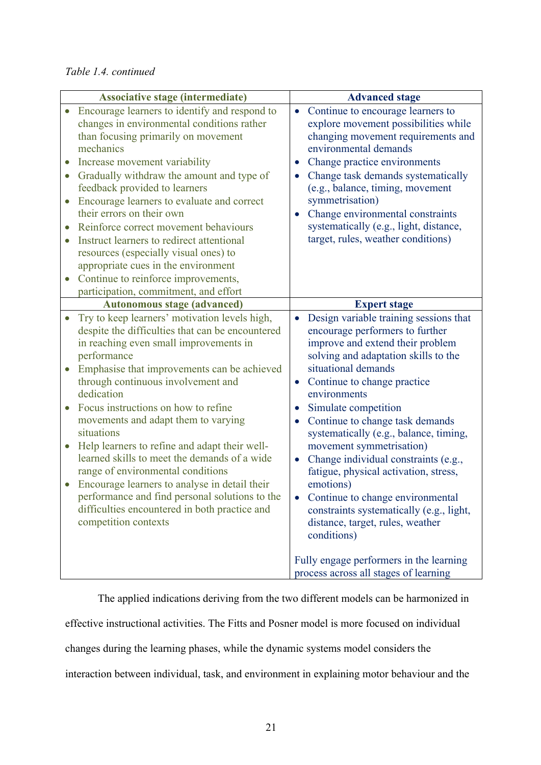## *Table 1.4. continued*

| <b>Associative stage (intermediate)</b> |                                                                                                                                                                                                                                                                                                                                                                                                                                                                                                                                                                                                                                                                             | <b>Advanced stage</b>                                                                                                                                                                                                                                                                                                                                                                                                                                                                                                                                                                                                   |
|-----------------------------------------|-----------------------------------------------------------------------------------------------------------------------------------------------------------------------------------------------------------------------------------------------------------------------------------------------------------------------------------------------------------------------------------------------------------------------------------------------------------------------------------------------------------------------------------------------------------------------------------------------------------------------------------------------------------------------------|-------------------------------------------------------------------------------------------------------------------------------------------------------------------------------------------------------------------------------------------------------------------------------------------------------------------------------------------------------------------------------------------------------------------------------------------------------------------------------------------------------------------------------------------------------------------------------------------------------------------------|
| $\bullet$<br>$\bullet$<br>$\bullet$     | Encourage learners to identify and respond to<br>changes in environmental conditions rather<br>than focusing primarily on movement<br>mechanics<br>Increase movement variability<br>Gradually withdraw the amount and type of<br>feedback provided to learners<br>Encourage learners to evaluate and correct<br>their errors on their own<br>Reinforce correct movement behaviours<br>Instruct learners to redirect attentional<br>resources (especially visual ones) to<br>appropriate cues in the environment<br>Continue to reinforce improvements,<br>participation, commitment, and effort                                                                             | Continue to encourage learners to<br>$\bullet$<br>explore movement possibilities while<br>changing movement requirements and<br>environmental demands<br>Change practice environments<br>Change task demands systematically<br>(e.g., balance, timing, movement<br>symmetrisation)<br>Change environmental constraints<br>systematically (e.g., light, distance,<br>target, rules, weather conditions)                                                                                                                                                                                                                  |
|                                         | <b>Autonomous stage (advanced)</b>                                                                                                                                                                                                                                                                                                                                                                                                                                                                                                                                                                                                                                          | <b>Expert stage</b>                                                                                                                                                                                                                                                                                                                                                                                                                                                                                                                                                                                                     |
| $\bullet$<br>$\bullet$                  | Try to keep learners' motivation levels high,<br>despite the difficulties that can be encountered<br>in reaching even small improvements in<br>performance<br>Emphasise that improvements can be achieved<br>through continuous involvement and<br>dedication<br>Focus instructions on how to refine<br>movements and adapt them to varying<br>situations<br>Help learners to refine and adapt their well-<br>learned skills to meet the demands of a wide<br>range of environmental conditions<br>Encourage learners to analyse in detail their<br>performance and find personal solutions to the<br>difficulties encountered in both practice and<br>competition contexts | Design variable training sessions that<br>encourage performers to further<br>improve and extend their problem<br>solving and adaptation skills to the<br>situational demands<br>Continue to change practice<br>environments<br>Simulate competition<br>$\bullet$<br>Continue to change task demands<br>systematically (e.g., balance, timing,<br>movement symmetrisation)<br>Change individual constraints (e.g.,<br>$\bullet$<br>fatigue, physical activation, stress,<br>emotions)<br>Continue to change environmental<br>constraints systematically (e.g., light,<br>distance, target, rules, weather<br>conditions) |
|                                         |                                                                                                                                                                                                                                                                                                                                                                                                                                                                                                                                                                                                                                                                             | Fully engage performers in the learning<br>process across all stages of learning                                                                                                                                                                                                                                                                                                                                                                                                                                                                                                                                        |

The applied indications deriving from the two different models can be harmonized in

effective instructional activities. The Fitts and Posner model is more focused on individual

changes during the learning phases, while the dynamic systems model considers the

interaction between individual, task, and environment in explaining motor behaviour and the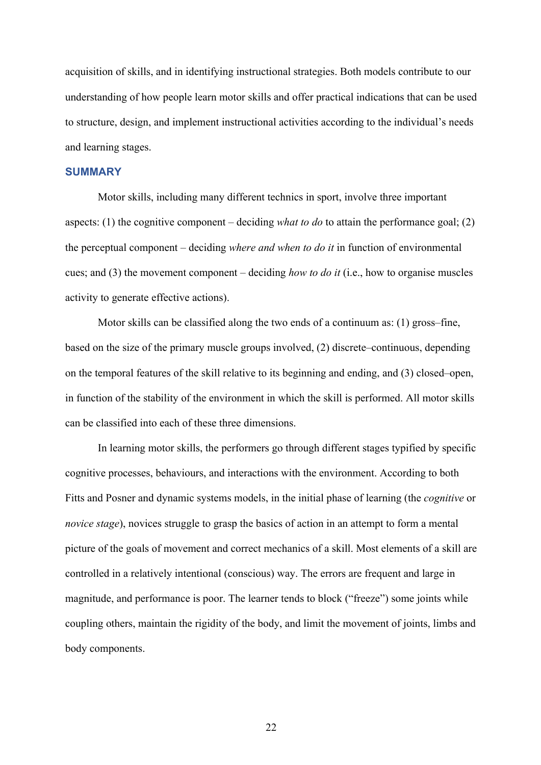acquisition of skills, and in identifying instructional strategies. Both models contribute to our understanding of how people learn motor skills and offer practical indications that can be used to structure, design, and implement instructional activities according to the individual's needs and learning stages.

#### **SUMMARY**

Motor skills, including many different technics in sport, involve three important aspects: (1) the cognitive component – deciding *what to do* to attain the performance goal; (2) the perceptual component – deciding *where and when to do it* in function of environmental cues; and (3) the movement component – deciding *how to do it* (i.e., how to organise muscles activity to generate effective actions).

Motor skills can be classified along the two ends of a continuum as: (1) gross–fine, based on the size of the primary muscle groups involved, (2) discrete–continuous, depending on the temporal features of the skill relative to its beginning and ending, and (3) closed–open, in function of the stability of the environment in which the skill is performed. All motor skills can be classified into each of these three dimensions.

In learning motor skills, the performers go through different stages typified by specific cognitive processes, behaviours, and interactions with the environment. According to both Fitts and Posner and dynamic systems models, in the initial phase of learning (the *cognitive* or *novice stage*), novices struggle to grasp the basics of action in an attempt to form a mental picture of the goals of movement and correct mechanics of a skill. Most elements of a skill are controlled in a relatively intentional (conscious) way. The errors are frequent and large in magnitude, and performance is poor. The learner tends to block ("freeze") some joints while coupling others, maintain the rigidity of the body, and limit the movement of joints, limbs and body components.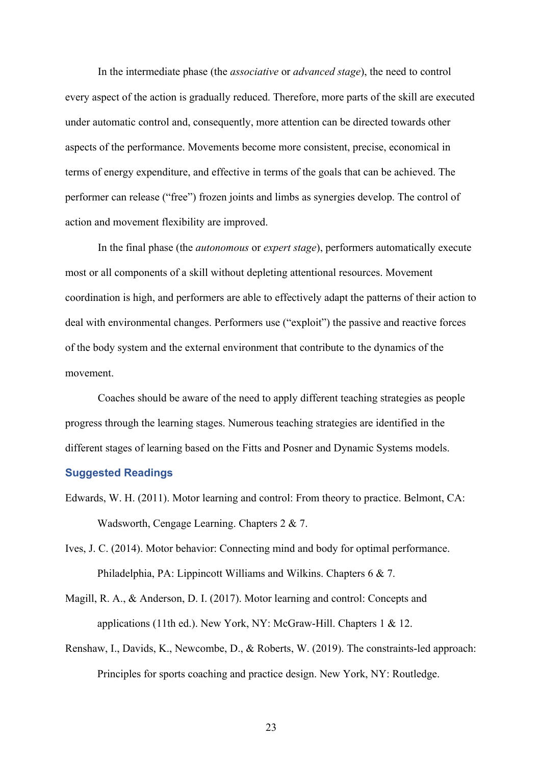In the intermediate phase (the *associative* or *advanced stage*), the need to control every aspect of the action is gradually reduced. Therefore, more parts of the skill are executed under automatic control and, consequently, more attention can be directed towards other aspects of the performance. Movements become more consistent, precise, economical in terms of energy expenditure, and effective in terms of the goals that can be achieved. The performer can release ("free") frozen joints and limbs as synergies develop. The control of action and movement flexibility are improved.

In the final phase (the *autonomous* or *expert stage*), performers automatically execute most or all components of a skill without depleting attentional resources. Movement coordination is high, and performers are able to effectively adapt the patterns of their action to deal with environmental changes. Performers use ("exploit") the passive and reactive forces of the body system and the external environment that contribute to the dynamics of the movement.

Coaches should be aware of the need to apply different teaching strategies as people progress through the learning stages. Numerous teaching strategies are identified in the different stages of learning based on the Fitts and Posner and Dynamic Systems models.

#### **Suggested Readings**

- Edwards, W. H. (2011). Motor learning and control: From theory to practice. Belmont, CA: Wadsworth, Cengage Learning. Chapters 2 & 7.
- Ives, J. C. (2014). Motor behavior: Connecting mind and body for optimal performance. Philadelphia, PA: Lippincott Williams and Wilkins. Chapters 6 & 7.
- Magill, R. A., & Anderson, D. I. (2017). Motor learning and control: Concepts and applications (11th ed.). New York, NY: McGraw-Hill. Chapters 1 & 12.
- Renshaw, I., Davids, K., Newcombe, D., & Roberts, W. (2019). The constraints-led approach: Principles for sports coaching and practice design. New York, NY: Routledge.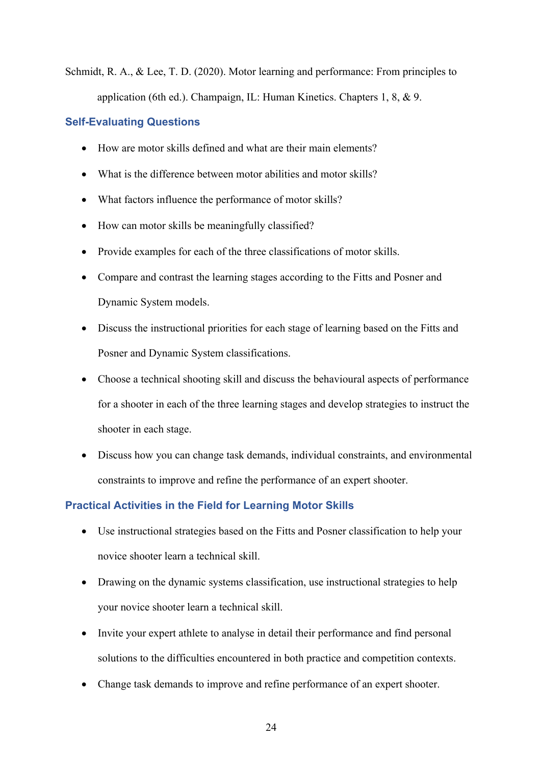Schmidt, R. A., & Lee, T. D. (2020). Motor learning and performance: From principles to application (6th ed.). Champaign, IL: Human Kinetics. Chapters 1, 8, & 9.

## **Self-Evaluating Questions**

- How are motor skills defined and what are their main elements?
- What is the difference between motor abilities and motor skills?
- What factors influence the performance of motor skills?
- How can motor skills be meaningfully classified?
- Provide examples for each of the three classifications of motor skills.
- Compare and contrast the learning stages according to the Fitts and Posner and Dynamic System models.
- Discuss the instructional priorities for each stage of learning based on the Fitts and Posner and Dynamic System classifications.
- Choose a technical shooting skill and discuss the behavioural aspects of performance for a shooter in each of the three learning stages and develop strategies to instruct the shooter in each stage.
- Discuss how you can change task demands, individual constraints, and environmental constraints to improve and refine the performance of an expert shooter.

## **Practical Activities in the Field for Learning Motor Skills**

- Use instructional strategies based on the Fitts and Posner classification to help your novice shooter learn a technical skill.
- Drawing on the dynamic systems classification, use instructional strategies to help your novice shooter learn a technical skill.
- Invite your expert athlete to analyse in detail their performance and find personal solutions to the difficulties encountered in both practice and competition contexts.
- Change task demands to improve and refine performance of an expert shooter.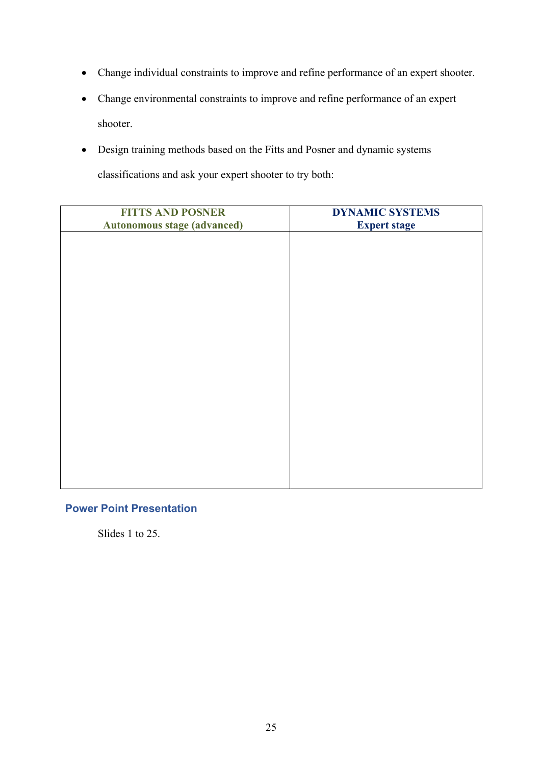- Change individual constraints to improve and refine performance of an expert shooter.
- Change environmental constraints to improve and refine performance of an expert shooter.
- Design training methods based on the Fitts and Posner and dynamic systems classifications and ask your expert shooter to try both:

| <b>FITTS AND POSNER</b>            | <b>DYNAMIC SYSTEMS</b> |
|------------------------------------|------------------------|
| <b>Autonomous stage (advanced)</b> | <b>Expert stage</b>    |
|                                    |                        |
|                                    |                        |
|                                    |                        |
|                                    |                        |
|                                    |                        |
|                                    |                        |
|                                    |                        |
|                                    |                        |
|                                    |                        |
|                                    |                        |
|                                    |                        |
|                                    |                        |
|                                    |                        |
|                                    |                        |

#### **Power Point Presentation**

Slides 1 to 25.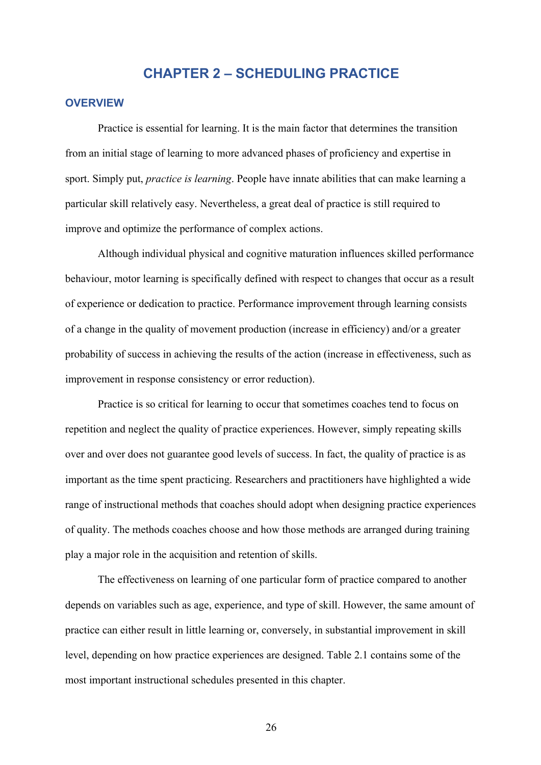# **CHAPTER 2 – SCHEDULING PRACTICE**

#### **OVERVIEW**

Practice is essential for learning. It is the main factor that determines the transition from an initial stage of learning to more advanced phases of proficiency and expertise in sport. Simply put, *practice is learning*. People have innate abilities that can make learning a particular skill relatively easy. Nevertheless, a great deal of practice is still required to improve and optimize the performance of complex actions.

Although individual physical and cognitive maturation influences skilled performance behaviour, motor learning is specifically defined with respect to changes that occur as a result of experience or dedication to practice. Performance improvement through learning consists of a change in the quality of movement production (increase in efficiency) and/or a greater probability of success in achieving the results of the action (increase in effectiveness, such as improvement in response consistency or error reduction).

Practice is so critical for learning to occur that sometimes coaches tend to focus on repetition and neglect the quality of practice experiences. However, simply repeating skills over and over does not guarantee good levels of success. In fact, the quality of practice is as important as the time spent practicing. Researchers and practitioners have highlighted a wide range of instructional methods that coaches should adopt when designing practice experiences of quality. The methods coaches choose and how those methods are arranged during training play a major role in the acquisition and retention of skills.

The effectiveness on learning of one particular form of practice compared to another depends on variables such as age, experience, and type of skill. However, the same amount of practice can either result in little learning or, conversely, in substantial improvement in skill level, depending on how practice experiences are designed. Table 2.1 contains some of the most important instructional schedules presented in this chapter.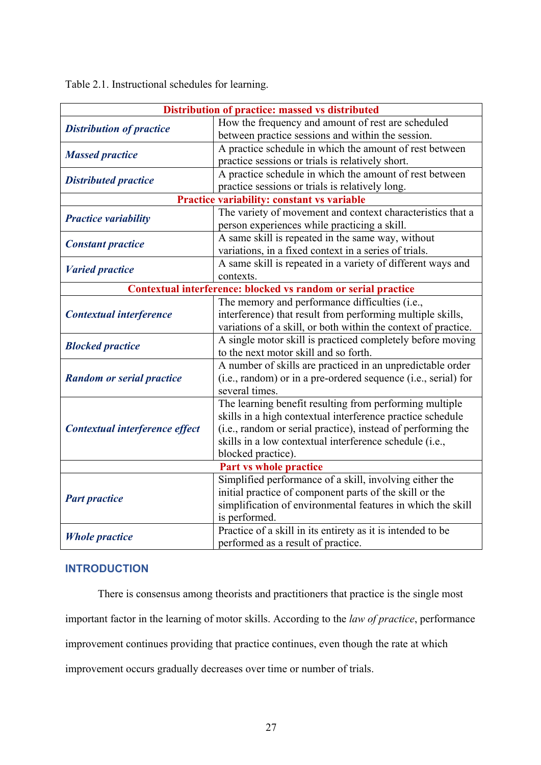Table 2.1. Instructional schedules for learning.

| Distribution of practice: massed vs distributed               |                                                                |  |  |
|---------------------------------------------------------------|----------------------------------------------------------------|--|--|
| <b>Distribution of practice</b>                               | How the frequency and amount of rest are scheduled             |  |  |
|                                                               | between practice sessions and within the session.              |  |  |
| <b>Massed practice</b>                                        | A practice schedule in which the amount of rest between        |  |  |
|                                                               | practice sessions or trials is relatively short.               |  |  |
| <b>Distributed practice</b>                                   | A practice schedule in which the amount of rest between        |  |  |
|                                                               | practice sessions or trials is relatively long.                |  |  |
|                                                               | Practice variability: constant vs variable                     |  |  |
| <b>Practice variability</b>                                   | The variety of movement and context characteristics that a     |  |  |
|                                                               | person experiences while practicing a skill.                   |  |  |
| <b>Constant practice</b>                                      | A same skill is repeated in the same way, without              |  |  |
|                                                               | variations, in a fixed context in a series of trials.          |  |  |
| <b>Varied practice</b>                                        | A same skill is repeated in a variety of different ways and    |  |  |
|                                                               | contexts.                                                      |  |  |
| Contextual interference: blocked vs random or serial practice |                                                                |  |  |
|                                                               | The memory and performance difficulties (i.e.,                 |  |  |
| <b>Contextual interference</b>                                | interference) that result from performing multiple skills,     |  |  |
|                                                               | variations of a skill, or both within the context of practice. |  |  |
| <b>Blocked practice</b>                                       | A single motor skill is practiced completely before moving     |  |  |
|                                                               | to the next motor skill and so forth.                          |  |  |
|                                                               | A number of skills are practiced in an unpredictable order     |  |  |
| <b>Random or serial practice</b>                              | (i.e., random) or in a pre-ordered sequence (i.e., serial) for |  |  |
|                                                               | several times.                                                 |  |  |
|                                                               | The learning benefit resulting from performing multiple        |  |  |
|                                                               | skills in a high contextual interference practice schedule     |  |  |
| Contextual interference effect                                | (i.e., random or serial practice), instead of performing the   |  |  |
|                                                               | skills in a low contextual interference schedule (i.e.,        |  |  |
|                                                               | blocked practice).                                             |  |  |
| <b>Part vs whole practice</b>                                 |                                                                |  |  |
|                                                               | Simplified performance of a skill, involving either the        |  |  |
| <b>Part practice</b>                                          | initial practice of component parts of the skill or the        |  |  |
|                                                               | simplification of environmental features in which the skill    |  |  |
|                                                               | is performed.                                                  |  |  |
| <b>Whole practice</b>                                         | Practice of a skill in its entirety as it is intended to be    |  |  |
|                                                               | performed as a result of practice.                             |  |  |

# **INTRODUCTION**

There is consensus among theorists and practitioners that practice is the single most

important factor in the learning of motor skills. According to the *law of practice*, performance

improvement continues providing that practice continues, even though the rate at which

improvement occurs gradually decreases over time or number of trials.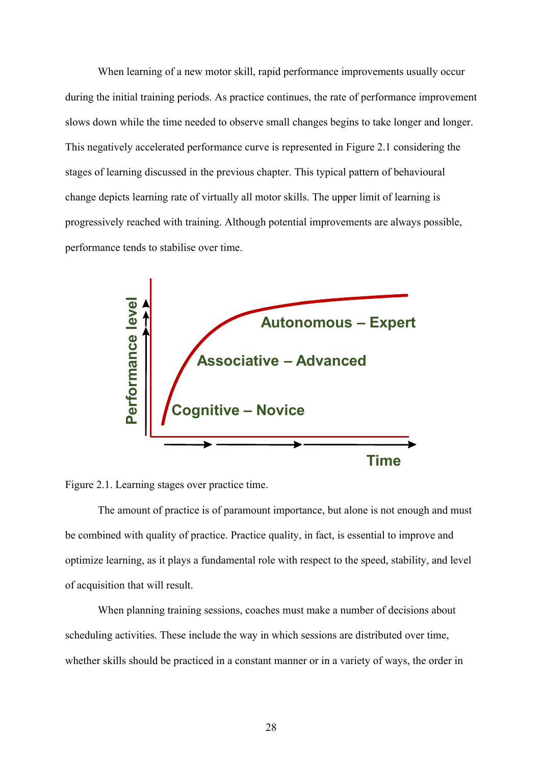When learning of a new motor skill, rapid performance improvements usually occur during the initial training periods. As practice continues, the rate of performance improvement slows down while the time needed to observe small changes begins to take longer and longer. This negatively accelerated performance curve is represented in Figure 2.1 considering the stages of learning discussed in the previous chapter. This typical pattern of behavioural change depicts learning rate of virtually all motor skills. The upper limit of learning is progressively reached with training. Although potential improvements are always possible, performance tends to stabilise over time.



Figure 2.1. Learning stages over practice time.

The amount of practice is of paramount importance, but alone is not enough and must be combined with quality of practice. Practice quality, in fact, is essential to improve and optimize learning, as it plays a fundamental role with respect to the speed, stability, and level of acquisition that will result.

When planning training sessions, coaches must make a number of decisions about scheduling activities. These include the way in which sessions are distributed over time,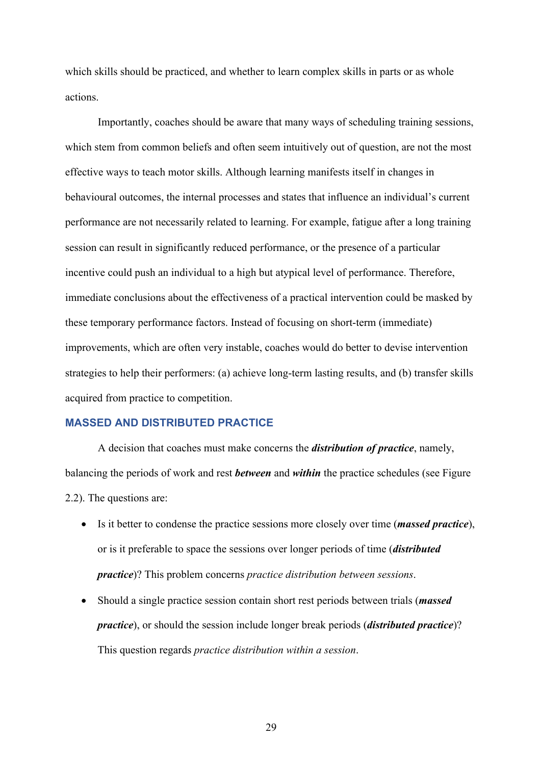which skills should be practiced, and whether to learn complex skills in parts or as whole actions.

Importantly, coaches should be aware that many ways of scheduling training sessions, which stem from common beliefs and often seem intuitively out of question, are not the most effective ways to teach motor skills. Although learning manifests itself in changes in behavioural outcomes, the internal processes and states that influence an individual's current performance are not necessarily related to learning. For example, fatigue after a long training session can result in significantly reduced performance, or the presence of a particular incentive could push an individual to a high but atypical level of performance. Therefore, immediate conclusions about the effectiveness of a practical intervention could be masked by these temporary performance factors. Instead of focusing on short-term (immediate) improvements, which are often very instable, coaches would do better to devise intervention strategies to help their performers: (a) achieve long-term lasting results, and (b) transfer skills acquired from practice to competition.

#### **MASSED AND DISTRIBUTED PRACTICE**

A decision that coaches must make concerns the *distribution of practice*, namely, balancing the periods of work and rest *between* and *within* the practice schedules (see Figure 2.2). The questions are:

- Is it better to condense the practice sessions more closely over time (*massed practice*), or is it preferable to space the sessions over longer periods of time (*distributed practice*)? This problem concerns *practice distribution between sessions*.
- Should a single practice session contain short rest periods between trials (*massed practice*), or should the session include longer break periods (*distributed practice*)? This question regards *practice distribution within a session*.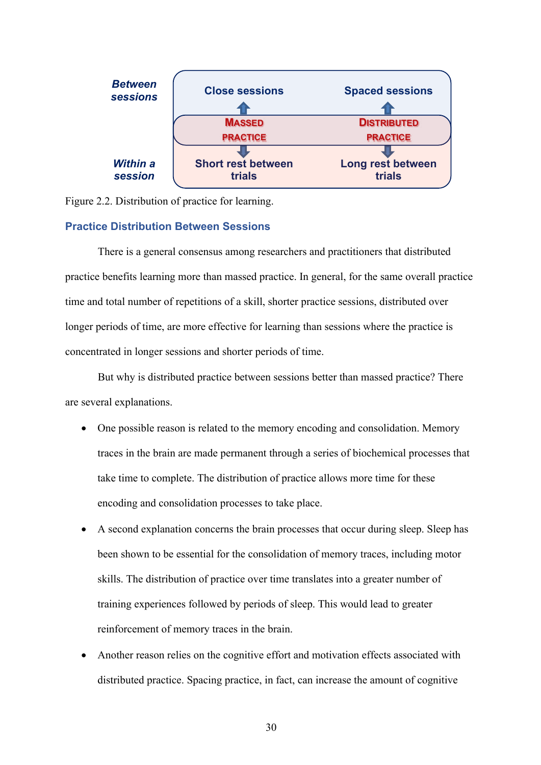



#### **Practice Distribution Between Sessions**

There is a general consensus among researchers and practitioners that distributed practice benefits learning more than massed practice. In general, for the same overall practice time and total number of repetitions of a skill, shorter practice sessions, distributed over longer periods of time, are more effective for learning than sessions where the practice is concentrated in longer sessions and shorter periods of time.

But why is distributed practice between sessions better than massed practice? There are several explanations.

- One possible reason is related to the memory encoding and consolidation. Memory traces in the brain are made permanent through a series of biochemical processes that take time to complete. The distribution of practice allows more time for these encoding and consolidation processes to take place.
- A second explanation concerns the brain processes that occur during sleep. Sleep has been shown to be essential for the consolidation of memory traces, including motor skills. The distribution of practice over time translates into a greater number of training experiences followed by periods of sleep. This would lead to greater reinforcement of memory traces in the brain.
- Another reason relies on the cognitive effort and motivation effects associated with distributed practice. Spacing practice, in fact, can increase the amount of cognitive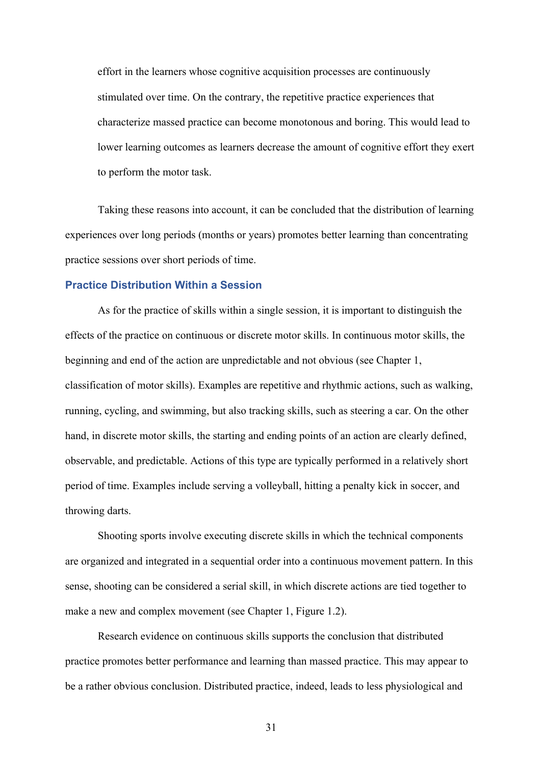effort in the learners whose cognitive acquisition processes are continuously stimulated over time. On the contrary, the repetitive practice experiences that characterize massed practice can become monotonous and boring. This would lead to lower learning outcomes as learners decrease the amount of cognitive effort they exert to perform the motor task.

Taking these reasons into account, it can be concluded that the distribution of learning experiences over long periods (months or years) promotes better learning than concentrating practice sessions over short periods of time.

#### **Practice Distribution Within a Session**

As for the practice of skills within a single session, it is important to distinguish the effects of the practice on continuous or discrete motor skills. In continuous motor skills, the beginning and end of the action are unpredictable and not obvious (see Chapter 1, classification of motor skills). Examples are repetitive and rhythmic actions, such as walking, running, cycling, and swimming, but also tracking skills, such as steering a car. On the other hand, in discrete motor skills, the starting and ending points of an action are clearly defined, observable, and predictable. Actions of this type are typically performed in a relatively short period of time. Examples include serving a volleyball, hitting a penalty kick in soccer, and throwing darts.

Shooting sports involve executing discrete skills in which the technical components are organized and integrated in a sequential order into a continuous movement pattern. In this sense, shooting can be considered a serial skill, in which discrete actions are tied together to make a new and complex movement (see Chapter 1, Figure 1.2).

Research evidence on continuous skills supports the conclusion that distributed practice promotes better performance and learning than massed practice. This may appear to be a rather obvious conclusion. Distributed practice, indeed, leads to less physiological and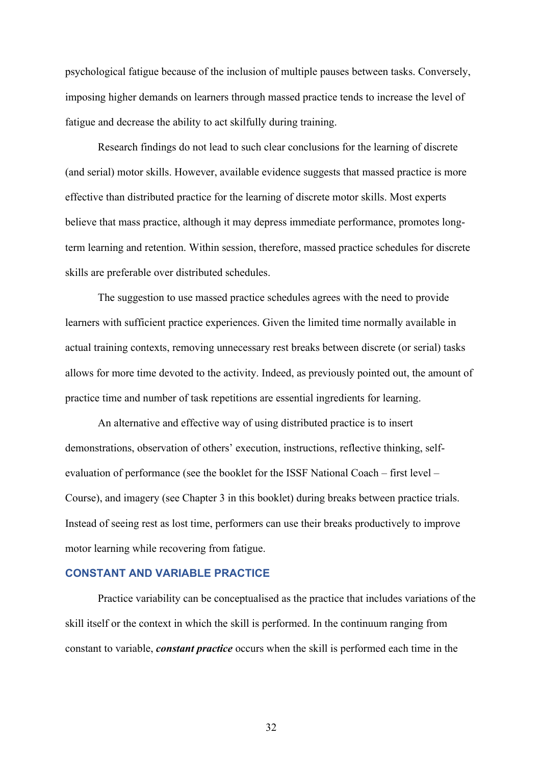psychological fatigue because of the inclusion of multiple pauses between tasks. Conversely, imposing higher demands on learners through massed practice tends to increase the level of fatigue and decrease the ability to act skilfully during training.

Research findings do not lead to such clear conclusions for the learning of discrete (and serial) motor skills. However, available evidence suggests that massed practice is more effective than distributed practice for the learning of discrete motor skills. Most experts believe that mass practice, although it may depress immediate performance, promotes longterm learning and retention. Within session, therefore, massed practice schedules for discrete skills are preferable over distributed schedules.

The suggestion to use massed practice schedules agrees with the need to provide learners with sufficient practice experiences. Given the limited time normally available in actual training contexts, removing unnecessary rest breaks between discrete (or serial) tasks allows for more time devoted to the activity. Indeed, as previously pointed out, the amount of practice time and number of task repetitions are essential ingredients for learning.

An alternative and effective way of using distributed practice is to insert demonstrations, observation of others' execution, instructions, reflective thinking, selfevaluation of performance (see the booklet for the ISSF National Coach – first level – Course), and imagery (see Chapter 3 in this booklet) during breaks between practice trials. Instead of seeing rest as lost time, performers can use their breaks productively to improve motor learning while recovering from fatigue.

# **CONSTANT AND VARIABLE PRACTICE**

Practice variability can be conceptualised as the practice that includes variations of the skill itself or the context in which the skill is performed. In the continuum ranging from constant to variable, *constant practice* occurs when the skill is performed each time in the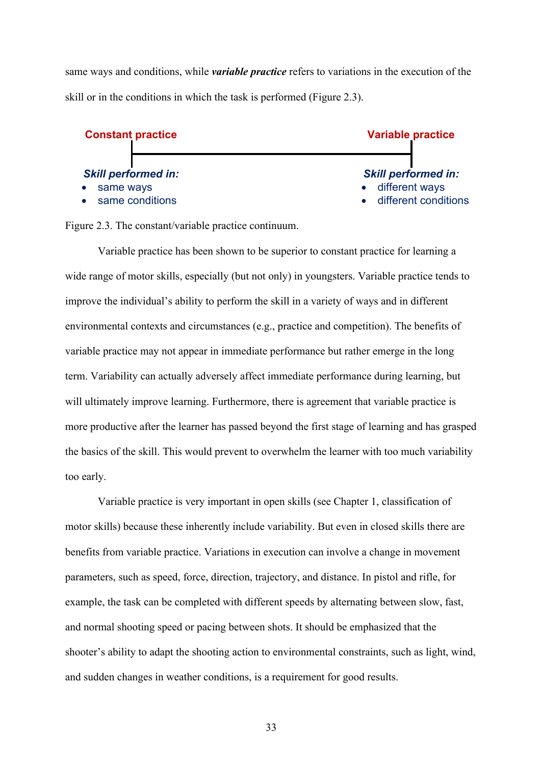same ways and conditions, while *variable practice* refers to variations in the execution of the skill or in the conditions in which the task is performed (Figure 2.3).



Figure 2.3. The constant/variable practice continuum.

Variable practice has been shown to be superior to constant practice for learning a wide range of motor skills, especially (but not only) in youngsters. Variable practice tends to improve the individual's ability to perform the skill in a variety of ways and in different environmental contexts and circumstances (e.g., practice and competition). The benefits of variable practice may not appear in immediate performance but rather emerge in the long term. Variability can actually adversely affect immediate performance during learning, but will ultimately improve learning. Furthermore, there is agreement that variable practice is more productive after the learner has passed beyond the first stage of learning and has grasped the basics of the skill. This would prevent to overwhelm the learner with too much variability too early.

Variable practice is very important in open skills (see Chapter 1, classification of motor skills) because these inherently include variability. But even in closed skills there are benefits from variable practice. Variations in execution can involve a change in movement parameters, such as speed, force, direction, trajectory, and distance. In pistol and rifle, for example, the task can be completed with different speeds by alternating between slow, fast, and normal shooting speed or pacing between shots. It should be emphasized that the shooter's ability to adapt the shooting action to environmental constraints, such as light, wind, and sudden changes in weather conditions, is a requirement for good results.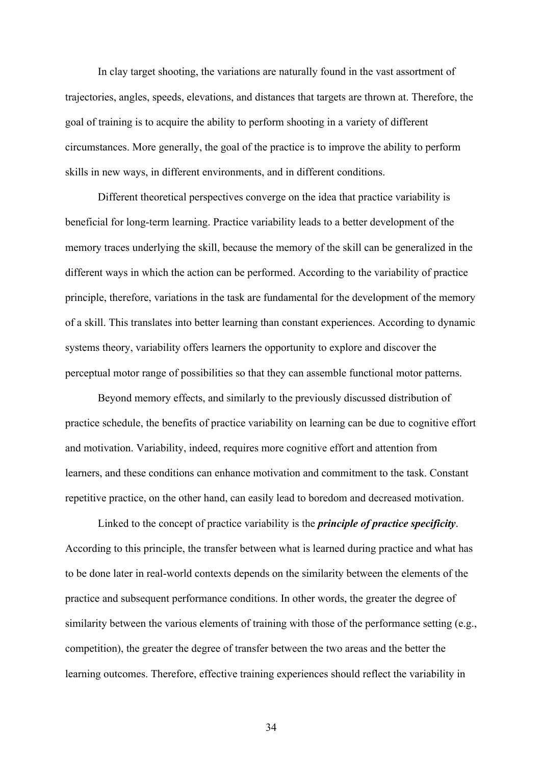In clay target shooting, the variations are naturally found in the vast assortment of trajectories, angles, speeds, elevations, and distances that targets are thrown at. Therefore, the goal of training is to acquire the ability to perform shooting in a variety of different circumstances. More generally, the goal of the practice is to improve the ability to perform skills in new ways, in different environments, and in different conditions.

Different theoretical perspectives converge on the idea that practice variability is beneficial for long-term learning. Practice variability leads to a better development of the memory traces underlying the skill, because the memory of the skill can be generalized in the different ways in which the action can be performed. According to the variability of practice principle, therefore, variations in the task are fundamental for the development of the memory of a skill. This translates into better learning than constant experiences. According to dynamic systems theory, variability offers learners the opportunity to explore and discover the perceptual motor range of possibilities so that they can assemble functional motor patterns.

Beyond memory effects, and similarly to the previously discussed distribution of practice schedule, the benefits of practice variability on learning can be due to cognitive effort and motivation. Variability, indeed, requires more cognitive effort and attention from learners, and these conditions can enhance motivation and commitment to the task. Constant repetitive practice, on the other hand, can easily lead to boredom and decreased motivation.

Linked to the concept of practice variability is the *principle of practice specificity*. According to this principle, the transfer between what is learned during practice and what has to be done later in real-world contexts depends on the similarity between the elements of the practice and subsequent performance conditions. In other words, the greater the degree of similarity between the various elements of training with those of the performance setting (e.g., competition), the greater the degree of transfer between the two areas and the better the learning outcomes. Therefore, effective training experiences should reflect the variability in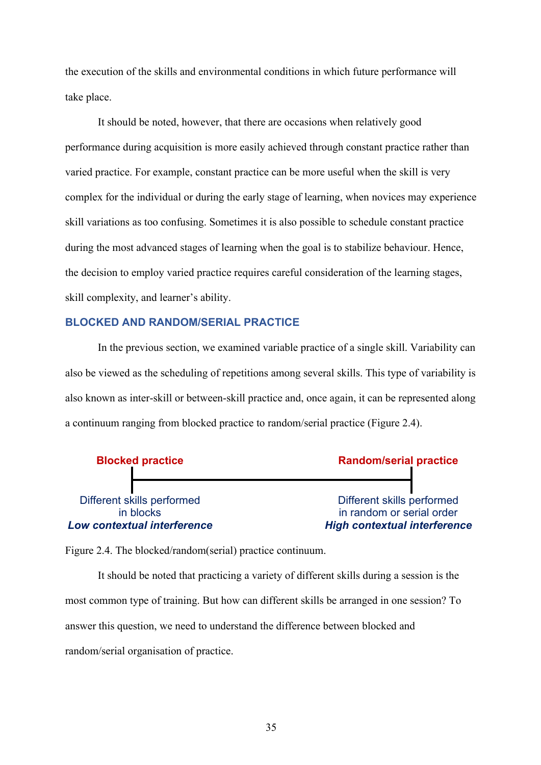the execution of the skills and environmental conditions in which future performance will take place.

It should be noted, however, that there are occasions when relatively good performance during acquisition is more easily achieved through constant practice rather than varied practice. For example, constant practice can be more useful when the skill is very complex for the individual or during the early stage of learning, when novices may experience skill variations as too confusing. Sometimes it is also possible to schedule constant practice during the most advanced stages of learning when the goal is to stabilize behaviour. Hence, the decision to employ varied practice requires careful consideration of the learning stages, skill complexity, and learner's ability.

#### **BLOCKED AND RANDOM/SERIAL PRACTICE**

In the previous section, we examined variable practice of a single skill. Variability can also be viewed as the scheduling of repetitions among several skills. This type of variability is also known as inter-skill or between-skill practice and, once again, it can be represented along a continuum ranging from blocked practice to random/serial practice (Figure 2.4).



Figure 2.4. The blocked/random(serial) practice continuum.

It should be noted that practicing a variety of different skills during a session is the most common type of training. But how can different skills be arranged in one session? To answer this question, we need to understand the difference between blocked and random/serial organisation of practice.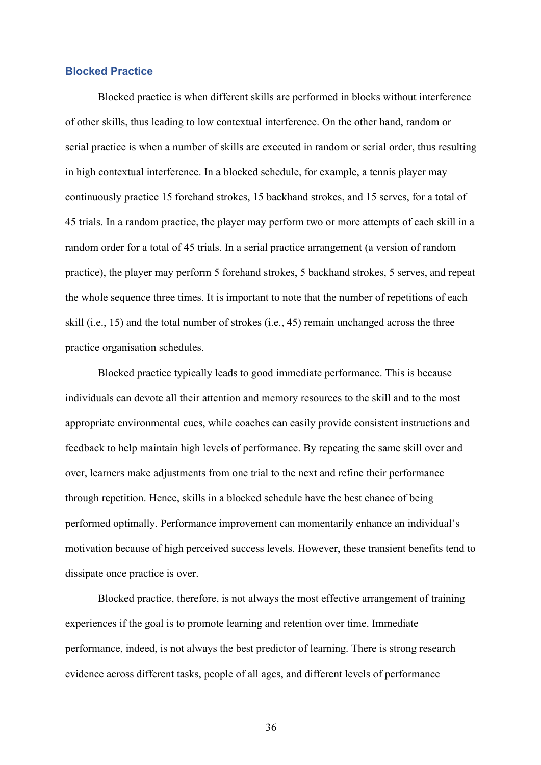#### **Blocked Practice**

Blocked practice is when different skills are performed in blocks without interference of other skills, thus leading to low contextual interference. On the other hand, random or serial practice is when a number of skills are executed in random or serial order, thus resulting in high contextual interference. In a blocked schedule, for example, a tennis player may continuously practice 15 forehand strokes, 15 backhand strokes, and 15 serves, for a total of 45 trials. In a random practice, the player may perform two or more attempts of each skill in a random order for a total of 45 trials. In a serial practice arrangement (a version of random practice), the player may perform 5 forehand strokes, 5 backhand strokes, 5 serves, and repeat the whole sequence three times. It is important to note that the number of repetitions of each skill (i.e., 15) and the total number of strokes (i.e., 45) remain unchanged across the three practice organisation schedules.

Blocked practice typically leads to good immediate performance. This is because individuals can devote all their attention and memory resources to the skill and to the most appropriate environmental cues, while coaches can easily provide consistent instructions and feedback to help maintain high levels of performance. By repeating the same skill over and over, learners make adjustments from one trial to the next and refine their performance through repetition. Hence, skills in a blocked schedule have the best chance of being performed optimally. Performance improvement can momentarily enhance an individual's motivation because of high perceived success levels. However, these transient benefits tend to dissipate once practice is over.

Blocked practice, therefore, is not always the most effective arrangement of training experiences if the goal is to promote learning and retention over time. Immediate performance, indeed, is not always the best predictor of learning. There is strong research evidence across different tasks, people of all ages, and different levels of performance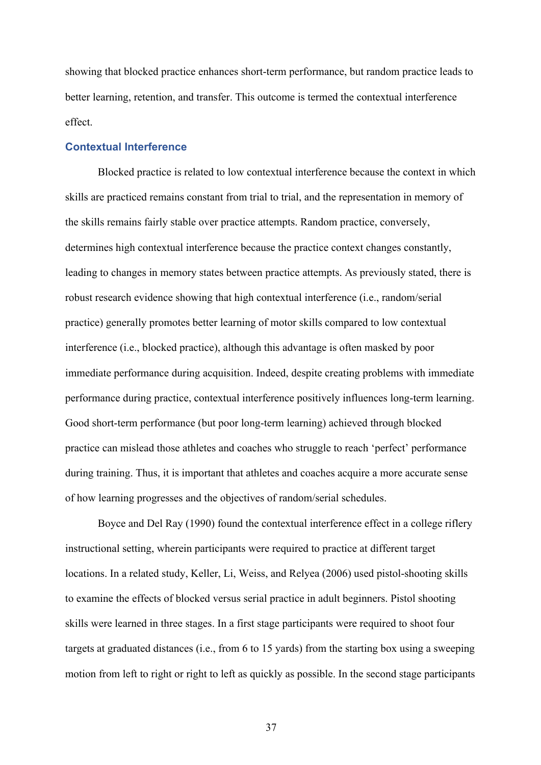showing that blocked practice enhances short-term performance, but random practice leads to better learning, retention, and transfer. This outcome is termed the contextual interference effect.

#### **Contextual Interference**

Blocked practice is related to low contextual interference because the context in which skills are practiced remains constant from trial to trial, and the representation in memory of the skills remains fairly stable over practice attempts. Random practice, conversely, determines high contextual interference because the practice context changes constantly, leading to changes in memory states between practice attempts. As previously stated, there is robust research evidence showing that high contextual interference (i.e., random/serial practice) generally promotes better learning of motor skills compared to low contextual interference (i.e., blocked practice), although this advantage is often masked by poor immediate performance during acquisition. Indeed, despite creating problems with immediate performance during practice, contextual interference positively influences long-term learning. Good short-term performance (but poor long-term learning) achieved through blocked practice can mislead those athletes and coaches who struggle to reach 'perfect' performance during training. Thus, it is important that athletes and coaches acquire a more accurate sense of how learning progresses and the objectives of random/serial schedules.

Boyce and Del Ray (1990) found the contextual interference effect in a college riflery instructional setting, wherein participants were required to practice at different target locations. In a related study, Keller, Li, Weiss, and Relyea (2006) used pistol-shooting skills to examine the effects of blocked versus serial practice in adult beginners. Pistol shooting skills were learned in three stages. In a first stage participants were required to shoot four targets at graduated distances (i.e., from 6 to 15 yards) from the starting box using a sweeping motion from left to right or right to left as quickly as possible. In the second stage participants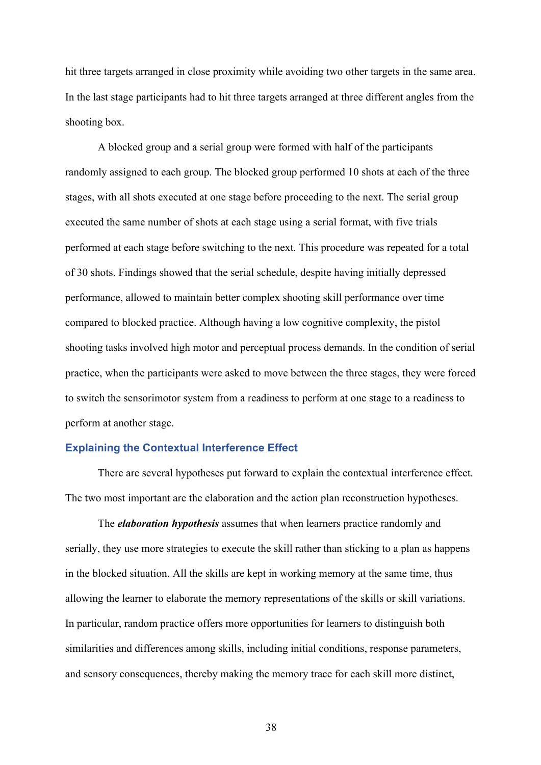hit three targets arranged in close proximity while avoiding two other targets in the same area. In the last stage participants had to hit three targets arranged at three different angles from the shooting box.

A blocked group and a serial group were formed with half of the participants randomly assigned to each group. The blocked group performed 10 shots at each of the three stages, with all shots executed at one stage before proceeding to the next. The serial group executed the same number of shots at each stage using a serial format, with five trials performed at each stage before switching to the next. This procedure was repeated for a total of 30 shots. Findings showed that the serial schedule, despite having initially depressed performance, allowed to maintain better complex shooting skill performance over time compared to blocked practice. Although having a low cognitive complexity, the pistol shooting tasks involved high motor and perceptual process demands. In the condition of serial practice, when the participants were asked to move between the three stages, they were forced to switch the sensorimotor system from a readiness to perform at one stage to a readiness to perform at another stage.

#### **Explaining the Contextual Interference Effect**

There are several hypotheses put forward to explain the contextual interference effect. The two most important are the elaboration and the action plan reconstruction hypotheses.

The *elaboration hypothesis* assumes that when learners practice randomly and serially, they use more strategies to execute the skill rather than sticking to a plan as happens in the blocked situation. All the skills are kept in working memory at the same time, thus allowing the learner to elaborate the memory representations of the skills or skill variations. In particular, random practice offers more opportunities for learners to distinguish both similarities and differences among skills, including initial conditions, response parameters, and sensory consequences, thereby making the memory trace for each skill more distinct,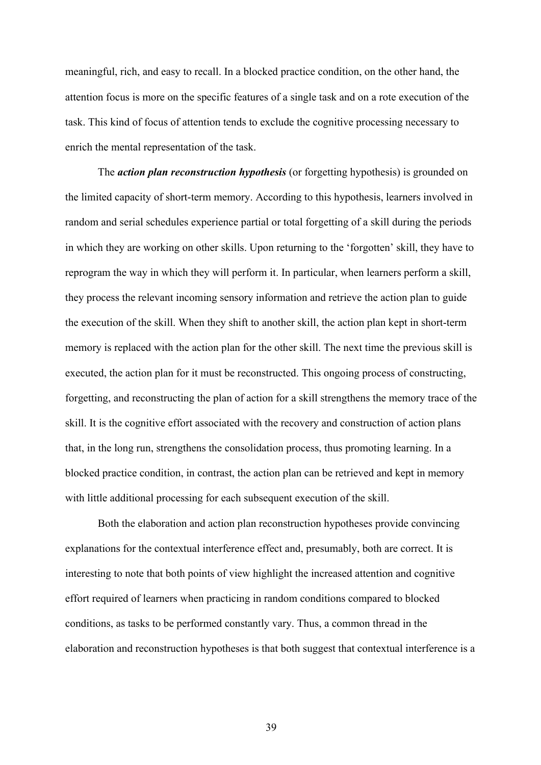meaningful, rich, and easy to recall. In a blocked practice condition, on the other hand, the attention focus is more on the specific features of a single task and on a rote execution of the task. This kind of focus of attention tends to exclude the cognitive processing necessary to enrich the mental representation of the task.

The *action plan reconstruction hypothesis* (or forgetting hypothesis) is grounded on the limited capacity of short-term memory. According to this hypothesis, learners involved in random and serial schedules experience partial or total forgetting of a skill during the periods in which they are working on other skills. Upon returning to the 'forgotten' skill, they have to reprogram the way in which they will perform it. In particular, when learners perform a skill, they process the relevant incoming sensory information and retrieve the action plan to guide the execution of the skill. When they shift to another skill, the action plan kept in short-term memory is replaced with the action plan for the other skill. The next time the previous skill is executed, the action plan for it must be reconstructed. This ongoing process of constructing, forgetting, and reconstructing the plan of action for a skill strengthens the memory trace of the skill. It is the cognitive effort associated with the recovery and construction of action plans that, in the long run, strengthens the consolidation process, thus promoting learning. In a blocked practice condition, in contrast, the action plan can be retrieved and kept in memory with little additional processing for each subsequent execution of the skill.

Both the elaboration and action plan reconstruction hypotheses provide convincing explanations for the contextual interference effect and, presumably, both are correct. It is interesting to note that both points of view highlight the increased attention and cognitive effort required of learners when practicing in random conditions compared to blocked conditions, as tasks to be performed constantly vary. Thus, a common thread in the elaboration and reconstruction hypotheses is that both suggest that contextual interference is a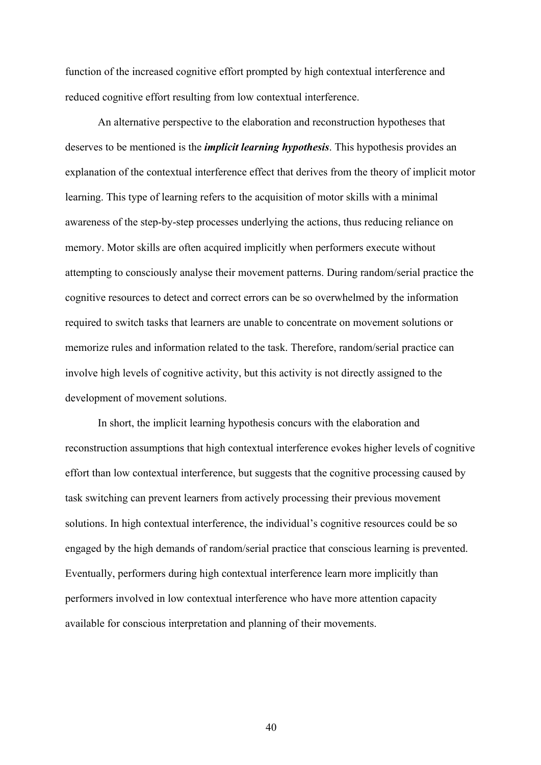function of the increased cognitive effort prompted by high contextual interference and reduced cognitive effort resulting from low contextual interference.

An alternative perspective to the elaboration and reconstruction hypotheses that deserves to be mentioned is the *implicit learning hypothesis*. This hypothesis provides an explanation of the contextual interference effect that derives from the theory of implicit motor learning. This type of learning refers to the acquisition of motor skills with a minimal awareness of the step-by-step processes underlying the actions, thus reducing reliance on memory. Motor skills are often acquired implicitly when performers execute without attempting to consciously analyse their movement patterns. During random/serial practice the cognitive resources to detect and correct errors can be so overwhelmed by the information required to switch tasks that learners are unable to concentrate on movement solutions or memorize rules and information related to the task. Therefore, random/serial practice can involve high levels of cognitive activity, but this activity is not directly assigned to the development of movement solutions.

In short, the implicit learning hypothesis concurs with the elaboration and reconstruction assumptions that high contextual interference evokes higher levels of cognitive effort than low contextual interference, but suggests that the cognitive processing caused by task switching can prevent learners from actively processing their previous movement solutions. In high contextual interference, the individual's cognitive resources could be so engaged by the high demands of random/serial practice that conscious learning is prevented. Eventually, performers during high contextual interference learn more implicitly than performers involved in low contextual interference who have more attention capacity available for conscious interpretation and planning of their movements.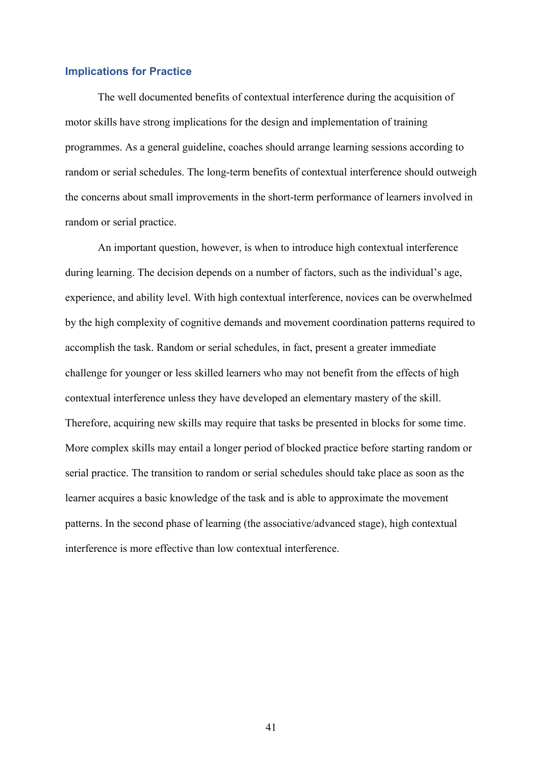#### **Implications for Practice**

The well documented benefits of contextual interference during the acquisition of motor skills have strong implications for the design and implementation of training programmes. As a general guideline, coaches should arrange learning sessions according to random or serial schedules. The long-term benefits of contextual interference should outweigh the concerns about small improvements in the short-term performance of learners involved in random or serial practice.

An important question, however, is when to introduce high contextual interference during learning. The decision depends on a number of factors, such as the individual's age, experience, and ability level. With high contextual interference, novices can be overwhelmed by the high complexity of cognitive demands and movement coordination patterns required to accomplish the task. Random or serial schedules, in fact, present a greater immediate challenge for younger or less skilled learners who may not benefit from the effects of high contextual interference unless they have developed an elementary mastery of the skill. Therefore, acquiring new skills may require that tasks be presented in blocks for some time. More complex skills may entail a longer period of blocked practice before starting random or serial practice. The transition to random or serial schedules should take place as soon as the learner acquires a basic knowledge of the task and is able to approximate the movement patterns. In the second phase of learning (the associative/advanced stage), high contextual interference is more effective than low contextual interference.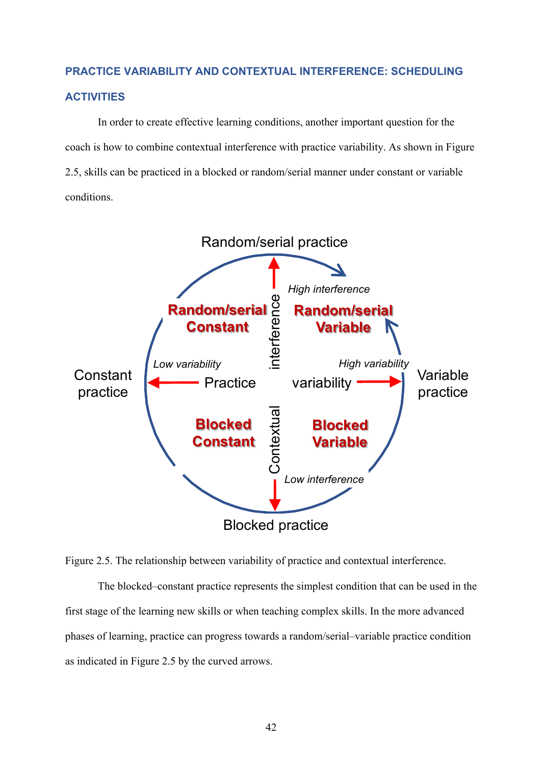# **PRACTICE VARIABILITY AND CONTEXTUAL INTERFERENCE: SCHEDULING ACTIVITIES**

In order to create effective learning conditions, another important question for the coach is how to combine contextual interference with practice variability. As shown in Figure 2.5, skills can be practiced in a blocked or random/serial manner under constant or variable conditions.



Figure 2.5. The relationship between variability of practice and contextual interference.

The blocked–constant practice represents the simplest condition that can be used in the first stage of the learning new skills or when teaching complex skills. In the more advanced phases of learning, practice can progress towards a random/serial–variable practice condition as indicated in Figure 2.5 by the curved arrows.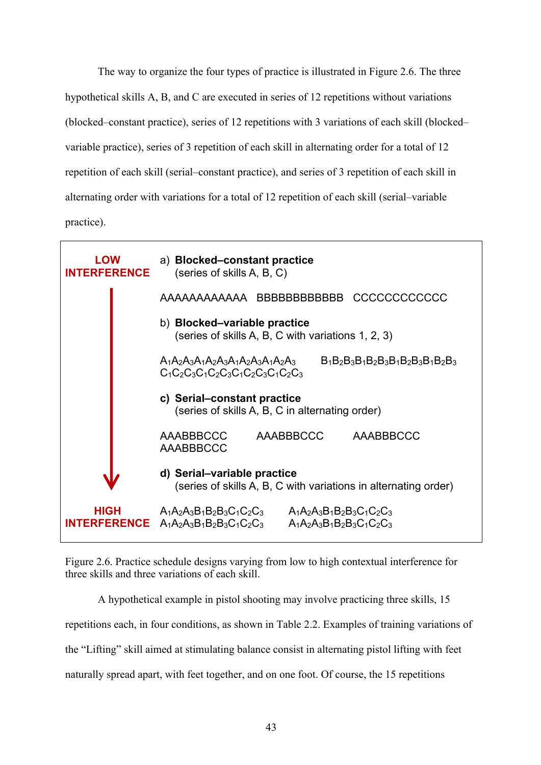The way to organize the four types of practice is illustrated in Figure 2.6. The three hypothetical skills A, B, and C are executed in series of 12 repetitions without variations (blocked–constant practice), series of 12 repetitions with 3 variations of each skill (blocked– variable practice), series of 3 repetition of each skill in alternating order for a total of 12 repetition of each skill (serial–constant practice), and series of 3 repetition of each skill in alternating order with variations for a total of 12 repetition of each skill (serial–variable practice).



Figure 2.6. Practice schedule designs varying from low to high contextual interference for three skills and three variations of each skill.

A hypothetical example in pistol shooting may involve practicing three skills, 15 repetitions each, in four conditions, as shown in Table 2.2. Examples of training variations of the "Lifting" skill aimed at stimulating balance consist in alternating pistol lifting with feet naturally spread apart, with feet together, and on one foot. Of course, the 15 repetitions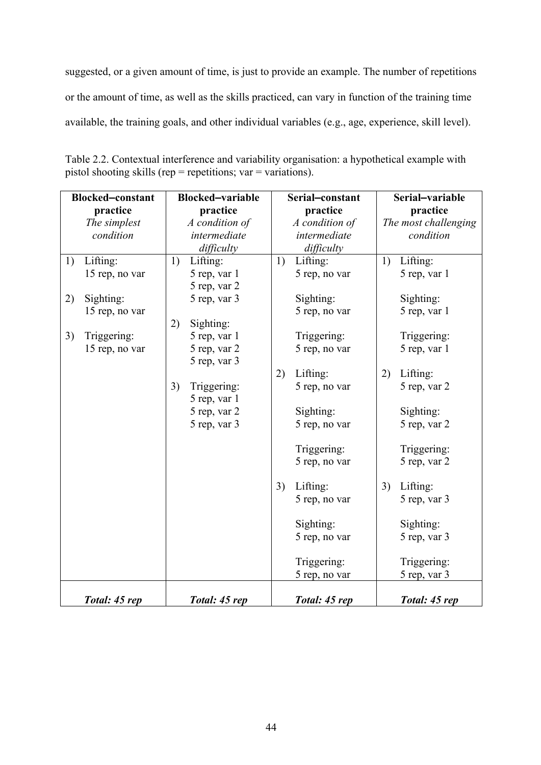suggested, or a given amount of time, is just to provide an example. The number of repetitions or the amount of time, as well as the skills practiced, can vary in function of the training time available, the training goals, and other individual variables (e.g., age, experience, skill level).

| <b>Blocked-constant</b> |                | <b>Blocked-variable</b> |                | Serial-constant |                | Serial-variable |                      |
|-------------------------|----------------|-------------------------|----------------|-----------------|----------------|-----------------|----------------------|
|                         | practice       |                         | practice       |                 | practice       |                 | practice             |
|                         | The simplest   |                         | A condition of |                 | A condition of |                 | The most challenging |
|                         | condition      |                         | intermediate   |                 | intermediate   |                 | condition            |
|                         |                |                         | difficulty     |                 | difficulty     |                 |                      |
| 1)                      | Lifting:       | 1)                      | Lifting:       | 1)              | Lifting:       | 1)              | Lifting:             |
|                         | 15 rep, no var |                         | 5 rep, var 1   |                 | 5 rep, no var  |                 | 5 rep, var 1         |
|                         |                |                         | 5 rep, var 2   |                 |                |                 |                      |
| 2)                      | Sighting:      |                         | 5 rep, var 3   |                 | Sighting:      |                 | Sighting:            |
|                         | 15 rep, no var |                         |                |                 | 5 rep, no var  |                 | 5 rep, var 1         |
|                         |                | 2)                      | Sighting:      |                 |                |                 |                      |
| 3)                      | Triggering:    |                         | 5 rep, var 1   |                 | Triggering:    |                 | Triggering:          |
|                         | 15 rep, no var |                         | 5 rep, var 2   |                 | 5 rep, no var  |                 | 5 rep, var 1         |
|                         |                |                         | 5 rep, var 3   |                 |                |                 |                      |
|                         |                |                         |                | 2)              | Lifting:       | 2)              | Lifting:             |
|                         |                | 3)                      | Triggering:    |                 | 5 rep, no var  |                 | 5 rep, var 2         |
|                         |                |                         | 5 rep, var 1   |                 |                |                 |                      |
|                         |                |                         | 5 rep, var 2   |                 | Sighting:      |                 | Sighting:            |
|                         |                |                         | 5 rep, var 3   |                 | 5 rep, no var  |                 | 5 rep, var 2         |
|                         |                |                         |                |                 | Triggering:    |                 | Triggering:          |
|                         |                |                         |                |                 | 5 rep, no var  |                 | 5 rep, var 2         |
|                         |                |                         |                |                 |                |                 |                      |
|                         |                |                         |                | 3)              | Lifting:       | 3)              | Lifting:             |
|                         |                |                         |                |                 | 5 rep, no var  |                 | 5 rep, var 3         |
|                         |                |                         |                |                 |                |                 |                      |
|                         |                |                         |                |                 | Sighting:      |                 | Sighting:            |
|                         |                |                         |                |                 | 5 rep, no var  |                 | 5 rep, var 3         |
|                         |                |                         |                |                 | Triggering:    |                 | Triggering:          |
|                         |                |                         |                |                 | 5 rep, no var  |                 | 5 rep, var 3         |
|                         | Total: 45 rep  |                         | Total: 45 rep  |                 | Total: 45 rep  |                 | Total: 45 rep        |

Table 2.2. Contextual interference and variability organisation: a hypothetical example with pistol shooting skills (rep = repetitions; var = variations).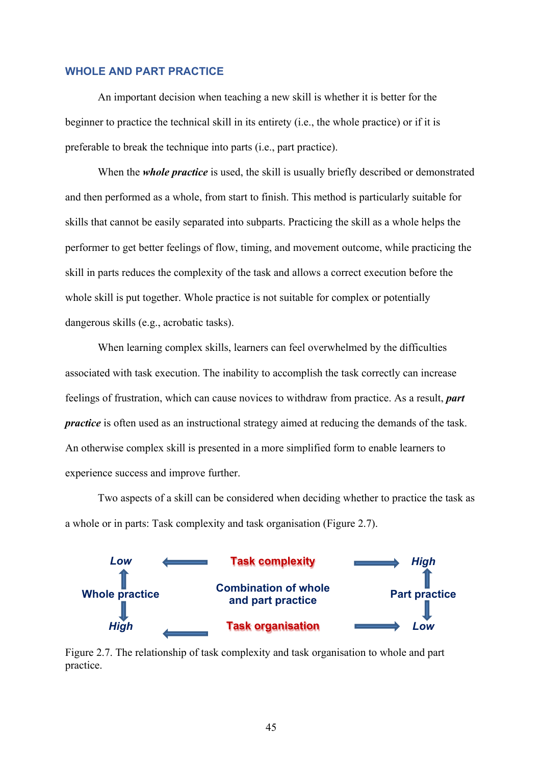#### **WHOLE AND PART PRACTICE**

An important decision when teaching a new skill is whether it is better for the beginner to practice the technical skill in its entirety (i.e., the whole practice) or if it is preferable to break the technique into parts (i.e., part practice).

When the *whole practice* is used, the skill is usually briefly described or demonstrated and then performed as a whole, from start to finish. This method is particularly suitable for skills that cannot be easily separated into subparts. Practicing the skill as a whole helps the performer to get better feelings of flow, timing, and movement outcome, while practicing the skill in parts reduces the complexity of the task and allows a correct execution before the whole skill is put together. Whole practice is not suitable for complex or potentially dangerous skills (e.g., acrobatic tasks).

When learning complex skills, learners can feel overwhelmed by the difficulties associated with task execution. The inability to accomplish the task correctly can increase feelings of frustration, which can cause novices to withdraw from practice. As a result, *part practice* is often used as an instructional strategy aimed at reducing the demands of the task. An otherwise complex skill is presented in a more simplified form to enable learners to experience success and improve further.

Two aspects of a skill can be considered when deciding whether to practice the task as a whole or in parts: Task complexity and task organisation (Figure 2.7).



Figure 2.7. The relationship of task complexity and task organisation to whole and part practice.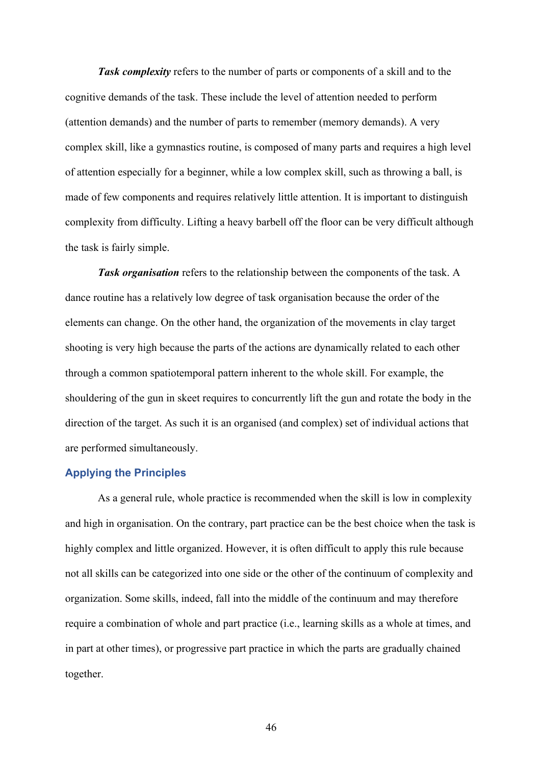*Task complexity* refers to the number of parts or components of a skill and to the cognitive demands of the task. These include the level of attention needed to perform (attention demands) and the number of parts to remember (memory demands). A very complex skill, like a gymnastics routine, is composed of many parts and requires a high level of attention especially for a beginner, while a low complex skill, such as throwing a ball, is made of few components and requires relatively little attention. It is important to distinguish complexity from difficulty. Lifting a heavy barbell off the floor can be very difficult although the task is fairly simple.

*Task organisation* refers to the relationship between the components of the task. A dance routine has a relatively low degree of task organisation because the order of the elements can change. On the other hand, the organization of the movements in clay target shooting is very high because the parts of the actions are dynamically related to each other through a common spatiotemporal pattern inherent to the whole skill. For example, the shouldering of the gun in skeet requires to concurrently lift the gun and rotate the body in the direction of the target. As such it is an organised (and complex) set of individual actions that are performed simultaneously.

#### **Applying the Principles**

As a general rule, whole practice is recommended when the skill is low in complexity and high in organisation. On the contrary, part practice can be the best choice when the task is highly complex and little organized. However, it is often difficult to apply this rule because not all skills can be categorized into one side or the other of the continuum of complexity and organization. Some skills, indeed, fall into the middle of the continuum and may therefore require a combination of whole and part practice (i.e., learning skills as a whole at times, and in part at other times), or progressive part practice in which the parts are gradually chained together.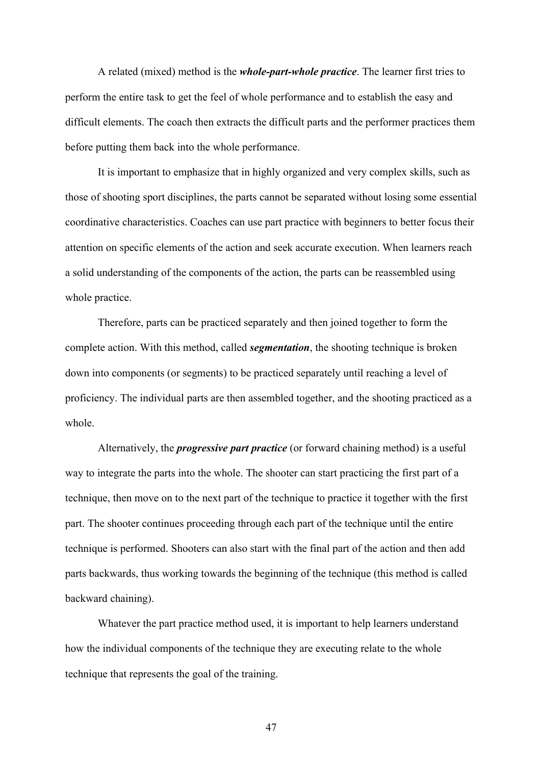A related (mixed) method is the *whole-part-whole practice*. The learner first tries to perform the entire task to get the feel of whole performance and to establish the easy and difficult elements. The coach then extracts the difficult parts and the performer practices them before putting them back into the whole performance.

It is important to emphasize that in highly organized and very complex skills, such as those of shooting sport disciplines, the parts cannot be separated without losing some essential coordinative characteristics. Coaches can use part practice with beginners to better focus their attention on specific elements of the action and seek accurate execution. When learners reach a solid understanding of the components of the action, the parts can be reassembled using whole practice.

Therefore, parts can be practiced separately and then joined together to form the complete action. With this method, called *segmentation*, the shooting technique is broken down into components (or segments) to be practiced separately until reaching a level of proficiency. The individual parts are then assembled together, and the shooting practiced as a whole.

Alternatively, the *progressive part practice* (or forward chaining method) is a useful way to integrate the parts into the whole. The shooter can start practicing the first part of a technique, then move on to the next part of the technique to practice it together with the first part. The shooter continues proceeding through each part of the technique until the entire technique is performed. Shooters can also start with the final part of the action and then add parts backwards, thus working towards the beginning of the technique (this method is called backward chaining).

Whatever the part practice method used, it is important to help learners understand how the individual components of the technique they are executing relate to the whole technique that represents the goal of the training.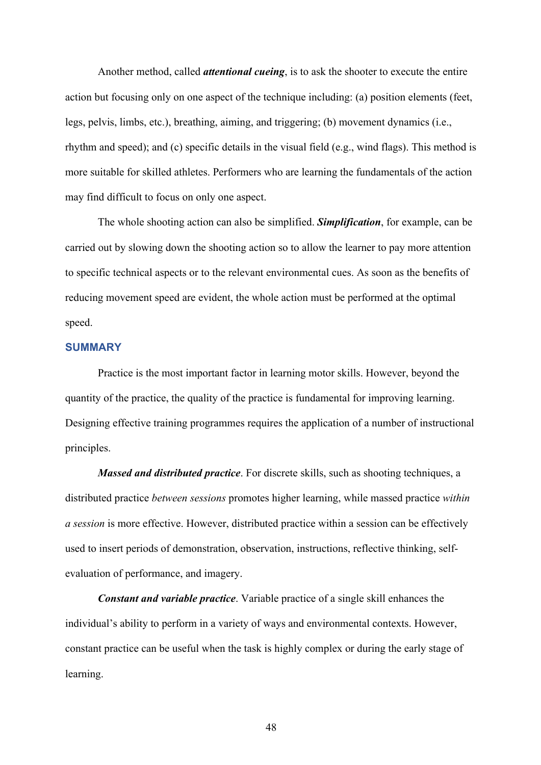Another method, called *attentional cueing*, is to ask the shooter to execute the entire action but focusing only on one aspect of the technique including: (a) position elements (feet, legs, pelvis, limbs, etc.), breathing, aiming, and triggering; (b) movement dynamics (i.e., rhythm and speed); and (c) specific details in the visual field (e.g., wind flags). This method is more suitable for skilled athletes. Performers who are learning the fundamentals of the action may find difficult to focus on only one aspect.

The whole shooting action can also be simplified. *Simplification*, for example, can be carried out by slowing down the shooting action so to allow the learner to pay more attention to specific technical aspects or to the relevant environmental cues. As soon as the benefits of reducing movement speed are evident, the whole action must be performed at the optimal speed.

#### **SUMMARY**

Practice is the most important factor in learning motor skills. However, beyond the quantity of the practice, the quality of the practice is fundamental for improving learning. Designing effective training programmes requires the application of a number of instructional principles.

*Massed and distributed practice*. For discrete skills, such as shooting techniques, a distributed practice *between sessions* promotes higher learning, while massed practice *within a session* is more effective. However, distributed practice within a session can be effectively used to insert periods of demonstration, observation, instructions, reflective thinking, selfevaluation of performance, and imagery.

*Constant and variable practice*. Variable practice of a single skill enhances the individual's ability to perform in a variety of ways and environmental contexts. However, constant practice can be useful when the task is highly complex or during the early stage of learning.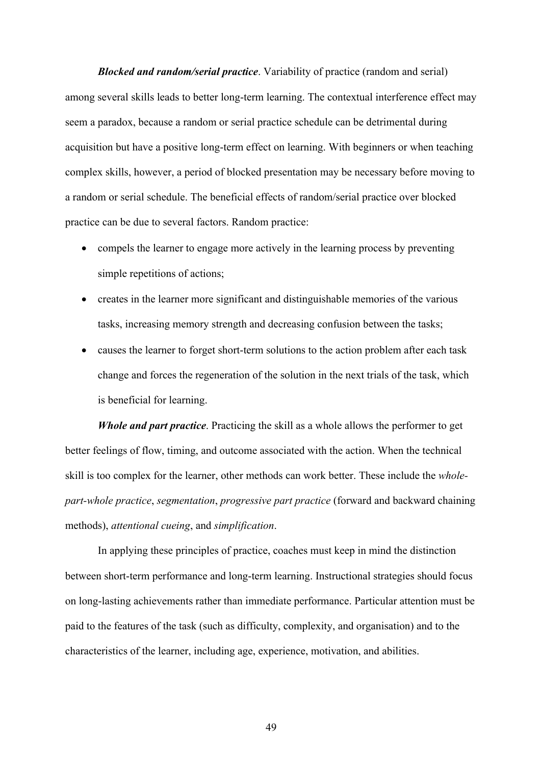*Blocked and random/serial practice*. Variability of practice (random and serial) among several skills leads to better long-term learning. The contextual interference effect may seem a paradox, because a random or serial practice schedule can be detrimental during acquisition but have a positive long-term effect on learning. With beginners or when teaching complex skills, however, a period of blocked presentation may be necessary before moving to a random or serial schedule. The beneficial effects of random/serial practice over blocked practice can be due to several factors. Random practice:

- compels the learner to engage more actively in the learning process by preventing simple repetitions of actions;
- creates in the learner more significant and distinguishable memories of the various tasks, increasing memory strength and decreasing confusion between the tasks;
- causes the learner to forget short-term solutions to the action problem after each task change and forces the regeneration of the solution in the next trials of the task, which is beneficial for learning.

*Whole and part practice*. Practicing the skill as a whole allows the performer to get better feelings of flow, timing, and outcome associated with the action. When the technical skill is too complex for the learner, other methods can work better. These include the *wholepart-whole practice*, *segmentation*, *progressive part practice* (forward and backward chaining methods), *attentional cueing*, and *simplification*.

In applying these principles of practice, coaches must keep in mind the distinction between short-term performance and long-term learning. Instructional strategies should focus on long-lasting achievements rather than immediate performance. Particular attention must be paid to the features of the task (such as difficulty, complexity, and organisation) and to the characteristics of the learner, including age, experience, motivation, and abilities.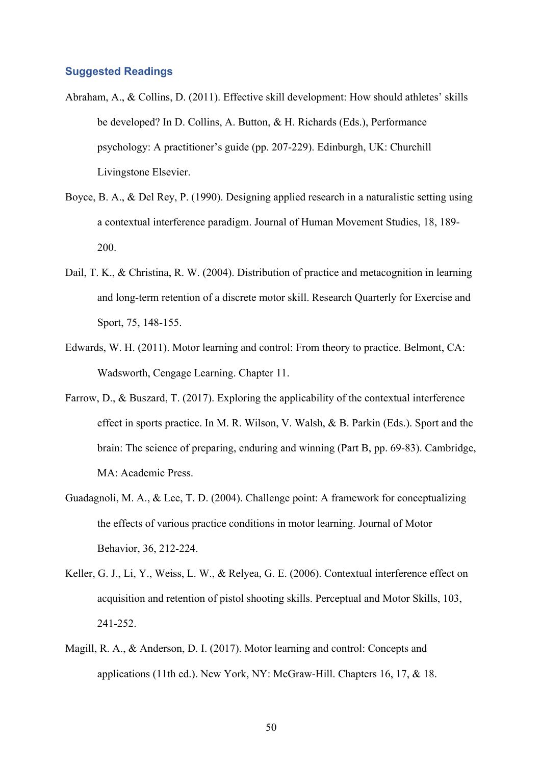#### **Suggested Readings**

- Abraham, A., & Collins, D. (2011). Effective skill development: How should athletes' skills be developed? In D. Collins, A. Button, & H. Richards (Eds.), Performance psychology: A practitioner's guide (pp. 207-229). Edinburgh, UK: Churchill Livingstone Elsevier.
- Boyce, B. A., & Del Rey, P. (1990). Designing applied research in a naturalistic setting using a contextual interference paradigm. Journal of Human Movement Studies, 18, 189- 200.
- Dail, T. K., & Christina, R. W. (2004). Distribution of practice and metacognition in learning and long-term retention of a discrete motor skill. Research Quarterly for Exercise and Sport, 75, 148-155.
- Edwards, W. H. (2011). Motor learning and control: From theory to practice. Belmont, CA: Wadsworth, Cengage Learning. Chapter 11.
- Farrow, D., & Buszard, T. (2017). Exploring the applicability of the contextual interference effect in sports practice. In M. R. Wilson, V. Walsh, & B. Parkin (Eds.). Sport and the brain: The science of preparing, enduring and winning (Part B, pp. 69-83). Cambridge, MA: Academic Press.
- Guadagnoli, M. A., & Lee, T. D. (2004). Challenge point: A framework for conceptualizing the effects of various practice conditions in motor learning. Journal of Motor Behavior, 36, 212-224.
- Keller, G. J., Li, Y., Weiss, L. W., & Relyea, G. E. (2006). Contextual interference effect on acquisition and retention of pistol shooting skills. Perceptual and Motor Skills, 103, 241-252.
- Magill, R. A., & Anderson, D. I. (2017). Motor learning and control: Concepts and applications (11th ed.). New York, NY: McGraw-Hill. Chapters 16, 17, & 18.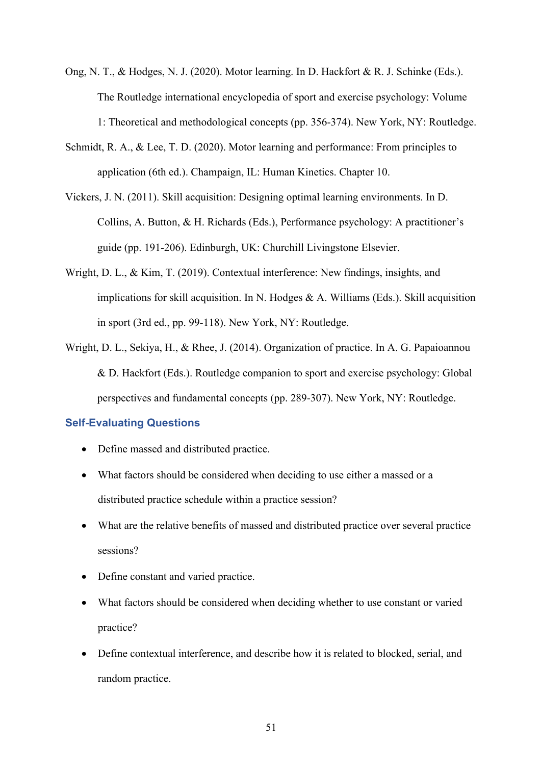- Ong, N. T., & Hodges, N. J. (2020). Motor learning. In D. Hackfort & R. J. Schinke (Eds.). The Routledge international encyclopedia of sport and exercise psychology: Volume 1: Theoretical and methodological concepts (pp. 356-374). New York, NY: Routledge.
- Schmidt, R. A., & Lee, T. D. (2020). Motor learning and performance: From principles to application (6th ed.). Champaign, IL: Human Kinetics. Chapter 10.
- Vickers, J. N. (2011). Skill acquisition: Designing optimal learning environments. In D. Collins, A. Button, & H. Richards (Eds.), Performance psychology: A practitioner's guide (pp. 191-206). Edinburgh, UK: Churchill Livingstone Elsevier.
- Wright, D. L., & Kim, T. (2019). Contextual interference: New findings, insights, and implications for skill acquisition. In N. Hodges & A. Williams (Eds.). Skill acquisition in sport (3rd ed., pp. 99-118). New York, NY: Routledge.
- Wright, D. L., Sekiya, H., & Rhee, J. (2014). Organization of practice. In A. G. Papaioannou & D. Hackfort (Eds.). Routledge companion to sport and exercise psychology: Global perspectives and fundamental concepts (pp. 289-307). New York, NY: Routledge.

#### **Self-Evaluating Questions**

- Define massed and distributed practice.
- What factors should be considered when deciding to use either a massed or a distributed practice schedule within a practice session?
- What are the relative benefits of massed and distributed practice over several practice sessions?
- Define constant and varied practice.
- What factors should be considered when deciding whether to use constant or varied practice?
- Define contextual interference, and describe how it is related to blocked, serial, and random practice.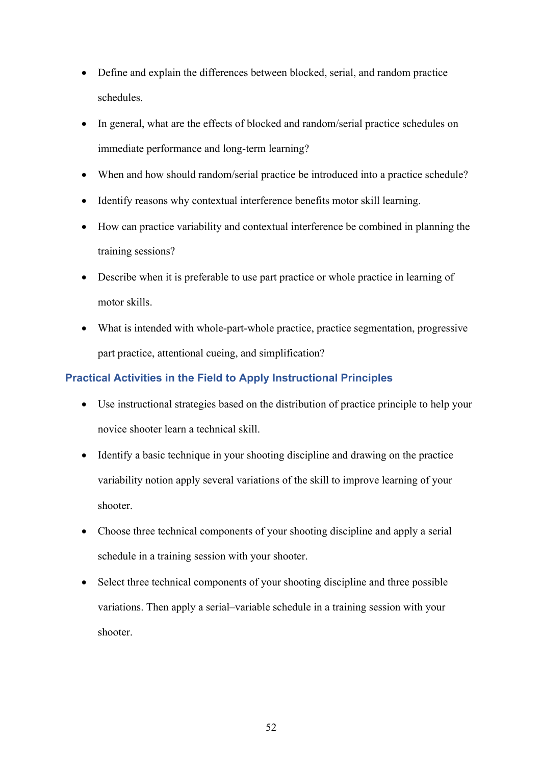- Define and explain the differences between blocked, serial, and random practice schedules.
- In general, what are the effects of blocked and random/serial practice schedules on immediate performance and long-term learning?
- When and how should random/serial practice be introduced into a practice schedule?
- Identify reasons why contextual interference benefits motor skill learning.
- How can practice variability and contextual interference be combined in planning the training sessions?
- Describe when it is preferable to use part practice or whole practice in learning of motor skills.
- What is intended with whole-part-whole practice, practice segmentation, progressive part practice, attentional cueing, and simplification?

# **Practical Activities in the Field to Apply Instructional Principles**

- Use instructional strategies based on the distribution of practice principle to help your novice shooter learn a technical skill.
- Identify a basic technique in your shooting discipline and drawing on the practice variability notion apply several variations of the skill to improve learning of your shooter.
- Choose three technical components of your shooting discipline and apply a serial schedule in a training session with your shooter.
- Select three technical components of your shooting discipline and three possible variations. Then apply a serial–variable schedule in a training session with your shooter.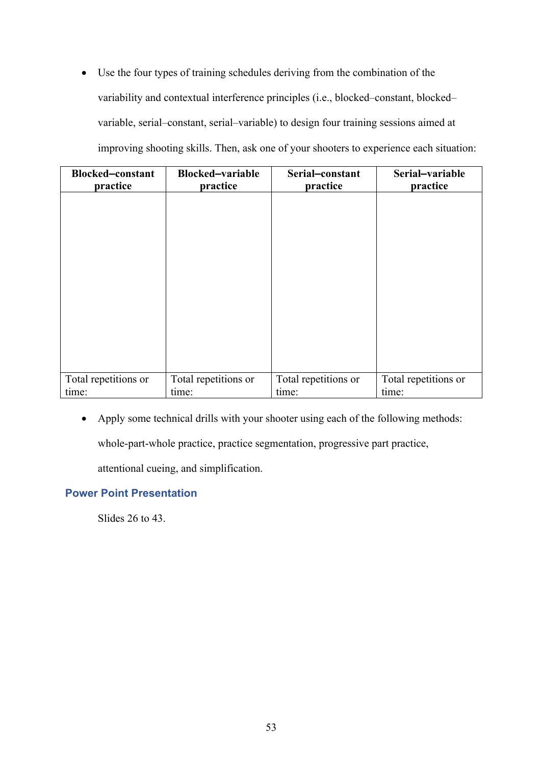• Use the four types of training schedules deriving from the combination of the variability and contextual interference principles (i.e., blocked–constant, blocked– variable, serial–constant, serial–variable) to design four training sessions aimed at improving shooting skills. Then, ask one of your shooters to experience each situation:

| <b>Blocked-constant</b><br>practice | <b>Blocked-variable</b><br>practice | Serial-constant<br>practice | Serial-variable<br>practice |
|-------------------------------------|-------------------------------------|-----------------------------|-----------------------------|
|                                     |                                     |                             |                             |
|                                     |                                     |                             |                             |
|                                     |                                     |                             |                             |
|                                     |                                     |                             |                             |
|                                     |                                     |                             |                             |
|                                     |                                     |                             |                             |
|                                     |                                     |                             |                             |
|                                     |                                     |                             |                             |
| Total repetitions or                | Total repetitions or                | Total repetitions or        | Total repetitions or        |
| time:                               | time:                               | time:                       | time:                       |

• Apply some technical drills with your shooter using each of the following methods:

whole-part-whole practice, practice segmentation, progressive part practice,

attentional cueing, and simplification.

# **Power Point Presentation**

Slides 26 to 43.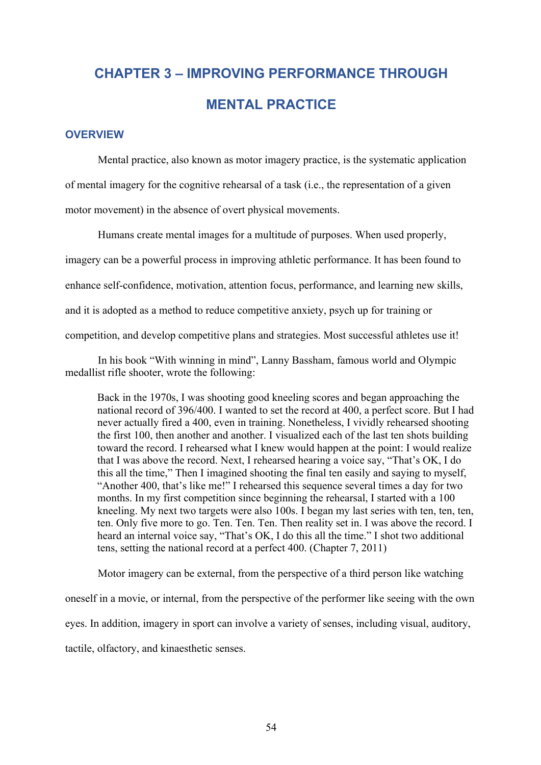# **CHAPTER 3 – IMPROVING PERFORMANCE THROUGH MENTAL PRACTICE**

# **OVERVIEW**

Mental practice, also known as motor imagery practice, is the systematic application of mental imagery for the cognitive rehearsal of a task (i.e., the representation of a given motor movement) in the absence of overt physical movements.

Humans create mental images for a multitude of purposes. When used properly, imagery can be a powerful process in improving athletic performance. It has been found to enhance self-confidence, motivation, attention focus, performance, and learning new skills, and it is adopted as a method to reduce competitive anxiety, psych up for training or competition, and develop competitive plans and strategies. Most successful athletes use it!

In his book "With winning in mind", Lanny Bassham, famous world and Olympic medallist rifle shooter, wrote the following:

Back in the 1970s, I was shooting good kneeling scores and began approaching the national record of 396/400. I wanted to set the record at 400, a perfect score. But I had never actually fired a 400, even in training. Nonetheless, I vividly rehearsed shooting the first 100, then another and another. I visualized each of the last ten shots building toward the record. I rehearsed what I knew would happen at the point: I would realize that I was above the record. Next, I rehearsed hearing a voice say, "That's OK, I do this all the time," Then I imagined shooting the final ten easily and saying to myself, "Another 400, that's like me!" I rehearsed this sequence several times a day for two months. In my first competition since beginning the rehearsal, I started with a 100 kneeling. My next two targets were also 100s. I began my last series with ten, ten, ten, ten. Only five more to go. Ten. Ten. Ten. Then reality set in. I was above the record. I heard an internal voice say, "That's OK, I do this all the time." I shot two additional tens, setting the national record at a perfect 400. (Chapter 7, 2011)

Motor imagery can be external, from the perspective of a third person like watching oneself in a movie, or internal, from the perspective of the performer like seeing with the own eyes. In addition, imagery in sport can involve a variety of senses, including visual, auditory, tactile, olfactory, and kinaesthetic senses.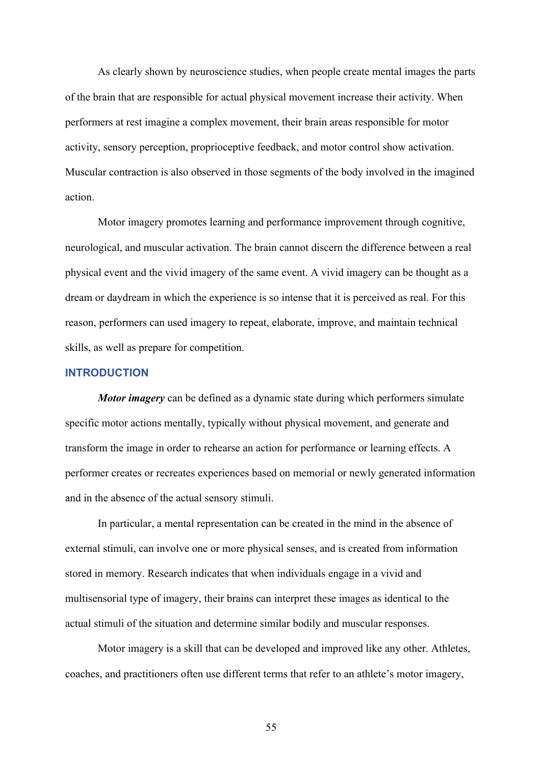As clearly shown by neuroscience studies, when people create mental images the parts of the brain that are responsible for actual physical movement increase their activity. When performers at rest imagine a complex movement, their brain areas responsible for motor activity, sensory perception, proprioceptive feedback, and motor control show activation. Muscular contraction is also observed in those segments of the body involved in the imagined action.

Motor imagery promotes learning and performance improvement through cognitive, neurological, and muscular activation. The brain cannot discern the difference between a real physical event and the vivid imagery of the same event. A vivid imagery can be thought as a dream or daydream in which the experience is so intense that it is perceived as real. For this reason, performers can used imagery to repeat, elaborate, improve, and maintain technical skills, as well as prepare for competition.

#### **INTRODUCTION**

*Motor imagery* can be defined as a dynamic state during which performers simulate specific motor actions mentally, typically without physical movement, and generate and transform the image in order to rehearse an action for performance or learning effects. A performer creates or recreates experiences based on memorial or newly generated information and in the absence of the actual sensory stimuli.

In particular, a mental representation can be created in the mind in the absence of external stimuli, can involve one or more physical senses, and is created from information stored in memory. Research indicates that when individuals engage in a vivid and multisensorial type of imagery, their brains can interpret these images as identical to the actual stimuli of the situation and determine similar bodily and muscular responses.

Motor imagery is a skill that can be developed and improved like any other. Athletes, coaches, and practitioners often use different terms that refer to an athlete's motor imagery,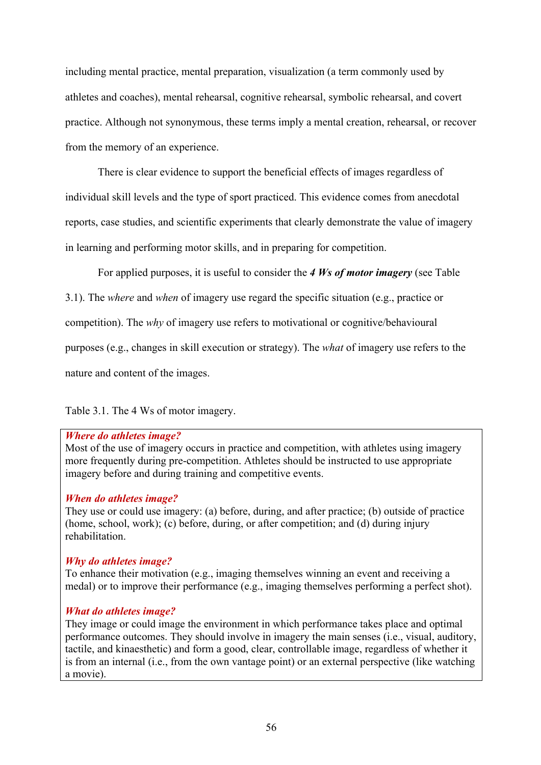including mental practice, mental preparation, visualization (a term commonly used by athletes and coaches), mental rehearsal, cognitive rehearsal, symbolic rehearsal, and covert practice. Although not synonymous, these terms imply a mental creation, rehearsal, or recover from the memory of an experience.

There is clear evidence to support the beneficial effects of images regardless of individual skill levels and the type of sport practiced. This evidence comes from anecdotal reports, case studies, and scientific experiments that clearly demonstrate the value of imagery in learning and performing motor skills, and in preparing for competition.

For applied purposes, it is useful to consider the *4 Ws of motor imagery* (see Table

3.1). The *where* and *when* of imagery use regard the specific situation (e.g., practice or

competition). The *why* of imagery use refers to motivational or cognitive/behavioural

purposes (e.g., changes in skill execution or strategy). The *what* of imagery use refers to the

nature and content of the images.

Table 3.1. The 4 Ws of motor imagery.

#### *Where do athletes image?*

Most of the use of imagery occurs in practice and competition, with athletes using imagery more frequently during pre-competition. Athletes should be instructed to use appropriate imagery before and during training and competitive events.

#### *When do athletes image?*

They use or could use imagery: (a) before, during, and after practice; (b) outside of practice (home, school, work); (c) before, during, or after competition; and (d) during injury rehabilitation.

#### *Why do athletes image?*

To enhance their motivation (e.g., imaging themselves winning an event and receiving a medal) or to improve their performance (e.g., imaging themselves performing a perfect shot).

# *What do athletes image?*

They image or could image the environment in which performance takes place and optimal performance outcomes. They should involve in imagery the main senses (i.e., visual, auditory, tactile, and kinaesthetic) and form a good, clear, controllable image, regardless of whether it is from an internal (i.e., from the own vantage point) or an external perspective (like watching a movie).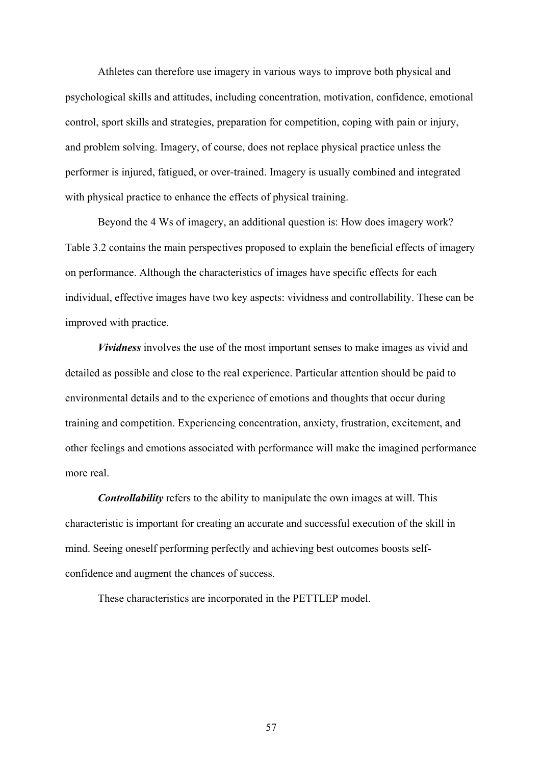Athletes can therefore use imagery in various ways to improve both physical and psychological skills and attitudes, including concentration, motivation, confidence, emotional control, sport skills and strategies, preparation for competition, coping with pain or injury, and problem solving. Imagery, of course, does not replace physical practice unless the performer is injured, fatigued, or over-trained. Imagery is usually combined and integrated with physical practice to enhance the effects of physical training.

Beyond the 4 Ws of imagery, an additional question is: How does imagery work? Table 3.2 contains the main perspectives proposed to explain the beneficial effects of imagery on performance. Although the characteristics of images have specific effects for each individual, effective images have two key aspects: vividness and controllability. These can be improved with practice.

*Vividness* involves the use of the most important senses to make images as vivid and detailed as possible and close to the real experience. Particular attention should be paid to environmental details and to the experience of emotions and thoughts that occur during training and competition. Experiencing concentration, anxiety, frustration, excitement, and other feelings and emotions associated with performance will make the imagined performance more real.

*Controllability* refers to the ability to manipulate the own images at will. This characteristic is important for creating an accurate and successful execution of the skill in mind. Seeing oneself performing perfectly and achieving best outcomes boosts selfconfidence and augment the chances of success.

These characteristics are incorporated in the PETTLEP model.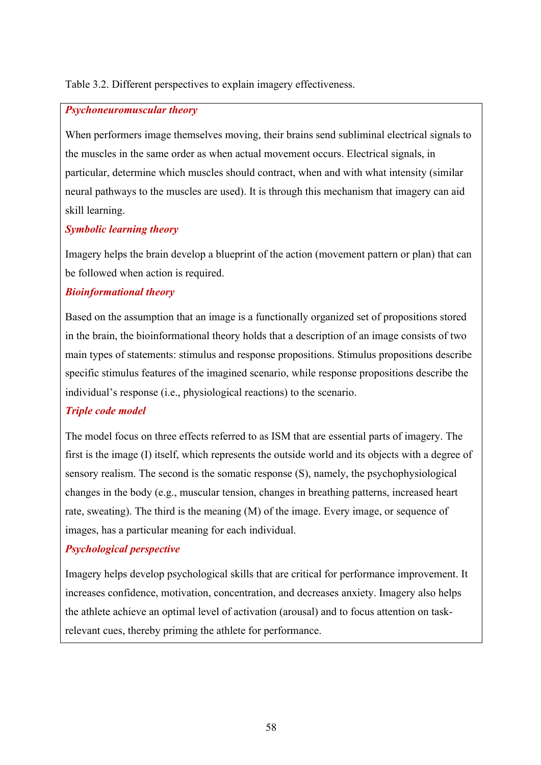#### Table 3.2. Different perspectives to explain imagery effectiveness.

#### *Psychoneuromuscular theory*

When performers image themselves moving, their brains send subliminal electrical signals to the muscles in the same order as when actual movement occurs. Electrical signals, in particular, determine which muscles should contract, when and with what intensity (similar neural pathways to the muscles are used). It is through this mechanism that imagery can aid skill learning.

#### *Symbolic learning theory*

Imagery helps the brain develop a blueprint of the action (movement pattern or plan) that can be followed when action is required.

#### *Bioinformational theory*

Based on the assumption that an image is a functionally organized set of propositions stored in the brain, the bioinformational theory holds that a description of an image consists of two main types of statements: stimulus and response propositions. Stimulus propositions describe specific stimulus features of the imagined scenario, while response propositions describe the individual's response (i.e., physiological reactions) to the scenario.

# *Triple code model*

The model focus on three effects referred to as ISM that are essential parts of imagery. The first is the image (I) itself, which represents the outside world and its objects with a degree of sensory realism. The second is the somatic response (S), namely, the psychophysiological changes in the body (e.g., muscular tension, changes in breathing patterns, increased heart rate, sweating). The third is the meaning (M) of the image. Every image, or sequence of images, has a particular meaning for each individual.

#### *Psychological perspective*

Imagery helps develop psychological skills that are critical for performance improvement. It increases confidence, motivation, concentration, and decreases anxiety. Imagery also helps the athlete achieve an optimal level of activation (arousal) and to focus attention on taskrelevant cues, thereby priming the athlete for performance.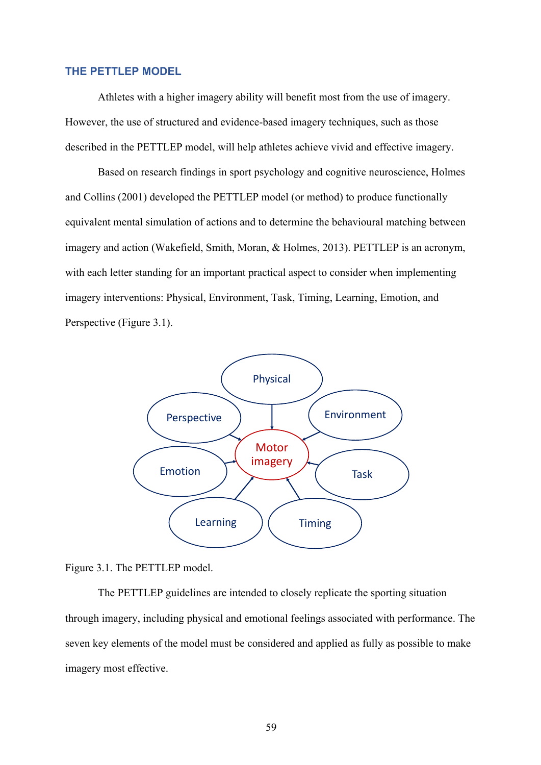#### **THE PETTLEP MODEL**

Athletes with a higher imagery ability will benefit most from the use of imagery. However, the use of structured and evidence-based imagery techniques, such as those described in the PETTLEP model, will help athletes achieve vivid and effective imagery.

Based on research findings in sport psychology and cognitive neuroscience, Holmes and Collins (2001) developed the PETTLEP model (or method) to produce functionally equivalent mental simulation of actions and to determine the behavioural matching between imagery and action (Wakefield, Smith, Moran, & Holmes, 2013). PETTLEP is an acronym, with each letter standing for an important practical aspect to consider when implementing imagery interventions: Physical, Environment, Task, Timing, Learning, Emotion, and Perspective (Figure 3.1).



#### Figure 3.1. The PETTLEP model.

The PETTLEP guidelines are intended to closely replicate the sporting situation through imagery, including physical and emotional feelings associated with performance. The seven key elements of the model must be considered and applied as fully as possible to make imagery most effective.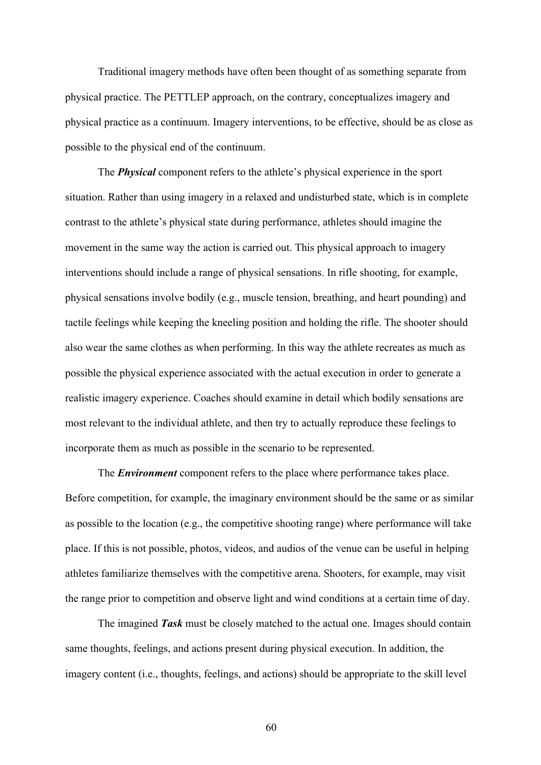Traditional imagery methods have often been thought of as something separate from physical practice. The PETTLEP approach, on the contrary, conceptualizes imagery and physical practice as a continuum. Imagery interventions, to be effective, should be as close as possible to the physical end of the continuum.

The *Physical* component refers to the athlete's physical experience in the sport situation. Rather than using imagery in a relaxed and undisturbed state, which is in complete contrast to the athlete's physical state during performance, athletes should imagine the movement in the same way the action is carried out. This physical approach to imagery interventions should include a range of physical sensations. In rifle shooting, for example, physical sensations involve bodily (e.g., muscle tension, breathing, and heart pounding) and tactile feelings while keeping the kneeling position and holding the rifle. The shooter should also wear the same clothes as when performing. In this way the athlete recreates as much as possible the physical experience associated with the actual execution in order to generate a realistic imagery experience. Coaches should examine in detail which bodily sensations are most relevant to the individual athlete, and then try to actually reproduce these feelings to incorporate them as much as possible in the scenario to be represented.

The *Environment* component refers to the place where performance takes place. Before competition, for example, the imaginary environment should be the same or as similar as possible to the location (e.g., the competitive shooting range) where performance will take place. If this is not possible, photos, videos, and audios of the venue can be useful in helping athletes familiarize themselves with the competitive arena. Shooters, for example, may visit the range prior to competition and observe light and wind conditions at a certain time of day.

The imagined *Task* must be closely matched to the actual one. Images should contain same thoughts, feelings, and actions present during physical execution. In addition, the imagery content (i.e., thoughts, feelings, and actions) should be appropriate to the skill level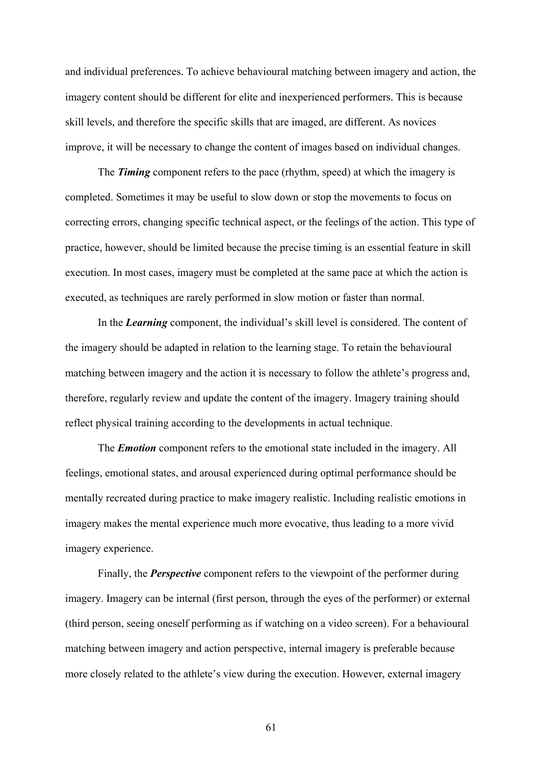and individual preferences. To achieve behavioural matching between imagery and action, the imagery content should be different for elite and inexperienced performers. This is because skill levels, and therefore the specific skills that are imaged, are different. As novices improve, it will be necessary to change the content of images based on individual changes.

The *Timing* component refers to the pace (rhythm, speed) at which the imagery is completed. Sometimes it may be useful to slow down or stop the movements to focus on correcting errors, changing specific technical aspect, or the feelings of the action. This type of practice, however, should be limited because the precise timing is an essential feature in skill execution. In most cases, imagery must be completed at the same pace at which the action is executed, as techniques are rarely performed in slow motion or faster than normal.

In the *Learning* component, the individual's skill level is considered. The content of the imagery should be adapted in relation to the learning stage. To retain the behavioural matching between imagery and the action it is necessary to follow the athlete's progress and, therefore, regularly review and update the content of the imagery. Imagery training should reflect physical training according to the developments in actual technique.

The *Emotion* component refers to the emotional state included in the imagery. All feelings, emotional states, and arousal experienced during optimal performance should be mentally recreated during practice to make imagery realistic. Including realistic emotions in imagery makes the mental experience much more evocative, thus leading to a more vivid imagery experience.

Finally, the *Perspective* component refers to the viewpoint of the performer during imagery. Imagery can be internal (first person, through the eyes of the performer) or external (third person, seeing oneself performing as if watching on a video screen). For a behavioural matching between imagery and action perspective, internal imagery is preferable because more closely related to the athlete's view during the execution. However, external imagery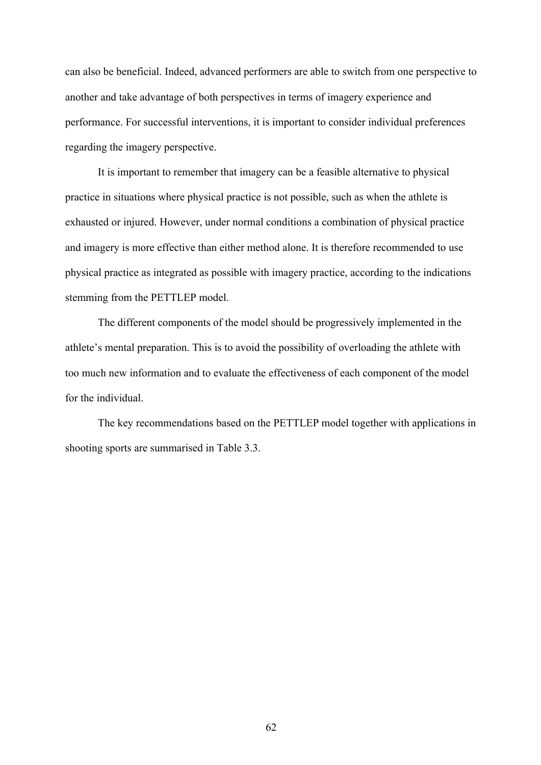can also be beneficial. Indeed, advanced performers are able to switch from one perspective to another and take advantage of both perspectives in terms of imagery experience and performance. For successful interventions, it is important to consider individual preferences regarding the imagery perspective.

It is important to remember that imagery can be a feasible alternative to physical practice in situations where physical practice is not possible, such as when the athlete is exhausted or injured. However, under normal conditions a combination of physical practice and imagery is more effective than either method alone. It is therefore recommended to use physical practice as integrated as possible with imagery practice, according to the indications stemming from the PETTLEP model.

The different components of the model should be progressively implemented in the athlete's mental preparation. This is to avoid the possibility of overloading the athlete with too much new information and to evaluate the effectiveness of each component of the model for the individual.

The key recommendations based on the PETTLEP model together with applications in shooting sports are summarised in Table 3.3.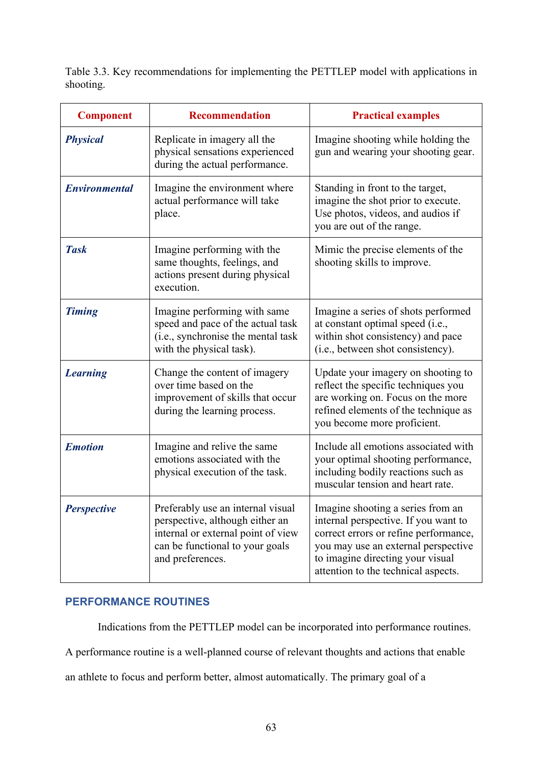Table 3.3. Key recommendations for implementing the PETTLEP model with applications in shooting.

| <b>Component</b>     | <b>Recommendation</b>                                                                                                                                             | <b>Practical examples</b>                                                                                                                                                                                                            |
|----------------------|-------------------------------------------------------------------------------------------------------------------------------------------------------------------|--------------------------------------------------------------------------------------------------------------------------------------------------------------------------------------------------------------------------------------|
| <b>Physical</b>      | Replicate in imagery all the<br>physical sensations experienced<br>during the actual performance.                                                                 | Imagine shooting while holding the<br>gun and wearing your shooting gear.                                                                                                                                                            |
| <b>Environmental</b> | Imagine the environment where<br>actual performance will take<br>place.                                                                                           | Standing in front to the target,<br>imagine the shot prior to execute.<br>Use photos, videos, and audios if<br>you are out of the range.                                                                                             |
| <b>Task</b>          | Imagine performing with the<br>same thoughts, feelings, and<br>actions present during physical<br>execution.                                                      | Mimic the precise elements of the<br>shooting skills to improve.                                                                                                                                                                     |
| <b>Timing</b>        | Imagine performing with same<br>speed and pace of the actual task<br>(i.e., synchronise the mental task<br>with the physical task).                               | Imagine a series of shots performed<br>at constant optimal speed (i.e.,<br>within shot consistency) and pace<br>(i.e., between shot consistency).                                                                                    |
| <b>Learning</b>      | Change the content of imagery<br>over time based on the<br>improvement of skills that occur<br>during the learning process.                                       | Update your imagery on shooting to<br>reflect the specific techniques you<br>are working on. Focus on the more<br>refined elements of the technique as<br>you become more proficient.                                                |
| <b>Emotion</b>       | Imagine and relive the same<br>emotions associated with the<br>physical execution of the task.                                                                    | Include all emotions associated with<br>your optimal shooting performance,<br>including bodily reactions such as<br>muscular tension and heart rate.                                                                                 |
| <b>Perspective</b>   | Preferably use an internal visual<br>perspective, although either an<br>internal or external point of view<br>can be functional to your goals<br>and preferences. | Imagine shooting a series from an<br>internal perspective. If you want to<br>correct errors or refine performance,<br>you may use an external perspective<br>to imagine directing your visual<br>attention to the technical aspects. |

# **PERFORMANCE ROUTINES**

Indications from the PETTLEP model can be incorporated into performance routines.

A performance routine is a well-planned course of relevant thoughts and actions that enable

an athlete to focus and perform better, almost automatically. The primary goal of a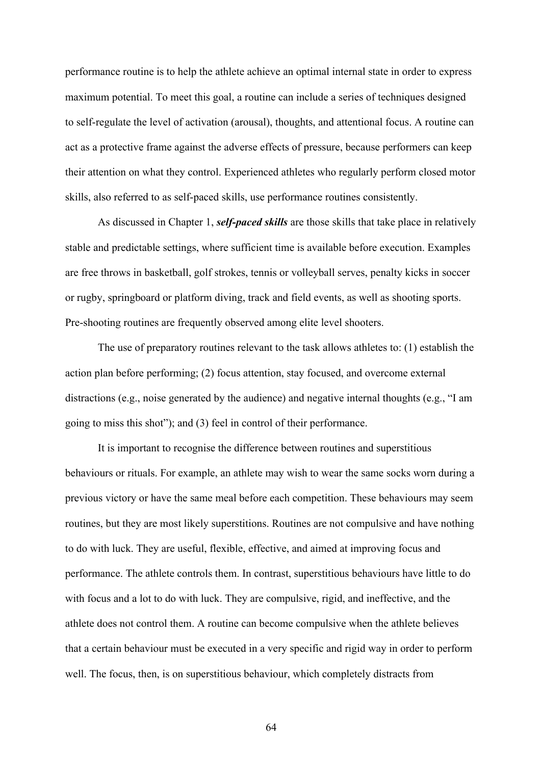performance routine is to help the athlete achieve an optimal internal state in order to express maximum potential. To meet this goal, a routine can include a series of techniques designed to self-regulate the level of activation (arousal), thoughts, and attentional focus. A routine can act as a protective frame against the adverse effects of pressure, because performers can keep their attention on what they control. Experienced athletes who regularly perform closed motor skills, also referred to as self-paced skills, use performance routines consistently.

As discussed in Chapter 1, *self-paced skills* are those skills that take place in relatively stable and predictable settings, where sufficient time is available before execution. Examples are free throws in basketball, golf strokes, tennis or volleyball serves, penalty kicks in soccer or rugby, springboard or platform diving, track and field events, as well as shooting sports. Pre-shooting routines are frequently observed among elite level shooters.

The use of preparatory routines relevant to the task allows athletes to: (1) establish the action plan before performing; (2) focus attention, stay focused, and overcome external distractions (e.g., noise generated by the audience) and negative internal thoughts (e.g., "I am going to miss this shot"); and (3) feel in control of their performance.

It is important to recognise the difference between routines and superstitious behaviours or rituals. For example, an athlete may wish to wear the same socks worn during a previous victory or have the same meal before each competition. These behaviours may seem routines, but they are most likely superstitions. Routines are not compulsive and have nothing to do with luck. They are useful, flexible, effective, and aimed at improving focus and performance. The athlete controls them. In contrast, superstitious behaviours have little to do with focus and a lot to do with luck. They are compulsive, rigid, and ineffective, and the athlete does not control them. A routine can become compulsive when the athlete believes that a certain behaviour must be executed in a very specific and rigid way in order to perform well. The focus, then, is on superstitious behaviour, which completely distracts from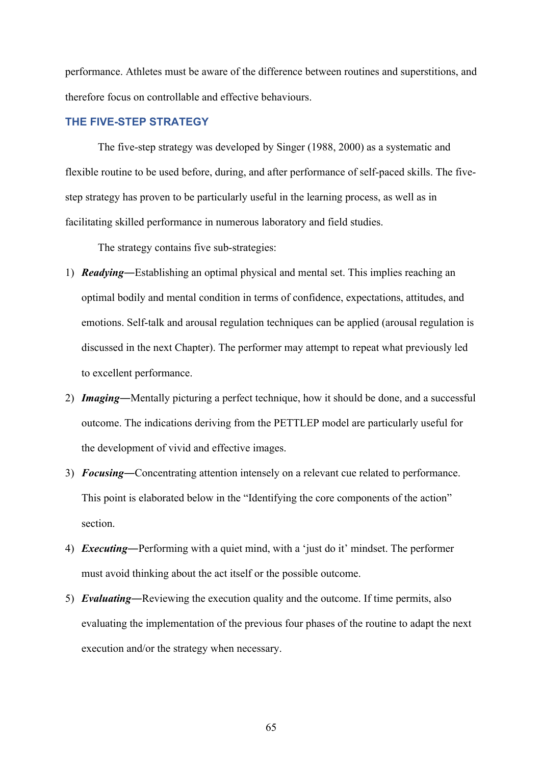performance. Athletes must be aware of the difference between routines and superstitions, and therefore focus on controllable and effective behaviours.

#### **THE FIVE-STEP STRATEGY**

The five-step strategy was developed by Singer (1988, 2000) as a systematic and flexible routine to be used before, during, and after performance of self-paced skills. The fivestep strategy has proven to be particularly useful in the learning process, as well as in facilitating skilled performance in numerous laboratory and field studies.

The strategy contains five sub-strategies:

- 1) *Readying*―Establishing an optimal physical and mental set. This implies reaching an optimal bodily and mental condition in terms of confidence, expectations, attitudes, and emotions. Self-talk and arousal regulation techniques can be applied (arousal regulation is discussed in the next Chapter). The performer may attempt to repeat what previously led to excellent performance.
- 2) *Imaging*―Mentally picturing a perfect technique, how it should be done, and a successful outcome. The indications deriving from the PETTLEP model are particularly useful for the development of vivid and effective images.
- 3) *Focusing*―Concentrating attention intensely on a relevant cue related to performance. This point is elaborated below in the "Identifying the core components of the action" section.
- 4) *Executing*―Performing with a quiet mind, with a 'just do it' mindset. The performer must avoid thinking about the act itself or the possible outcome.
- 5) *Evaluating*―Reviewing the execution quality and the outcome. If time permits, also evaluating the implementation of the previous four phases of the routine to adapt the next execution and/or the strategy when necessary.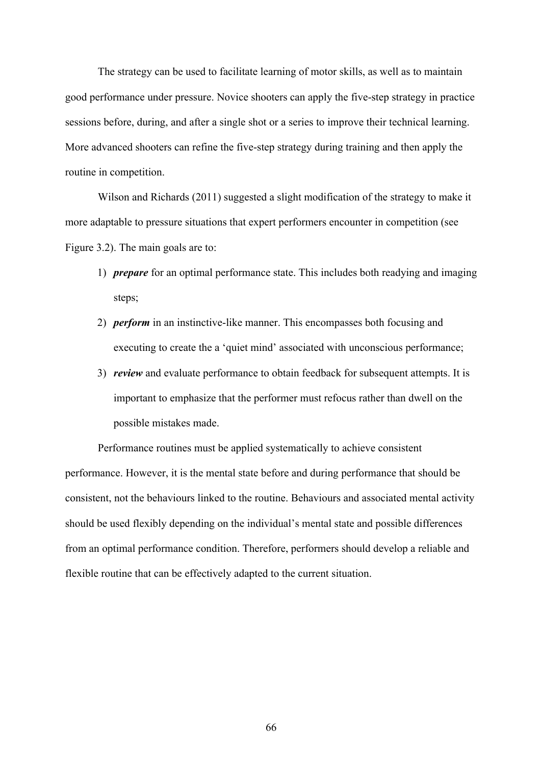The strategy can be used to facilitate learning of motor skills, as well as to maintain good performance under pressure. Novice shooters can apply the five-step strategy in practice sessions before, during, and after a single shot or a series to improve their technical learning. More advanced shooters can refine the five-step strategy during training and then apply the routine in competition.

Wilson and Richards (2011) suggested a slight modification of the strategy to make it more adaptable to pressure situations that expert performers encounter in competition (see Figure 3.2). The main goals are to:

- 1) *prepare* for an optimal performance state. This includes both readying and imaging steps;
- 2) *perform* in an instinctive-like manner. This encompasses both focusing and executing to create the a 'quiet mind' associated with unconscious performance;
- 3) *review* and evaluate performance to obtain feedback for subsequent attempts. It is important to emphasize that the performer must refocus rather than dwell on the possible mistakes made.

Performance routines must be applied systematically to achieve consistent performance. However, it is the mental state before and during performance that should be consistent, not the behaviours linked to the routine. Behaviours and associated mental activity should be used flexibly depending on the individual's mental state and possible differences from an optimal performance condition. Therefore, performers should develop a reliable and flexible routine that can be effectively adapted to the current situation.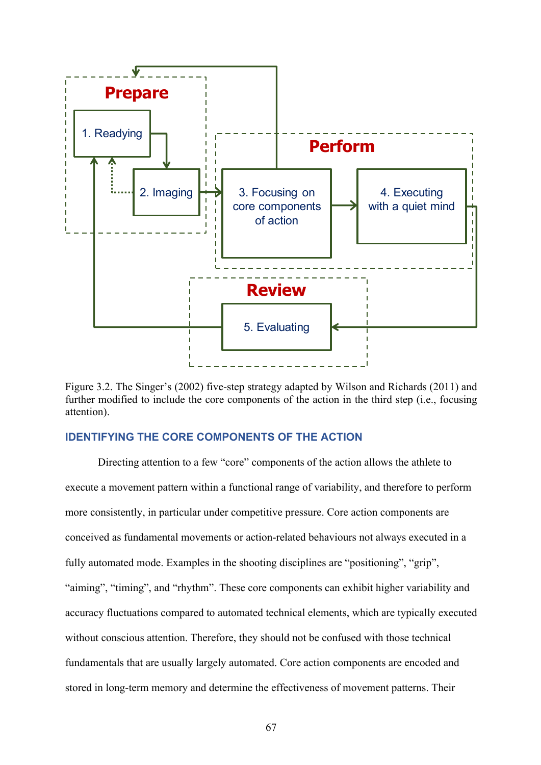

Figure 3.2. The Singer's (2002) five-step strategy adapted by Wilson and Richards (2011) and further modified to include the core components of the action in the third step (i.e., focusing attention).

#### **IDENTIFYING THE CORE COMPONENTS OF THE ACTION**

Directing attention to a few "core" components of the action allows the athlete to execute a movement pattern within a functional range of variability, and therefore to perform more consistently, in particular under competitive pressure. Core action components are conceived as fundamental movements or action-related behaviours not always executed in a fully automated mode. Examples in the shooting disciplines are "positioning", "grip", "aiming", "timing", and "rhythm". These core components can exhibit higher variability and accuracy fluctuations compared to automated technical elements, which are typically executed without conscious attention. Therefore, they should not be confused with those technical fundamentals that are usually largely automated. Core action components are encoded and stored in long-term memory and determine the effectiveness of movement patterns. Their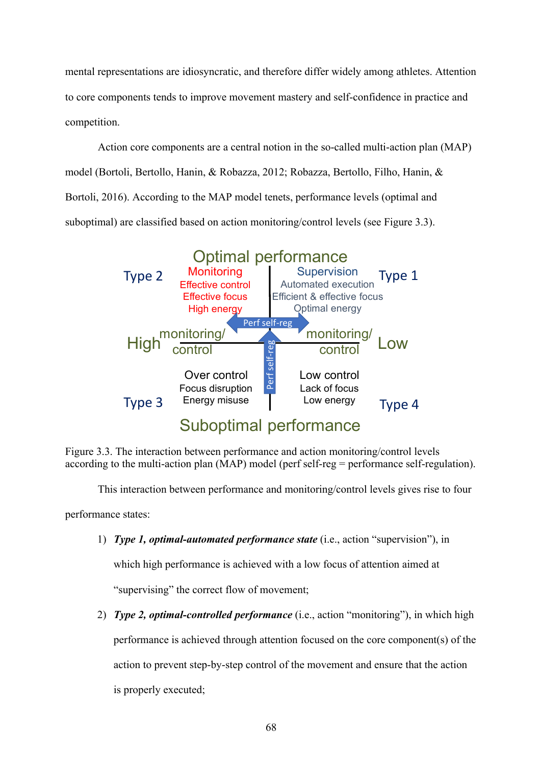mental representations are idiosyncratic, and therefore differ widely among athletes. Attention to core components tends to improve movement mastery and self-confidence in practice and competition.

Action core components are a central notion in the so-called multi-action plan (MAP) model (Bortoli, Bertollo, Hanin, & Robazza, 2012; Robazza, Bertollo, Filho, Hanin, & Bortoli, 2016). According to the MAP model tenets, performance levels (optimal and suboptimal) are classified based on action monitoring/control levels (see Figure 3.3).



Figure 3.3. The interaction between performance and action monitoring/control levels according to the multi-action plan (MAP) model (perf self-reg = performance self-regulation).

This interaction between performance and monitoring/control levels gives rise to four

performance states:

1) *Type 1, optimal-automated performance state* (i.e., action "supervision"), in

which high performance is achieved with a low focus of attention aimed at

"supervising" the correct flow of movement;

2) *Type 2, optimal-controlled performance* (i.e., action "monitoring"), in which high performance is achieved through attention focused on the core component(s) of the action to prevent step-by-step control of the movement and ensure that the action is properly executed;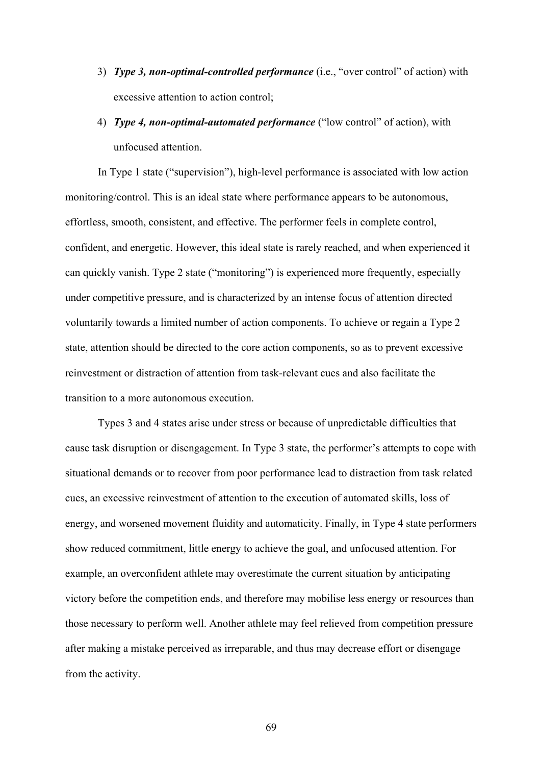- 3) *Type 3, non-optimal-controlled performance* (i.e., "over control" of action) with excessive attention to action control;
- 4) *Type 4, non-optimal-automated performance* ("low control" of action), with unfocused attention.

In Type 1 state ("supervision"), high-level performance is associated with low action monitoring/control. This is an ideal state where performance appears to be autonomous, effortless, smooth, consistent, and effective. The performer feels in complete control, confident, and energetic. However, this ideal state is rarely reached, and when experienced it can quickly vanish. Type 2 state ("monitoring") is experienced more frequently, especially under competitive pressure, and is characterized by an intense focus of attention directed voluntarily towards a limited number of action components. To achieve or regain a Type 2 state, attention should be directed to the core action components, so as to prevent excessive reinvestment or distraction of attention from task-relevant cues and also facilitate the transition to a more autonomous execution.

Types 3 and 4 states arise under stress or because of unpredictable difficulties that cause task disruption or disengagement. In Type 3 state, the performer's attempts to cope with situational demands or to recover from poor performance lead to distraction from task related cues, an excessive reinvestment of attention to the execution of automated skills, loss of energy, and worsened movement fluidity and automaticity. Finally, in Type 4 state performers show reduced commitment, little energy to achieve the goal, and unfocused attention. For example, an overconfident athlete may overestimate the current situation by anticipating victory before the competition ends, and therefore may mobilise less energy or resources than those necessary to perform well. Another athlete may feel relieved from competition pressure after making a mistake perceived as irreparable, and thus may decrease effort or disengage from the activity.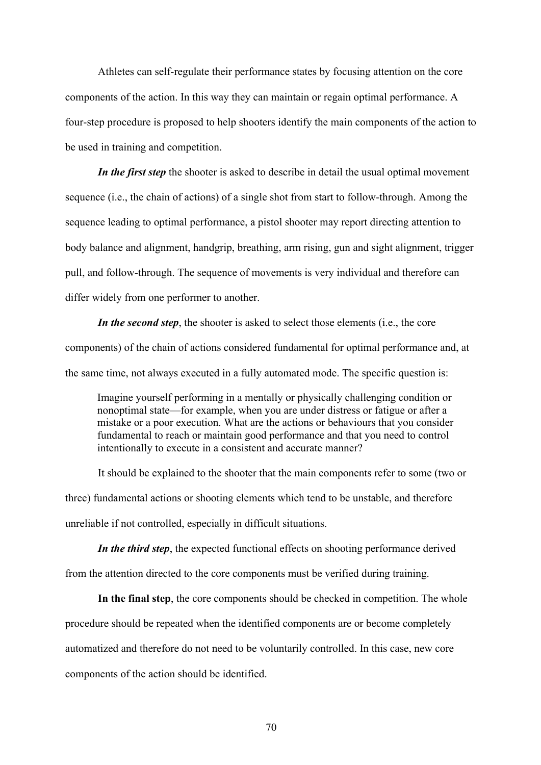Athletes can self-regulate their performance states by focusing attention on the core components of the action. In this way they can maintain or regain optimal performance. A four-step procedure is proposed to help shooters identify the main components of the action to be used in training and competition.

*In the first step* the shooter is asked to describe in detail the usual optimal movement sequence (i.e., the chain of actions) of a single shot from start to follow-through. Among the sequence leading to optimal performance, a pistol shooter may report directing attention to body balance and alignment, handgrip, breathing, arm rising, gun and sight alignment, trigger pull, and follow-through. The sequence of movements is very individual and therefore can differ widely from one performer to another.

*In the second step*, the shooter is asked to select those elements (i.e., the core components) of the chain of actions considered fundamental for optimal performance and, at the same time, not always executed in a fully automated mode. The specific question is:

Imagine yourself performing in a mentally or physically challenging condition or nonoptimal state—for example, when you are under distress or fatigue or after a mistake or a poor execution. What are the actions or behaviours that you consider fundamental to reach or maintain good performance and that you need to control intentionally to execute in a consistent and accurate manner?

It should be explained to the shooter that the main components refer to some (two or three) fundamental actions or shooting elements which tend to be unstable, and therefore unreliable if not controlled, especially in difficult situations.

*In the third step*, the expected functional effects on shooting performance derived from the attention directed to the core components must be verified during training.

**In the final step**, the core components should be checked in competition. The whole procedure should be repeated when the identified components are or become completely automatized and therefore do not need to be voluntarily controlled. In this case, new core components of the action should be identified.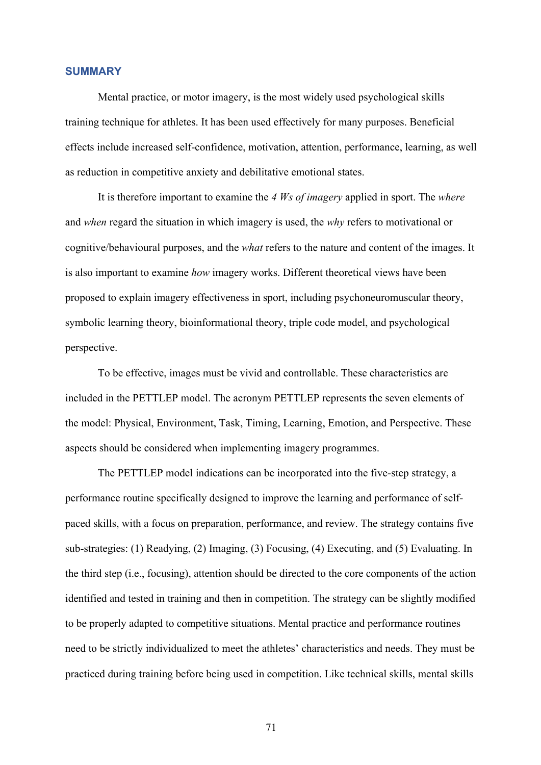#### **SUMMARY**

Mental practice, or motor imagery, is the most widely used psychological skills training technique for athletes. It has been used effectively for many purposes. Beneficial effects include increased self-confidence, motivation, attention, performance, learning, as well as reduction in competitive anxiety and debilitative emotional states.

It is therefore important to examine the *4 Ws of imagery* applied in sport. The *where* and *when* regard the situation in which imagery is used, the *why* refers to motivational or cognitive/behavioural purposes, and the *what* refers to the nature and content of the images. It is also important to examine *how* imagery works. Different theoretical views have been proposed to explain imagery effectiveness in sport, including psychoneuromuscular theory, symbolic learning theory, bioinformational theory, triple code model, and psychological perspective.

To be effective, images must be vivid and controllable. These characteristics are included in the PETTLEP model. The acronym PETTLEP represents the seven elements of the model: Physical, Environment, Task, Timing, Learning, Emotion, and Perspective. These aspects should be considered when implementing imagery programmes.

The PETTLEP model indications can be incorporated into the five-step strategy, a performance routine specifically designed to improve the learning and performance of selfpaced skills, with a focus on preparation, performance, and review. The strategy contains five sub-strategies: (1) Readying, (2) Imaging, (3) Focusing, (4) Executing, and (5) Evaluating. In the third step (i.e., focusing), attention should be directed to the core components of the action identified and tested in training and then in competition. The strategy can be slightly modified to be properly adapted to competitive situations. Mental practice and performance routines need to be strictly individualized to meet the athletes' characteristics and needs. They must be practiced during training before being used in competition. Like technical skills, mental skills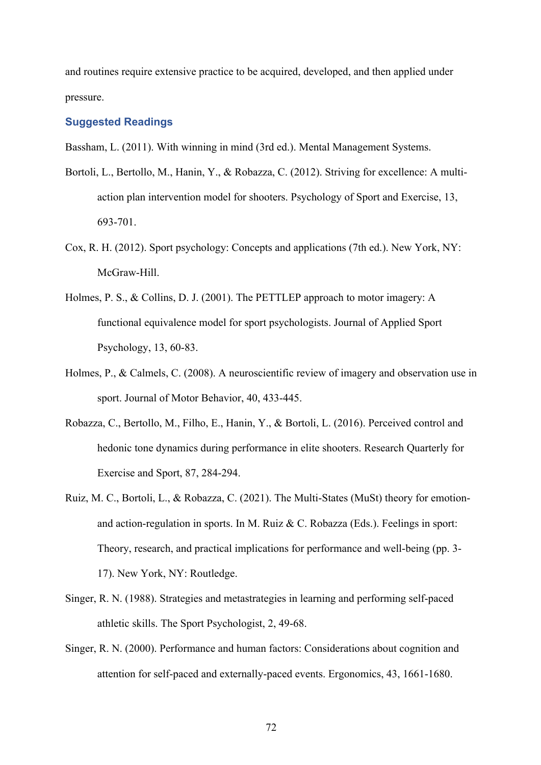and routines require extensive practice to be acquired, developed, and then applied under pressure.

#### **Suggested Readings**

Bassham, L. (2011). With winning in mind (3rd ed.). Mental Management Systems.

- Bortoli, L., Bertollo, M., Hanin, Y., & Robazza, C. (2012). Striving for excellence: A multiaction plan intervention model for shooters. Psychology of Sport and Exercise, 13, 693-701.
- Cox, R. H. (2012). Sport psychology: Concepts and applications (7th ed.). New York, NY: McGraw-Hill.
- Holmes, P. S., & Collins, D. J. (2001). The PETTLEP approach to motor imagery: A functional equivalence model for sport psychologists. Journal of Applied Sport Psychology, 13, 60-83.
- Holmes, P., & Calmels, C. (2008). A neuroscientific review of imagery and observation use in sport. Journal of Motor Behavior, 40, 433-445.
- Robazza, C., Bertollo, M., Filho, E., Hanin, Y., & Bortoli, L. (2016). Perceived control and hedonic tone dynamics during performance in elite shooters. Research Quarterly for Exercise and Sport, 87, 284-294.
- Ruiz, M. C., Bortoli, L., & Robazza, C. (2021). The Multi-States (MuSt) theory for emotionand action-regulation in sports. In M. Ruiz & C. Robazza (Eds.). Feelings in sport: Theory, research, and practical implications for performance and well-being (pp. 3- 17). New York, NY: Routledge.
- Singer, R. N. (1988). Strategies and metastrategies in learning and performing self-paced athletic skills. The Sport Psychologist, 2, 49-68.
- Singer, R. N. (2000). Performance and human factors: Considerations about cognition and attention for self-paced and externally-paced events. Ergonomics, 43, 1661-1680.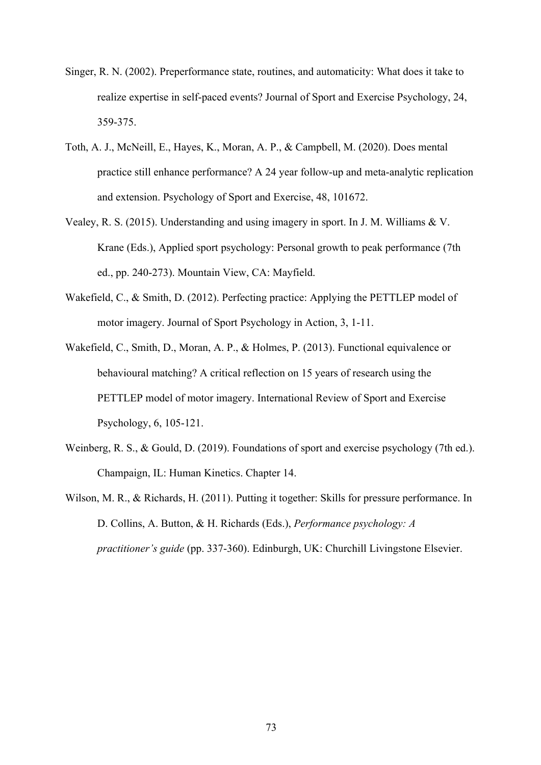- Singer, R. N. (2002). Preperformance state, routines, and automaticity: What does it take to realize expertise in self-paced events? Journal of Sport and Exercise Psychology, 24, 359-375.
- Toth, A. J., McNeill, E., Hayes, K., Moran, A. P., & Campbell, M. (2020). Does mental practice still enhance performance? A 24 year follow-up and meta-analytic replication and extension. Psychology of Sport and Exercise, 48, 101672.
- Vealey, R. S. (2015). Understanding and using imagery in sport. In J. M. Williams & V. Krane (Eds.), Applied sport psychology: Personal growth to peak performance (7th ed., pp. 240-273). Mountain View, CA: Mayfield.
- Wakefield, C., & Smith, D. (2012). Perfecting practice: Applying the PETTLEP model of motor imagery. Journal of Sport Psychology in Action, 3, 1-11.
- Wakefield, C., Smith, D., Moran, A. P., & Holmes, P. (2013). Functional equivalence or behavioural matching? A critical reflection on 15 years of research using the PETTLEP model of motor imagery. International Review of Sport and Exercise Psychology, 6, 105-121.
- Weinberg, R. S., & Gould, D. (2019). Foundations of sport and exercise psychology (7th ed.). Champaign, IL: Human Kinetics. Chapter 14.
- Wilson, M. R., & Richards, H. (2011). Putting it together: Skills for pressure performance. In D. Collins, A. Button, & H. Richards (Eds.), *Performance psychology: A practitioner's guide* (pp. 337-360). Edinburgh, UK: Churchill Livingstone Elsevier.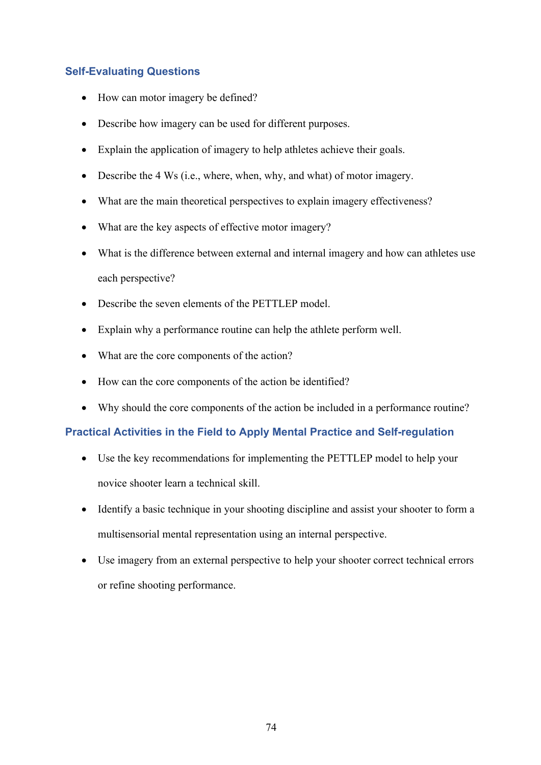# **Self-Evaluating Questions**

- How can motor imagery be defined?
- Describe how imagery can be used for different purposes.
- Explain the application of imagery to help athletes achieve their goals.
- Describe the 4 Ws (i.e., where, when, why, and what) of motor imagery.
- What are the main theoretical perspectives to explain imagery effectiveness?
- What are the key aspects of effective motor imagery?
- What is the difference between external and internal imagery and how can athletes use each perspective?
- Describe the seven elements of the PETTLEP model.
- Explain why a performance routine can help the athlete perform well.
- What are the core components of the action?
- How can the core components of the action be identified?
- Why should the core components of the action be included in a performance routine?

## **Practical Activities in the Field to Apply Mental Practice and Self-regulation**

- Use the key recommendations for implementing the PETTLEP model to help your novice shooter learn a technical skill.
- Identify a basic technique in your shooting discipline and assist your shooter to form a multisensorial mental representation using an internal perspective.
- Use imagery from an external perspective to help your shooter correct technical errors or refine shooting performance.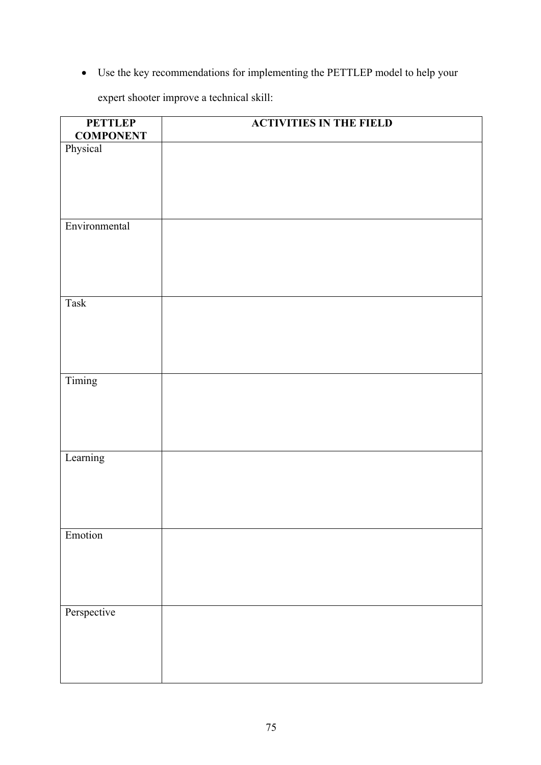• Use the key recommendations for implementing the PETTLEP model to help your

expert shooter improve a technical skill:

| <b>PETTLEP</b><br><b>COMPONENT</b> | <b>ACTIVITIES IN THE FIELD</b> |
|------------------------------------|--------------------------------|
| Physical                           |                                |
|                                    |                                |
|                                    |                                |
|                                    |                                |
|                                    |                                |
| Environmental                      |                                |
|                                    |                                |
|                                    |                                |
|                                    |                                |
|                                    |                                |
| Task                               |                                |
|                                    |                                |
|                                    |                                |
|                                    |                                |
| Timing                             |                                |
|                                    |                                |
|                                    |                                |
|                                    |                                |
|                                    |                                |
| Learning                           |                                |
|                                    |                                |
|                                    |                                |
|                                    |                                |
|                                    |                                |
| Emotion                            |                                |
|                                    |                                |
|                                    |                                |
|                                    |                                |
| Perspective                        |                                |
|                                    |                                |
|                                    |                                |
|                                    |                                |
|                                    |                                |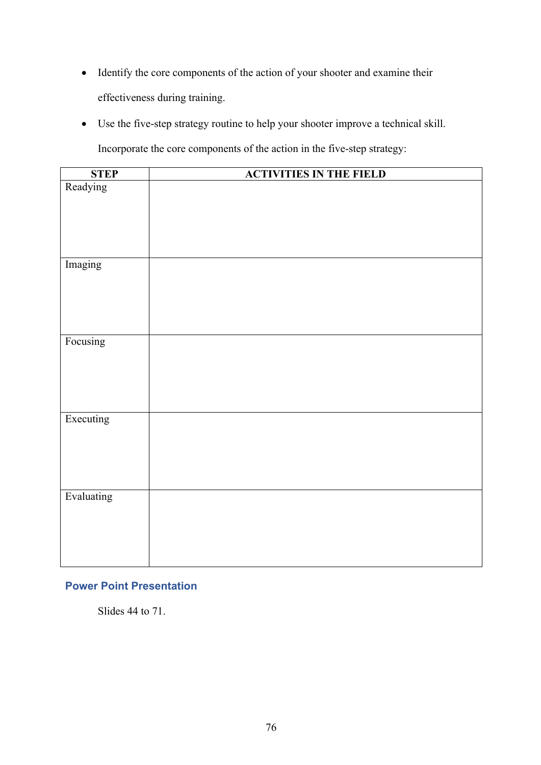- Identify the core components of the action of your shooter and examine their effectiveness during training.
- Use the five-step strategy routine to help your shooter improve a technical skill.

Incorporate the core components of the action in the five-step strategy:

| <b>STEP</b> | <b>ACTIVITIES IN THE FIELD</b> |
|-------------|--------------------------------|
| Readying    |                                |
| Imaging     |                                |
| Focusing    |                                |
| Executing   |                                |
| Evaluating  |                                |

# **Power Point Presentation**

Slides 44 to 71.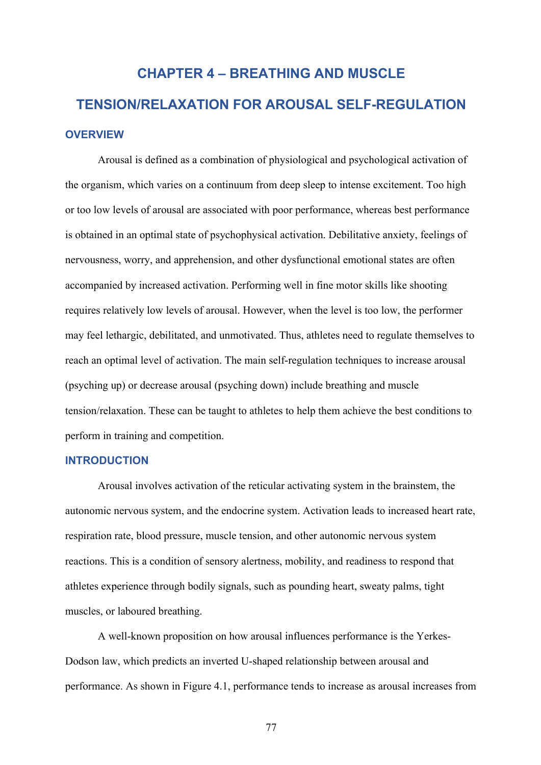# **CHAPTER 4 – BREATHING AND MUSCLE TENSION/RELAXATION FOR AROUSAL SELF-REGULATION OVERVIEW**

Arousal is defined as a combination of physiological and psychological activation of the organism, which varies on a continuum from deep sleep to intense excitement. Too high or too low levels of arousal are associated with poor performance, whereas best performance is obtained in an optimal state of psychophysical activation. Debilitative anxiety, feelings of nervousness, worry, and apprehension, and other dysfunctional emotional states are often accompanied by increased activation. Performing well in fine motor skills like shooting requires relatively low levels of arousal. However, when the level is too low, the performer may feel lethargic, debilitated, and unmotivated. Thus, athletes need to regulate themselves to reach an optimal level of activation. The main self-regulation techniques to increase arousal (psyching up) or decrease arousal (psyching down) include breathing and muscle tension/relaxation. These can be taught to athletes to help them achieve the best conditions to perform in training and competition.

#### **INTRODUCTION**

Arousal involves activation of the reticular activating system in the brainstem, the autonomic nervous system, and the endocrine system. Activation leads to increased heart rate, respiration rate, blood pressure, muscle tension, and other autonomic nervous system reactions. This is a condition of sensory alertness, mobility, and readiness to respond that athletes experience through bodily signals, such as pounding heart, sweaty palms, tight muscles, or laboured breathing.

A well-known proposition on how arousal influences performance is the Yerkes-Dodson law, which predicts an inverted U-shaped relationship between arousal and performance. As shown in Figure 4.1, performance tends to increase as arousal increases from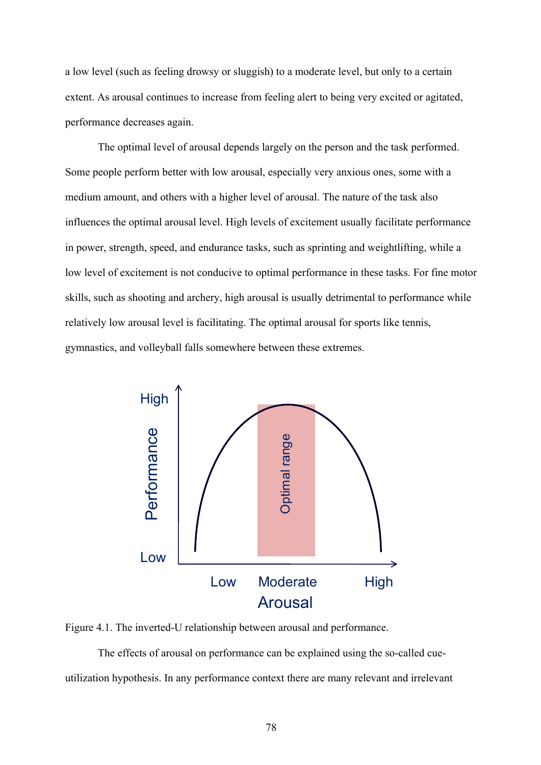a low level (such as feeling drowsy or sluggish) to a moderate level, but only to a certain extent. As arousal continues to increase from feeling alert to being very excited or agitated, performance decreases again.

The optimal level of arousal depends largely on the person and the task performed. Some people perform better with low arousal, especially very anxious ones, some with a medium amount, and others with a higher level of arousal. The nature of the task also influences the optimal arousal level. High levels of excitement usually facilitate performance in power, strength, speed, and endurance tasks, such as sprinting and weightlifting, while a low level of excitement is not conducive to optimal performance in these tasks. For fine motor skills, such as shooting and archery, high arousal is usually detrimental to performance while relatively low arousal level is facilitating. The optimal arousal for sports like tennis, gymnastics, and volleyball falls somewhere between these extremes.



Figure 4.1. The inverted-U relationship between arousal and performance.

The effects of arousal on performance can be explained using the so-called cueutilization hypothesis. In any performance context there are many relevant and irrelevant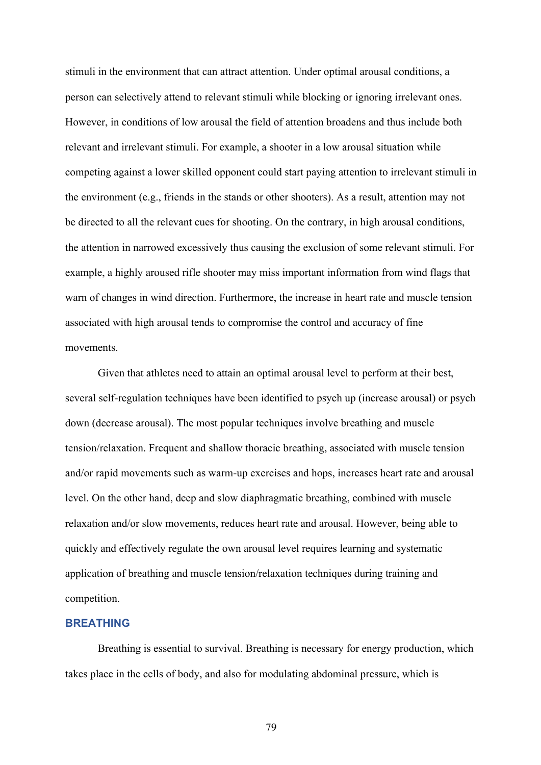stimuli in the environment that can attract attention. Under optimal arousal conditions, a person can selectively attend to relevant stimuli while blocking or ignoring irrelevant ones. However, in conditions of low arousal the field of attention broadens and thus include both relevant and irrelevant stimuli. For example, a shooter in a low arousal situation while competing against a lower skilled opponent could start paying attention to irrelevant stimuli in the environment (e.g., friends in the stands or other shooters). As a result, attention may not be directed to all the relevant cues for shooting. On the contrary, in high arousal conditions, the attention in narrowed excessively thus causing the exclusion of some relevant stimuli. For example, a highly aroused rifle shooter may miss important information from wind flags that warn of changes in wind direction. Furthermore, the increase in heart rate and muscle tension associated with high arousal tends to compromise the control and accuracy of fine movements.

Given that athletes need to attain an optimal arousal level to perform at their best, several self-regulation techniques have been identified to psych up (increase arousal) or psych down (decrease arousal). The most popular techniques involve breathing and muscle tension/relaxation. Frequent and shallow thoracic breathing, associated with muscle tension and/or rapid movements such as warm-up exercises and hops, increases heart rate and arousal level. On the other hand, deep and slow diaphragmatic breathing, combined with muscle relaxation and/or slow movements, reduces heart rate and arousal. However, being able to quickly and effectively regulate the own arousal level requires learning and systematic application of breathing and muscle tension/relaxation techniques during training and competition.

#### **BREATHING**

Breathing is essential to survival. Breathing is necessary for energy production, which takes place in the cells of body, and also for modulating abdominal pressure, which is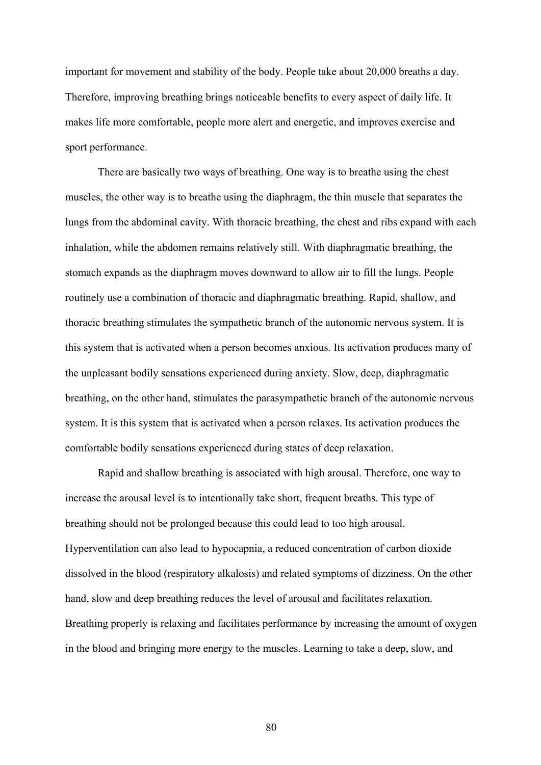important for movement and stability of the body. People take about 20,000 breaths a day. Therefore, improving breathing brings noticeable benefits to every aspect of daily life. It makes life more comfortable, people more alert and energetic, and improves exercise and sport performance.

There are basically two ways of breathing. One way is to breathe using the chest muscles, the other way is to breathe using the diaphragm, the thin muscle that separates the lungs from the abdominal cavity. With thoracic breathing, the chest and ribs expand with each inhalation, while the abdomen remains relatively still. With diaphragmatic breathing, the stomach expands as the diaphragm moves downward to allow air to fill the lungs. People routinely use a combination of thoracic and diaphragmatic breathing. Rapid, shallow, and thoracic breathing stimulates the sympathetic branch of the autonomic nervous system. It is this system that is activated when a person becomes anxious. Its activation produces many of the unpleasant bodily sensations experienced during anxiety. Slow, deep, diaphragmatic breathing, on the other hand, stimulates the parasympathetic branch of the autonomic nervous system. It is this system that is activated when a person relaxes. Its activation produces the comfortable bodily sensations experienced during states of deep relaxation.

Rapid and shallow breathing is associated with high arousal. Therefore, one way to increase the arousal level is to intentionally take short, frequent breaths. This type of breathing should not be prolonged because this could lead to too high arousal. Hyperventilation can also lead to hypocapnia, a reduced concentration of carbon dioxide dissolved in the blood (respiratory alkalosis) and related symptoms of dizziness. On the other hand, slow and deep breathing reduces the level of arousal and facilitates relaxation. Breathing properly is relaxing and facilitates performance by increasing the amount of oxygen in the blood and bringing more energy to the muscles. Learning to take a deep, slow, and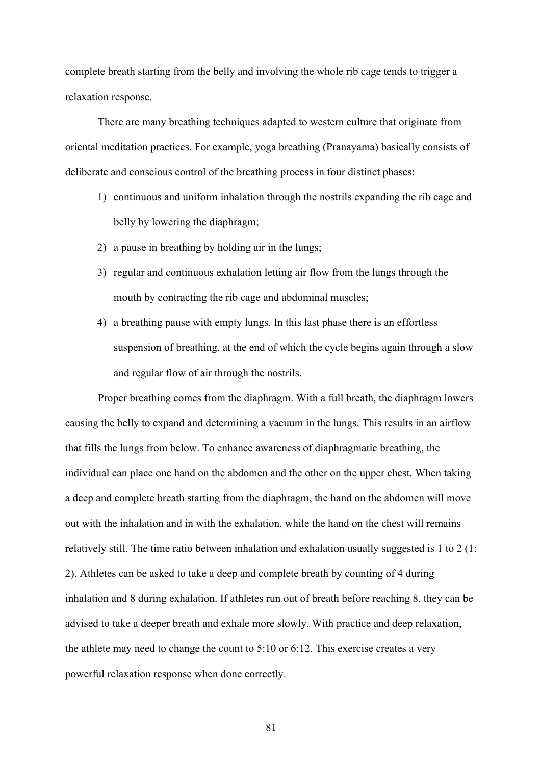complete breath starting from the belly and involving the whole rib cage tends to trigger a relaxation response.

There are many breathing techniques adapted to western culture that originate from oriental meditation practices. For example, yoga breathing (Pranayama) basically consists of deliberate and conscious control of the breathing process in four distinct phases:

- 1) continuous and uniform inhalation through the nostrils expanding the rib cage and belly by lowering the diaphragm;
- 2) a pause in breathing by holding air in the lungs;
- 3) regular and continuous exhalation letting air flow from the lungs through the mouth by contracting the rib cage and abdominal muscles;
- 4) a breathing pause with empty lungs. In this last phase there is an effortless suspension of breathing, at the end of which the cycle begins again through a slow and regular flow of air through the nostrils.

Proper breathing comes from the diaphragm. With a full breath, the diaphragm lowers causing the belly to expand and determining a vacuum in the lungs. This results in an airflow that fills the lungs from below. To enhance awareness of diaphragmatic breathing, the individual can place one hand on the abdomen and the other on the upper chest. When taking a deep and complete breath starting from the diaphragm, the hand on the abdomen will move out with the inhalation and in with the exhalation, while the hand on the chest will remains relatively still. The time ratio between inhalation and exhalation usually suggested is 1 to 2 (1: 2). Athletes can be asked to take a deep and complete breath by counting of 4 during inhalation and 8 during exhalation. If athletes run out of breath before reaching 8, they can be advised to take a deeper breath and exhale more slowly. With practice and deep relaxation, the athlete may need to change the count to 5:10 or 6:12. This exercise creates a very powerful relaxation response when done correctly.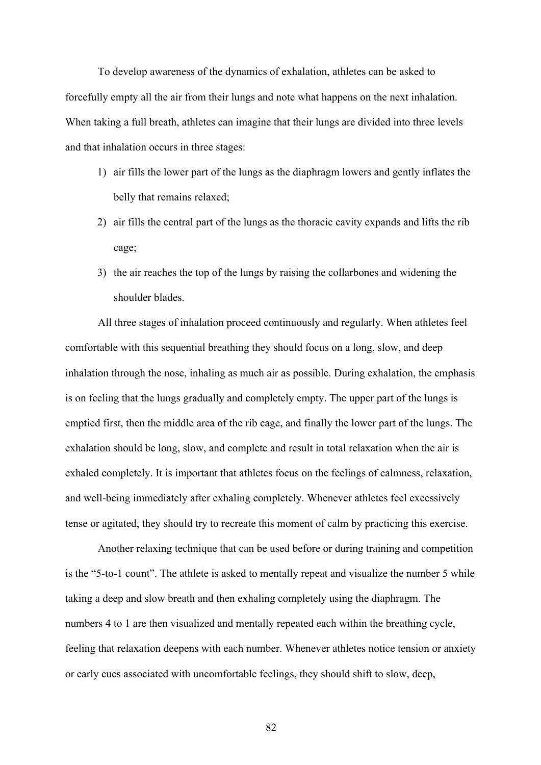To develop awareness of the dynamics of exhalation, athletes can be asked to forcefully empty all the air from their lungs and note what happens on the next inhalation. When taking a full breath, athletes can imagine that their lungs are divided into three levels and that inhalation occurs in three stages:

- 1) air fills the lower part of the lungs as the diaphragm lowers and gently inflates the belly that remains relaxed;
- 2) air fills the central part of the lungs as the thoracic cavity expands and lifts the rib cage;
- 3) the air reaches the top of the lungs by raising the collarbones and widening the shoulder blades.

All three stages of inhalation proceed continuously and regularly. When athletes feel comfortable with this sequential breathing they should focus on a long, slow, and deep inhalation through the nose, inhaling as much air as possible. During exhalation, the emphasis is on feeling that the lungs gradually and completely empty. The upper part of the lungs is emptied first, then the middle area of the rib cage, and finally the lower part of the lungs. The exhalation should be long, slow, and complete and result in total relaxation when the air is exhaled completely. It is important that athletes focus on the feelings of calmness, relaxation, and well-being immediately after exhaling completely. Whenever athletes feel excessively tense or agitated, they should try to recreate this moment of calm by practicing this exercise.

Another relaxing technique that can be used before or during training and competition is the "5-to-1 count". The athlete is asked to mentally repeat and visualize the number 5 while taking a deep and slow breath and then exhaling completely using the diaphragm. The numbers 4 to 1 are then visualized and mentally repeated each within the breathing cycle, feeling that relaxation deepens with each number. Whenever athletes notice tension or anxiety or early cues associated with uncomfortable feelings, they should shift to slow, deep,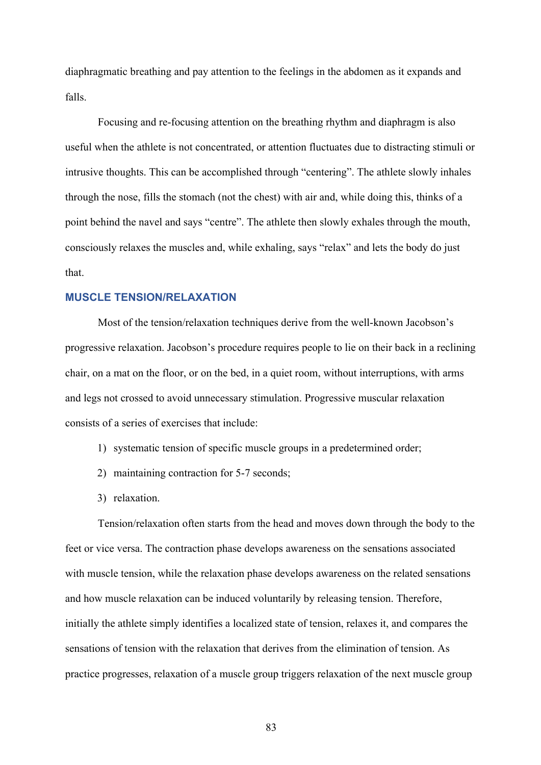diaphragmatic breathing and pay attention to the feelings in the abdomen as it expands and falls.

Focusing and re-focusing attention on the breathing rhythm and diaphragm is also useful when the athlete is not concentrated, or attention fluctuates due to distracting stimuli or intrusive thoughts. This can be accomplished through "centering". The athlete slowly inhales through the nose, fills the stomach (not the chest) with air and, while doing this, thinks of a point behind the navel and says "centre". The athlete then slowly exhales through the mouth, consciously relaxes the muscles and, while exhaling, says "relax" and lets the body do just that.

#### **MUSCLE TENSION/RELAXATION**

Most of the tension/relaxation techniques derive from the well-known Jacobson's progressive relaxation. Jacobson's procedure requires people to lie on their back in a reclining chair, on a mat on the floor, or on the bed, in a quiet room, without interruptions, with arms and legs not crossed to avoid unnecessary stimulation. Progressive muscular relaxation consists of a series of exercises that include:

- 1) systematic tension of specific muscle groups in a predetermined order;
- 2) maintaining contraction for 5-7 seconds;
- 3) relaxation.

Tension/relaxation often starts from the head and moves down through the body to the feet or vice versa. The contraction phase develops awareness on the sensations associated with muscle tension, while the relaxation phase develops awareness on the related sensations and how muscle relaxation can be induced voluntarily by releasing tension. Therefore, initially the athlete simply identifies a localized state of tension, relaxes it, and compares the sensations of tension with the relaxation that derives from the elimination of tension. As practice progresses, relaxation of a muscle group triggers relaxation of the next muscle group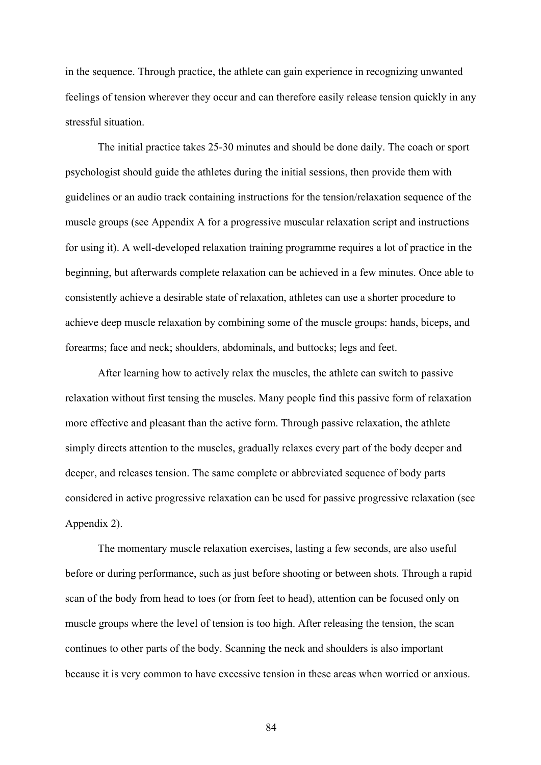in the sequence. Through practice, the athlete can gain experience in recognizing unwanted feelings of tension wherever they occur and can therefore easily release tension quickly in any stressful situation.

The initial practice takes 25-30 minutes and should be done daily. The coach or sport psychologist should guide the athletes during the initial sessions, then provide them with guidelines or an audio track containing instructions for the tension/relaxation sequence of the muscle groups (see Appendix A for a progressive muscular relaxation script and instructions for using it). A well-developed relaxation training programme requires a lot of practice in the beginning, but afterwards complete relaxation can be achieved in a few minutes. Once able to consistently achieve a desirable state of relaxation, athletes can use a shorter procedure to achieve deep muscle relaxation by combining some of the muscle groups: hands, biceps, and forearms; face and neck; shoulders, abdominals, and buttocks; legs and feet.

After learning how to actively relax the muscles, the athlete can switch to passive relaxation without first tensing the muscles. Many people find this passive form of relaxation more effective and pleasant than the active form. Through passive relaxation, the athlete simply directs attention to the muscles, gradually relaxes every part of the body deeper and deeper, and releases tension. The same complete or abbreviated sequence of body parts considered in active progressive relaxation can be used for passive progressive relaxation (see Appendix 2).

The momentary muscle relaxation exercises, lasting a few seconds, are also useful before or during performance, such as just before shooting or between shots. Through a rapid scan of the body from head to toes (or from feet to head), attention can be focused only on muscle groups where the level of tension is too high. After releasing the tension, the scan continues to other parts of the body. Scanning the neck and shoulders is also important because it is very common to have excessive tension in these areas when worried or anxious.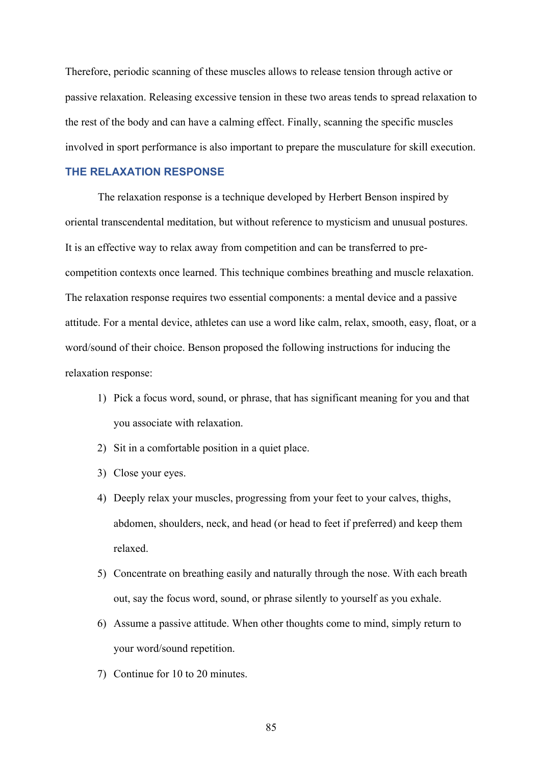Therefore, periodic scanning of these muscles allows to release tension through active or passive relaxation. Releasing excessive tension in these two areas tends to spread relaxation to the rest of the body and can have a calming effect. Finally, scanning the specific muscles involved in sport performance is also important to prepare the musculature for skill execution.

#### **THE RELAXATION RESPONSE**

The relaxation response is a technique developed by Herbert Benson inspired by oriental transcendental meditation, but without reference to mysticism and unusual postures. It is an effective way to relax away from competition and can be transferred to precompetition contexts once learned. This technique combines breathing and muscle relaxation. The relaxation response requires two essential components: a mental device and a passive attitude. For a mental device, athletes can use a word like calm, relax, smooth, easy, float, or a word/sound of their choice. Benson proposed the following instructions for inducing the relaxation response:

- 1) Pick a focus word, sound, or phrase, that has significant meaning for you and that you associate with relaxation.
- 2) Sit in a comfortable position in a quiet place.
- 3) Close your eyes.
- 4) Deeply relax your muscles, progressing from your feet to your calves, thighs, abdomen, shoulders, neck, and head (or head to feet if preferred) and keep them relaxed.
- 5) Concentrate on breathing easily and naturally through the nose. With each breath out, say the focus word, sound, or phrase silently to yourself as you exhale.
- 6) Assume a passive attitude. When other thoughts come to mind, simply return to your word/sound repetition.
- 7) Continue for 10 to 20 minutes.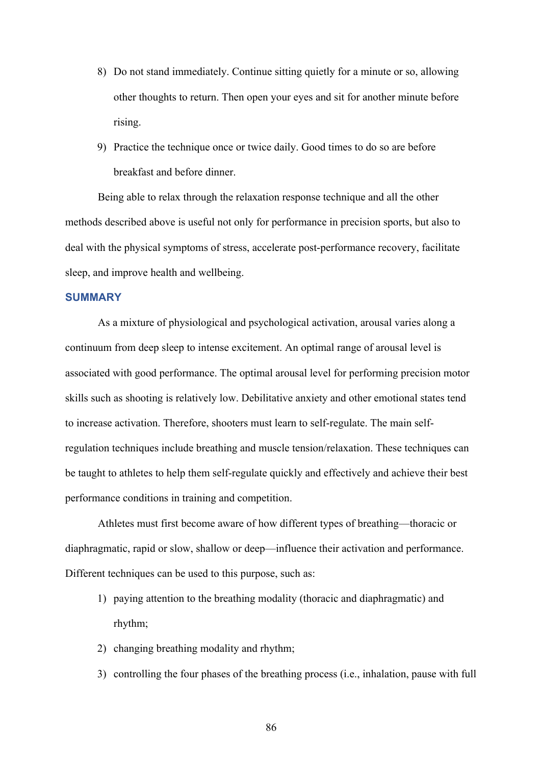- 8) Do not stand immediately. Continue sitting quietly for a minute or so, allowing other thoughts to return. Then open your eyes and sit for another minute before rising.
- 9) Practice the technique once or twice daily. Good times to do so are before breakfast and before dinner.

Being able to relax through the relaxation response technique and all the other methods described above is useful not only for performance in precision sports, but also to deal with the physical symptoms of stress, accelerate post-performance recovery, facilitate sleep, and improve health and wellbeing.

#### **SUMMARY**

As a mixture of physiological and psychological activation, arousal varies along a continuum from deep sleep to intense excitement. An optimal range of arousal level is associated with good performance. The optimal arousal level for performing precision motor skills such as shooting is relatively low. Debilitative anxiety and other emotional states tend to increase activation. Therefore, shooters must learn to self-regulate. The main selfregulation techniques include breathing and muscle tension/relaxation. These techniques can be taught to athletes to help them self-regulate quickly and effectively and achieve their best performance conditions in training and competition.

Athletes must first become aware of how different types of breathing—thoracic or diaphragmatic, rapid or slow, shallow or deep—influence their activation and performance. Different techniques can be used to this purpose, such as:

- 1) paying attention to the breathing modality (thoracic and diaphragmatic) and rhythm;
- 2) changing breathing modality and rhythm;
- 3) controlling the four phases of the breathing process (i.e., inhalation, pause with full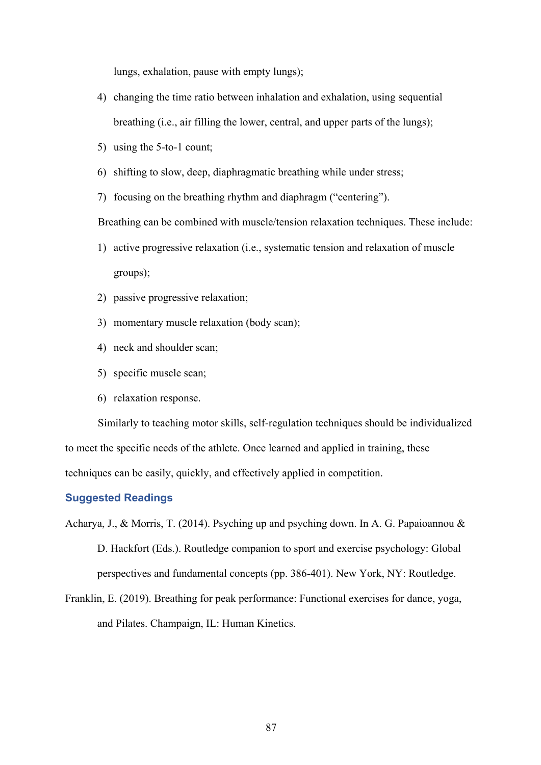lungs, exhalation, pause with empty lungs);

- 4) changing the time ratio between inhalation and exhalation, using sequential breathing (i.e., air filling the lower, central, and upper parts of the lungs);
- 5) using the 5-to-1 count;
- 6) shifting to slow, deep, diaphragmatic breathing while under stress;
- 7) focusing on the breathing rhythm and diaphragm ("centering").

Breathing can be combined with muscle/tension relaxation techniques. These include:

- 1) active progressive relaxation (i.e., systematic tension and relaxation of muscle groups);
- 2) passive progressive relaxation;
- 3) momentary muscle relaxation (body scan);
- 4) neck and shoulder scan;
- 5) specific muscle scan;
- 6) relaxation response.

Similarly to teaching motor skills, self-regulation techniques should be individualized to meet the specific needs of the athlete. Once learned and applied in training, these techniques can be easily, quickly, and effectively applied in competition.

#### **Suggested Readings**

Acharya, J., & Morris, T. (2014). Psyching up and psyching down. In A. G. Papaioannou & D. Hackfort (Eds.). Routledge companion to sport and exercise psychology: Global perspectives and fundamental concepts (pp. 386-401). New York, NY: Routledge.

Franklin, E. (2019). Breathing for peak performance: Functional exercises for dance, yoga, and Pilates. Champaign, IL: Human Kinetics.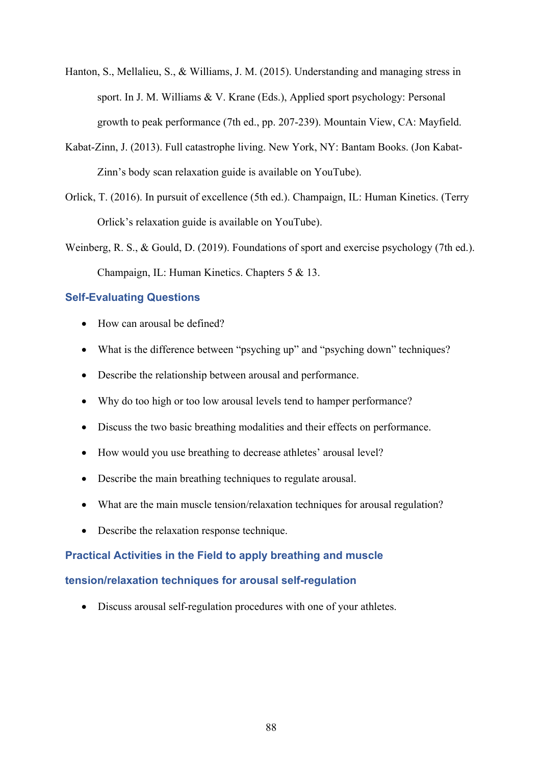- Hanton, S., Mellalieu, S., & Williams, J. M. (2015). Understanding and managing stress in sport. In J. M. Williams & V. Krane (Eds.), Applied sport psychology: Personal growth to peak performance (7th ed., pp. 207-239). Mountain View, CA: Mayfield.
- Kabat-Zinn, J. (2013). Full catastrophe living. New York, NY: Bantam Books. (Jon Kabat-Zinn's body scan relaxation guide is available on YouTube).
- Orlick, T. (2016). In pursuit of excellence (5th ed.). Champaign, IL: Human Kinetics. (Terry Orlick's relaxation guide is available on YouTube).
- Weinberg, R. S., & Gould, D. (2019). Foundations of sport and exercise psychology (7th ed.). Champaign, IL: Human Kinetics. Chapters 5 & 13.

#### **Self-Evaluating Questions**

- How can arousal be defined?
- What is the difference between "psyching up" and "psyching down" techniques?
- Describe the relationship between arousal and performance.
- Why do too high or too low arousal levels tend to hamper performance?
- Discuss the two basic breathing modalities and their effects on performance.
- How would you use breathing to decrease athletes' arousal level?
- Describe the main breathing techniques to regulate arousal.
- What are the main muscle tension/relaxation techniques for arousal regulation?
- Describe the relaxation response technique.

## **Practical Activities in the Field to apply breathing and muscle**

#### **tension/relaxation techniques for arousal self-regulation**

• Discuss arousal self-regulation procedures with one of your athletes.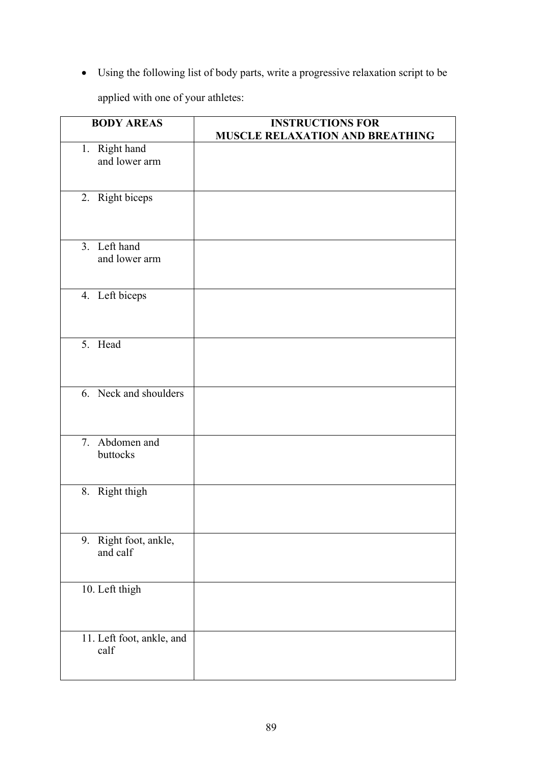• Using the following list of body parts, write a progressive relaxation script to be

applied with one of your athletes:

| <b>BODY AREAS</b>         | <b>INSTRUCTIONS FOR</b>         |
|---------------------------|---------------------------------|
|                           | MUSCLE RELAXATION AND BREATHING |
| 1. Right hand             |                                 |
| and lower arm             |                                 |
|                           |                                 |
|                           |                                 |
| 2. Right biceps           |                                 |
|                           |                                 |
|                           |                                 |
| 3. Left hand              |                                 |
| and lower arm             |                                 |
|                           |                                 |
|                           |                                 |
| 4. Left biceps            |                                 |
|                           |                                 |
|                           |                                 |
|                           |                                 |
| 5. Head                   |                                 |
|                           |                                 |
|                           |                                 |
|                           |                                 |
| 6. Neck and shoulders     |                                 |
|                           |                                 |
|                           |                                 |
|                           |                                 |
| 7. Abdomen and            |                                 |
| buttocks                  |                                 |
|                           |                                 |
| 8. Right thigh            |                                 |
|                           |                                 |
|                           |                                 |
|                           |                                 |
| 9. Right foot, ankle,     |                                 |
| and calf                  |                                 |
|                           |                                 |
|                           |                                 |
| 10. Left thigh            |                                 |
|                           |                                 |
|                           |                                 |
|                           |                                 |
| 11. Left foot, ankle, and |                                 |
| calf                      |                                 |
|                           |                                 |
|                           |                                 |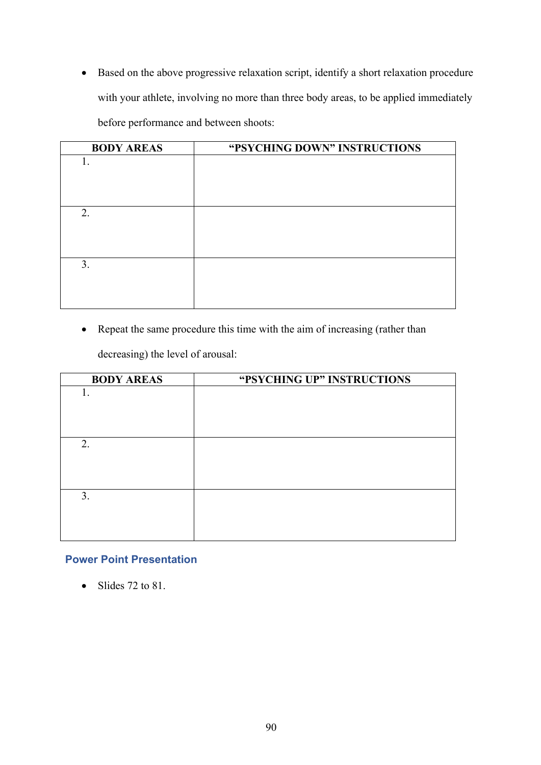• Based on the above progressive relaxation script, identify a short relaxation procedure with your athlete, involving no more than three body areas, to be applied immediately before performance and between shoots:

| <b>BODY AREAS</b> | "PSYCHING DOWN" INSTRUCTIONS |
|-------------------|------------------------------|
| 1.                |                              |
|                   |                              |
|                   |                              |
|                   |                              |
| 2.                |                              |
|                   |                              |
|                   |                              |
|                   |                              |
| 3.                |                              |
|                   |                              |
|                   |                              |
|                   |                              |

• Repeat the same procedure this time with the aim of increasing (rather than

decreasing) the level of arousal:

| <b>BODY AREAS</b> | "PSYCHING UP" INSTRUCTIONS |
|-------------------|----------------------------|
| 1.                |                            |
|                   |                            |
|                   |                            |
|                   |                            |
| 2.                |                            |
|                   |                            |
|                   |                            |
|                   |                            |
| 3.                |                            |
|                   |                            |
|                   |                            |

# **Power Point Presentation**

• Slides  $72$  to  $81$ .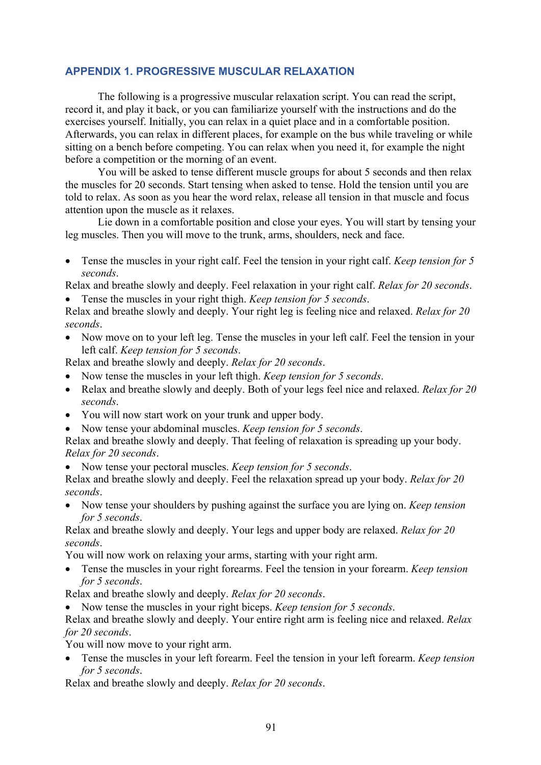## **APPENDIX 1. PROGRESSIVE MUSCULAR RELAXATION**

The following is a progressive muscular relaxation script. You can read the script, record it, and play it back, or you can familiarize yourself with the instructions and do the exercises yourself. Initially, you can relax in a quiet place and in a comfortable position. Afterwards, you can relax in different places, for example on the bus while traveling or while sitting on a bench before competing. You can relax when you need it, for example the night before a competition or the morning of an event.

You will be asked to tense different muscle groups for about 5 seconds and then relax the muscles for 20 seconds. Start tensing when asked to tense. Hold the tension until you are told to relax. As soon as you hear the word relax, release all tension in that muscle and focus attention upon the muscle as it relaxes.

Lie down in a comfortable position and close your eyes. You will start by tensing your leg muscles. Then you will move to the trunk, arms, shoulders, neck and face.

• Tense the muscles in your right calf. Feel the tension in your right calf. *Keep tension for 5 seconds*.

Relax and breathe slowly and deeply. Feel relaxation in your right calf. *Relax for 20 seconds*. • Tense the muscles in your right thigh. *Keep tension for 5 seconds*.

Relax and breathe slowly and deeply. Your right leg is feeling nice and relaxed. *Relax for 20 seconds*.

• Now move on to your left leg. Tense the muscles in your left calf. Feel the tension in your left calf. *Keep tension for 5 seconds*.

Relax and breathe slowly and deeply. *Relax for 20 seconds*.

- Now tense the muscles in your left thigh. *Keep tension for 5 seconds*.
- Relax and breathe slowly and deeply. Both of your legs feel nice and relaxed. *Relax for 20 seconds*.
- You will now start work on your trunk and upper body.
- Now tense your abdominal muscles. *Keep tension for 5 seconds*.

Relax and breathe slowly and deeply. That feeling of relaxation is spreading up your body. *Relax for 20 seconds*.

• Now tense your pectoral muscles. *Keep tension for 5 seconds*.

Relax and breathe slowly and deeply. Feel the relaxation spread up your body. *Relax for 20 seconds*.

• Now tense your shoulders by pushing against the surface you are lying on. *Keep tension for 5 seconds*.

Relax and breathe slowly and deeply. Your legs and upper body are relaxed. *Relax for 20 seconds*.

You will now work on relaxing your arms, starting with your right arm.

• Tense the muscles in your right forearms. Feel the tension in your forearm. *Keep tension for 5 seconds*.

Relax and breathe slowly and deeply. *Relax for 20 seconds*.

• Now tense the muscles in your right biceps. *Keep tension for 5 seconds*.

Relax and breathe slowly and deeply. Your entire right arm is feeling nice and relaxed. *Relax for 20 seconds*.

You will now move to your right arm.

• Tense the muscles in your left forearm. Feel the tension in your left forearm. *Keep tension for 5 seconds*.

Relax and breathe slowly and deeply. *Relax for 20 seconds*.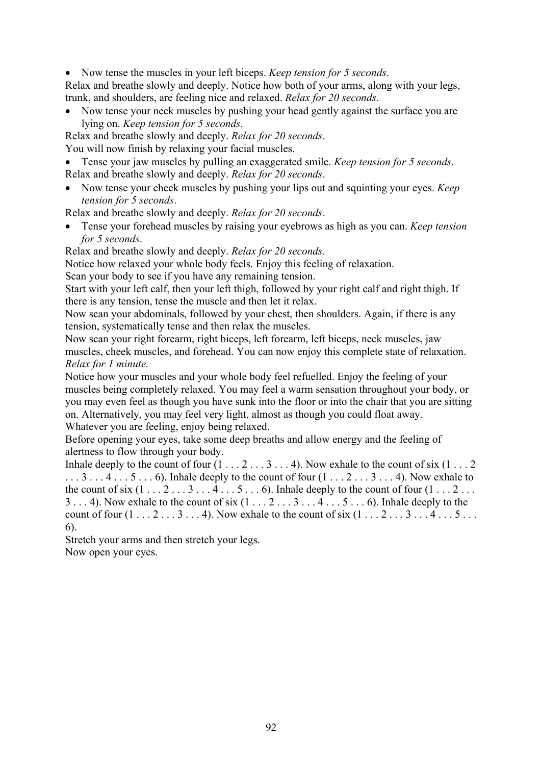• Now tense the muscles in your left biceps. *Keep tension for 5 seconds*.

Relax and breathe slowly and deeply. Notice how both of your arms, along with your legs, trunk, and shoulders, are feeling nice and relaxed. *Relax for 20 seconds*.

• Now tense your neck muscles by pushing your head gently against the surface you are lying on. *Keep tension for 5 seconds*.

Relax and breathe slowly and deeply. *Relax for 20 seconds*.

You will now finish by relaxing your facial muscles.

- Tense your jaw muscles by pulling an exaggerated smile. *Keep tension for 5 seconds*. Relax and breathe slowly and deeply. *Relax for 20 seconds*.
- Now tense your cheek muscles by pushing your lips out and squinting your eyes. *Keep tension for 5 seconds*.

Relax and breathe slowly and deeply. *Relax for 20 seconds*.

• Tense your forehead muscles by raising your eyebrows as high as you can. *Keep tension for 5 seconds*.

Relax and breathe slowly and deeply. *Relax for 20 seconds*.

Notice how relaxed your whole body feels. Enjoy this feeling of relaxation.

Scan your body to see if you have any remaining tension.

Start with your left calf, then your left thigh, followed by your right calf and right thigh. If there is any tension, tense the muscle and then let it relax.

Now scan your abdominals, followed by your chest, then shoulders. Again, if there is any tension, systematically tense and then relax the muscles.

Now scan your right forearm, right biceps, left forearm, left biceps, neck muscles, jaw muscles, cheek muscles, and forehead. You can now enjoy this complete state of relaxation. *Relax for 1 minute.*

Notice how your muscles and your whole body feel refuelled. Enjoy the feeling of your muscles being completely relaxed. You may feel a warm sensation throughout your body, or you may even feel as though you have sunk into the floor or into the chair that you are sitting on. Alternatively, you may feel very light, almost as though you could float away. Whatever you are feeling, enjoy being relaxed.

Before opening your eyes, take some deep breaths and allow energy and the feeling of alertness to flow through your body.

Inhale deeply to the count of four  $(1 \ldots 2 \ldots 3 \ldots 4)$ . Now exhale to the count of six  $(1 \ldots 2 \ldots 3 \ldots 4)$  $\ldots$  3  $\ldots$  4  $\ldots$  5  $\ldots$  6). Inhale deeply to the count of four  $(1 \ldots 2 \ldots 3 \ldots 4)$ . Now exhale to the count of six  $(1 \ldots 2 \ldots 3 \ldots 4 \ldots 5 \ldots 6)$ . Inhale deeply to the count of four  $(1 \ldots 2 \ldots$  $3 \ldots 4$ ). Now exhale to the count of six  $(1 \ldots 2 \ldots 3 \ldots 4 \ldots 5 \ldots 6)$ . Inhale deeply to the count of four  $(1 \ldots 2 \ldots 3 \ldots 4)$ . Now exhale to the count of six  $(1 \ldots 2 \ldots 3 \ldots 4 \ldots 5 \ldots$ 6).

Stretch your arms and then stretch your legs. Now open your eyes.